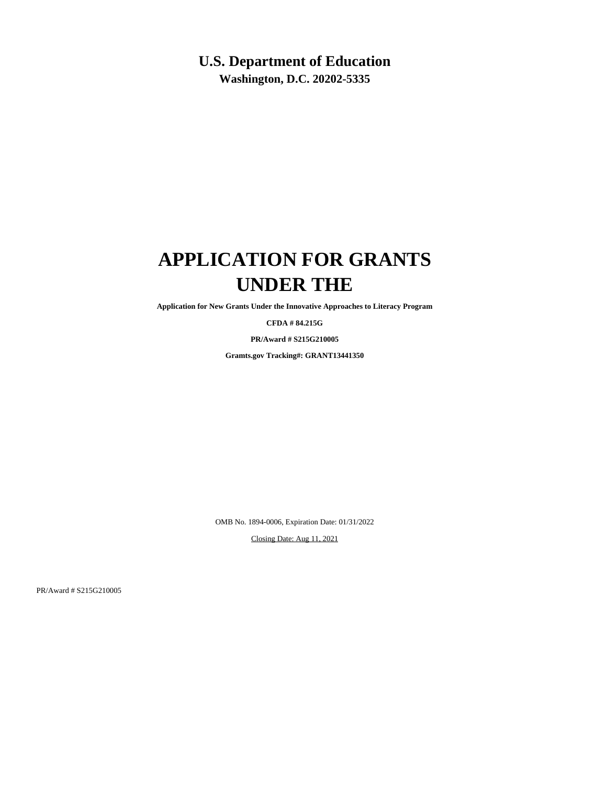# **U.S. Department of Education**

**Washington, D.C. 20202-5335**

# **APPLICATION FOR GRANTS UNDER THE**

**Application for New Grants Under the Innovative Approaches to Literacy Program**

**CFDA # 84.215G**

**PR/Award # S215G210005**

**Gramts.gov Tracking#: GRANT13441350**

OMB No. 1894-0006, Expiration Date: 01/31/2022

Closing Date: Aug 11, 2021

PR/Award # S215G210005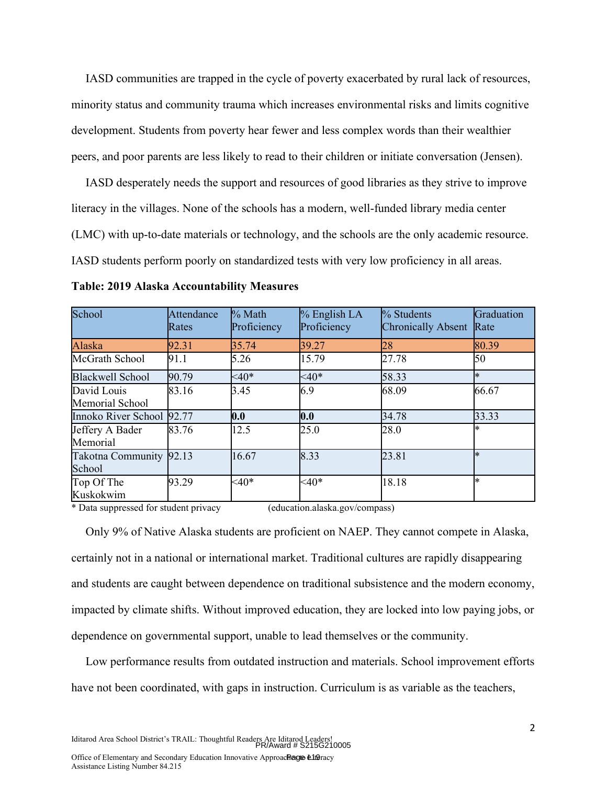IASD communities are trapped in the cycle of poverty exacerbated by rural lack of resources, minority status and community trauma which increases environmental risks and limits cognitive development. Students from poverty hear fewer and less complex words than their wealthier peers, and poor parents are less likely to read to their children or initiate conversation (Jensen).

IASD desperately needs the support and resources of good libraries as they strive to improve literacy in the villages. None of the schools has a modern, well-funded library media center (LMC) with up-to-date materials or technology, and the schools are the only academic resource. IASD students perform poorly on standardized tests with very low proficiency in all areas.

| School                            | <b>Attendance</b><br>Rates | % Math<br>Proficiency | $%$ English LA<br>Proficiency | $\%$ Students<br><b>Chronically Absent</b> | Graduation<br>Rate |
|-----------------------------------|----------------------------|-----------------------|-------------------------------|--------------------------------------------|--------------------|
| Alaska                            | 92.31                      | 35.74                 | 39.27                         | 28                                         | 80.39              |
| McGrath School                    | 91.1                       | 5.26                  | 15.79                         | 27.78                                      | 50                 |
| <b>Blackwell School</b>           | 90.79                      | $<40*$                | $<40*$                        | 58.33                                      | $\ast$             |
| David Louis<br>Memorial School    | 83.16                      | 3.45                  | 6.9                           | 68.09                                      | 66.67              |
| Innoko River School 92.77         |                            | 0.0                   | 0.0                           | 34.78                                      | 33.33              |
| Jeffery A Bader<br>Memorial       | 83.76                      | 12.5                  | 25.0                          | 28.0                                       | ∗                  |
| Takotna Community 92.13<br>School |                            | 16.67                 | 8.33                          | 23.81                                      | $\ast$             |
| Top Of The<br>Kuskokwim           | 93.29                      | $<40*$                | $<40*$                        | 18.18                                      | ×.                 |

**Table: 2019 Alaska Accountability Measures**

\* Data suppressed for student privacy (education.alaska.gov/compass)

Only 9% of Native Alaska students are proficient on NAEP. They cannot compete in Alaska, certainly not in a national or international market. Traditional cultures are rapidly disappearing and students are caught between dependence on traditional subsistence and the modern economy, impacted by climate shifts. Without improved education, they are locked into low paying jobs, or dependence on governmental support, unable to lead themselves or the community.

Low performance results from outdated instruction and materials. School improvement efforts have not been coordinated, with gaps in instruction. Curriculum is as variable as the teachers,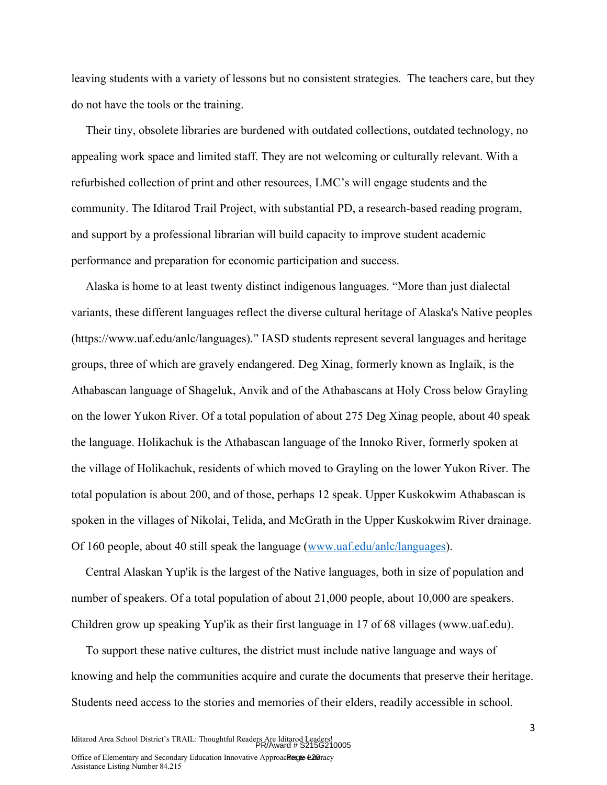leaving students with a variety of lessons but no consistent strategies. The teachers care, but they do not have the tools or the training.

Their tiny, obsolete libraries are burdened with outdated collections, outdated technology, no appealing work space and limited staff. They are not welcoming or culturally relevant. With a refurbished collection of print and other resources, LMC's will engage students and the community. The Iditarod Trail Project, with substantial PD, a research-based reading program, and support by a professional librarian will build capacity to improve student academic performance and preparation for economic participation and success.

Alaska is home to at least twenty distinct indigenous languages. "More than just dialectal variants, these different languages reflect the diverse cultural heritage of Alaska's Native peoples (https://www.uaf.edu/anlc/languages)." IASD students represent several languages and heritage groups, three of which are gravely endangered. Deg Xinag, formerly known as Inglaik, is the Athabascan language of Shageluk, Anvik and of the Athabascans at Holy Cross below Grayling on the lower Yukon River. Of a total population of about 275 Deg Xinag people, about 40 speak the language. Holikachuk is the Athabascan language of the Innoko River, formerly spoken at the village of Holikachuk, residents of which moved to Grayling on the lower Yukon River. The total population is about 200, and of those, perhaps 12 speak. Upper Kuskokwim Athabascan is spoken in the villages of Nikolai, Telida, and McGrath in the Upper Kuskokwim River drainage. Of 160 people, about 40 still speak the language (www.uaf.edu/anlc/languages).

Central Alaskan Yup'ik is the largest of the Native languages, both in size of population and number of speakers. Of a total population of about 21,000 people, about 10,000 are speakers. Children grow up speaking Yup'ik as their first language in 17 of 68 villages (www.uaf.edu).

To support these native cultures, the district must include native language and ways of knowing and help the communities acquire and curate the documents that preserve their heritage. Students need access to the stories and memories of their elders, readily accessible in school.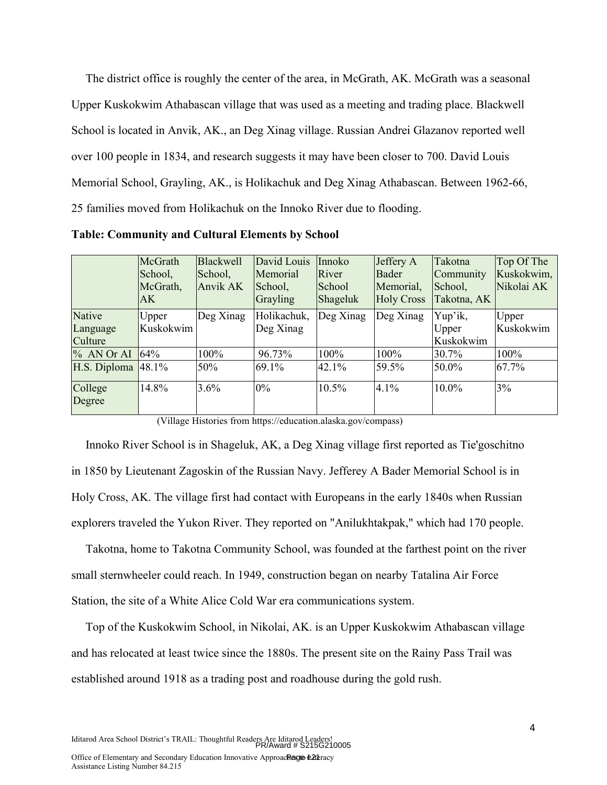The district office is roughly the center of the area, in McGrath, AK. McGrath was a seasonal Upper Kuskokwim Athabascan village that was used as a meeting and trading place. Blackwell School is located in Anvik, AK., an Deg Xinag village. Russian Andrei Glazanov reported well over 100 people in 1834, and research suggests it may have been closer to 700. David Louis Memorial School, Grayling, AK., is Holikachuk and Deg Xinag Athabascan. Between 1962-66, 25 families moved from Holikachuk on the Innoko River due to flooding.

**Table: Community and Cultural Elements by School**

|                                      | McGrath<br>School,<br>McGrath,<br>AK. | Blackwell<br>School,<br>Anvik AK | David Louis<br>Memorial<br>School,<br>Grayling | Innoko<br>River<br>School<br>Shageluk | Jeffery A<br>Bader<br>Memorial,<br><b>Holy Cross</b> | Takotna<br>Community<br>School,<br>Takotna, AK | Top Of The<br>Kuskokwim,<br>Nikolai AK |
|--------------------------------------|---------------------------------------|----------------------------------|------------------------------------------------|---------------------------------------|------------------------------------------------------|------------------------------------------------|----------------------------------------|
| <b>Native</b><br>Language<br>Culture | Upper<br>Kuskokwim                    | Deg Xinag                        | Holikachuk,<br>Deg Xinag                       | Deg Xinag                             | Deg Xinag                                            | Yup'ik,<br>Upper<br>Kuskokwim                  | Upper<br>Kuskokwim                     |
| % AN Or AI                           | 64%                                   | 100%                             | 96.73%                                         | 100%                                  | 100%                                                 | 30.7%                                          | 100%                                   |
| H.S. Diploma $ 48.1\%$               |                                       | 50%                              | 69.1%                                          | 42.1%                                 | 59.5%                                                | 50.0%                                          | 67.7%                                  |
| College<br>Degree                    | 14.8%                                 | 3.6%                             | $0\%$                                          | 10.5%                                 | 4.1%                                                 | 10.0%                                          | 3%                                     |

(Village Histories from https://education.alaska.gov/compass)

Innoko River School is in Shageluk, AK, a Deg Xinag village first reported as Tie'goschitno in 1850 by Lieutenant Zagoskin of the Russian Navy. Jefferey A Bader Memorial School is in Holy Cross, AK. The village first had contact with Europeans in the early 1840s when Russian explorers traveled the Yukon River. They reported on "Anilukhtakpak," which had 170 people.

Takotna, home to Takotna Community School, was founded at the farthest point on the river small sternwheeler could reach. In 1949, construction began on nearby Tatalina Air Force Station, the site of a White Alice Cold War era communications system.

Top of the Kuskokwim School, in Nikolai, AK. is an Upper Kuskokwim Athabascan village and has relocated at least twice since the 1880s. The present site on the Rainy Pass Trail was established around 1918 as a trading post and roadhouse during the gold rush.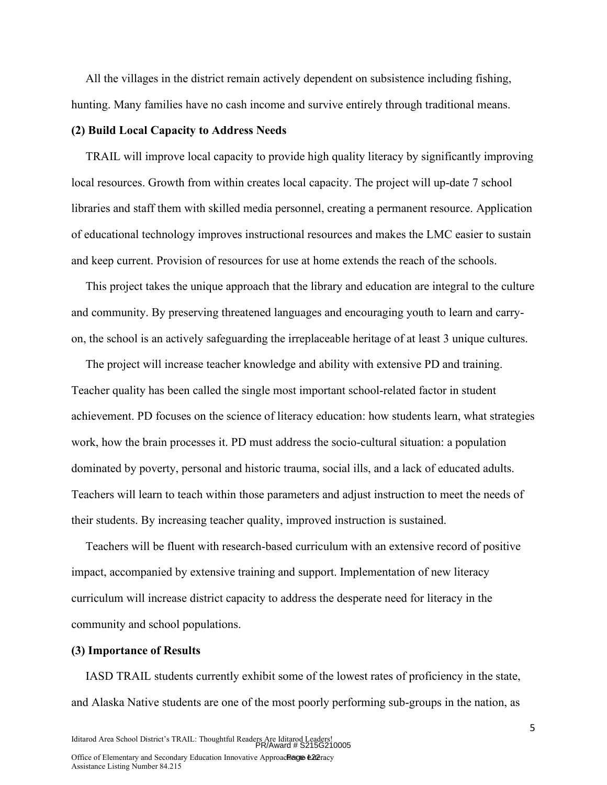All the villages in the district remain actively dependent on subsistence including fishing, hunting. Many families have no cash income and survive entirely through traditional means.

#### **(2) Build Local Capacity to Address Needs**

TRAIL will improve local capacity to provide high quality literacy by significantly improving local resources. Growth from within creates local capacity. The project will up-date 7 school libraries and staff them with skilled media personnel, creating a permanent resource. Application of educational technology improves instructional resources and makes the LMC easier to sustain and keep current. Provision of resources for use at home extends the reach of the schools.

This project takes the unique approach that the library and education are integral to the culture and community. By preserving threatened languages and encouraging youth to learn and carryon, the school is an actively safeguarding the irreplaceable heritage of at least 3 unique cultures.

The project will increase teacher knowledge and ability with extensive PD and training. Teacher quality has been called the single most important school-related factor in student achievement. PD focuses on the science of literacy education: how students learn, what strategies work, how the brain processes it. PD must address the socio-cultural situation: a population dominated by poverty, personal and historic trauma, social ills, and a lack of educated adults. Teachers will learn to teach within those parameters and adjust instruction to meet the needs of their students. By increasing teacher quality, improved instruction is sustained.

Teachers will be fluent with research-based curriculum with an extensive record of positive impact, accompanied by extensive training and support. Implementation of new literacy curriculum will increase district capacity to address the desperate need for literacy in the community and school populations.

## **(3) Importance of Results**

IASD TRAIL students currently exhibit some of the lowest rates of proficiency in the state, and Alaska Native students are one of the most poorly performing sub-groups in the nation, as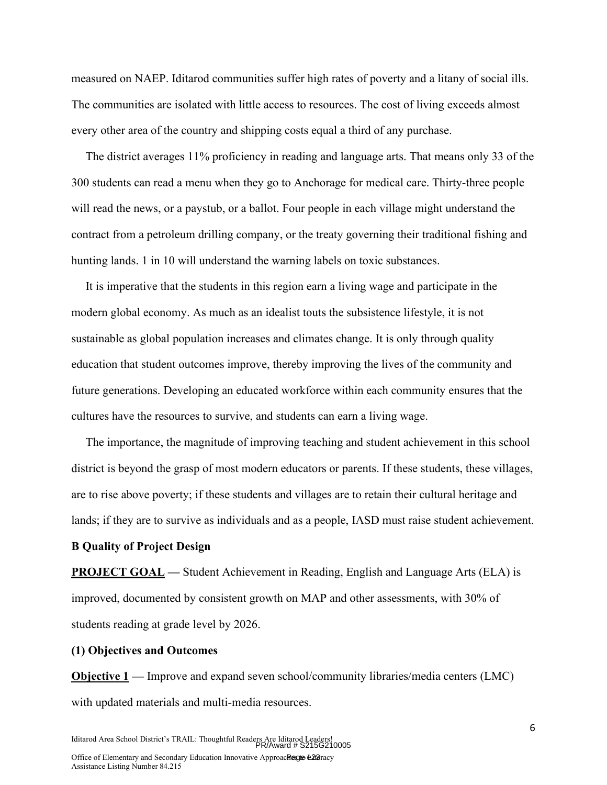measured on NAEP. Iditarod communities suffer high rates of poverty and a litany of social ills. The communities are isolated with little access to resources. The cost of living exceeds almost every other area of the country and shipping costs equal a third of any purchase.

The district averages 11% proficiency in reading and language arts. That means only 33 of the 300 students can read a menu when they go to Anchorage for medical care. Thirty-three people will read the news, or a paystub, or a ballot. Four people in each village might understand the contract from a petroleum drilling company, or the treaty governing their traditional fishing and hunting lands. 1 in 10 will understand the warning labels on toxic substances.

It is imperative that the students in this region earn a living wage and participate in the modern global economy. As much as an idealist touts the subsistence lifestyle, it is not sustainable as global population increases and climates change. It is only through quality education that student outcomes improve, thereby improving the lives of the community and future generations. Developing an educated workforce within each community ensures that the cultures have the resources to survive, and students can earn a living wage.

The importance, the magnitude of improving teaching and student achievement in this school district is beyond the grasp of most modern educators or parents. If these students, these villages, are to rise above poverty; if these students and villages are to retain their cultural heritage and lands; if they are to survive as individuals and as a people, IASD must raise student achievement.

#### **B Quality of Project Design**

**PROJECT GOAL** — Student Achievement in Reading, English and Language Arts (ELA) is improved, documented by consistent growth on MAP and other assessments, with 30% of students reading at grade level by 2026.

#### **(1) Objectives and Outcomes**

**Objective 1 —** Improve and expand seven school/community libraries/media centers (LMC) with updated materials and multi-media resources.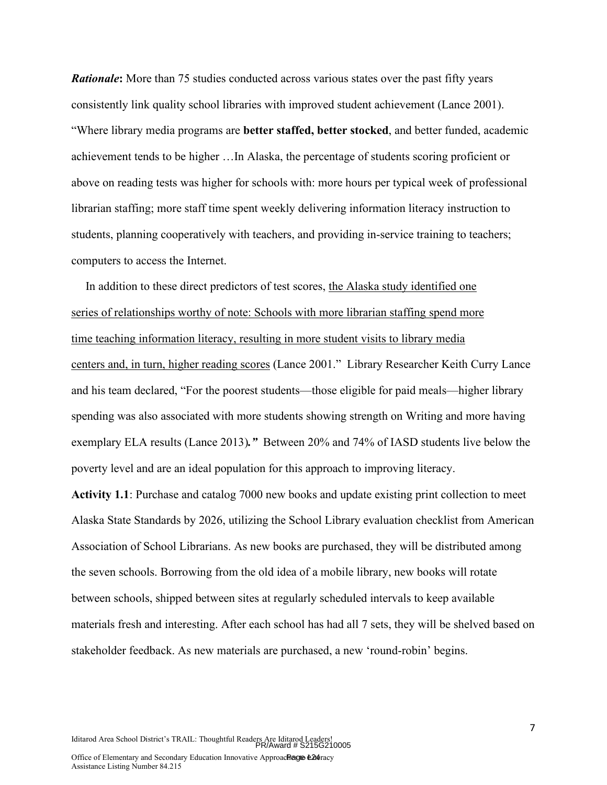*Rationale***:** More than 75 studies conducted across various states over the past fifty years consistently link quality school libraries with improved student achievement (Lance 2001). "Where library media programs are **better staffed, better stocked**, and better funded, academic achievement tends to be higher …In Alaska, the percentage of students scoring proficient or above on reading tests was higher for schools with: more hours per typical week of professional librarian staffing; more staff time spent weekly delivering information literacy instruction to students, planning cooperatively with teachers, and providing in-service training to teachers; computers to access the Internet.

In addition to these direct predictors of test scores, the Alaska study identified one series of relationships worthy of note: Schools with more librarian staffing spend more time teaching information literacy, resulting in more student visits to library media centers and, in turn, higher reading scores (Lance 2001." Library Researcher Keith Curry Lance and his team declared, "For the poorest students—those eligible for paid meals—higher library spending was also associated with more students showing strength on Writing and more having exemplary ELA results (Lance 2013)*."* Between 20% and 74% of IASD students live below the poverty level and are an ideal population for this approach to improving literacy.

**Activity 1.1**: Purchase and catalog 7000 new books and update existing print collection to meet Alaska State Standards by 2026, utilizing the School Library evaluation checklist from American Association of School Librarians. As new books are purchased, they will be distributed among the seven schools. Borrowing from the old idea of a mobile library, new books will rotate between schools, shipped between sites at regularly scheduled intervals to keep available materials fresh and interesting. After each school has had all 7 sets, they will be shelved based on stakeholder feedback. As new materials are purchased, a new 'round-robin' begins.

Iditarod Area School District's TRAIL: Thoughtful Readers Are Iditarod Leaders! PR/Award # S215G210005

7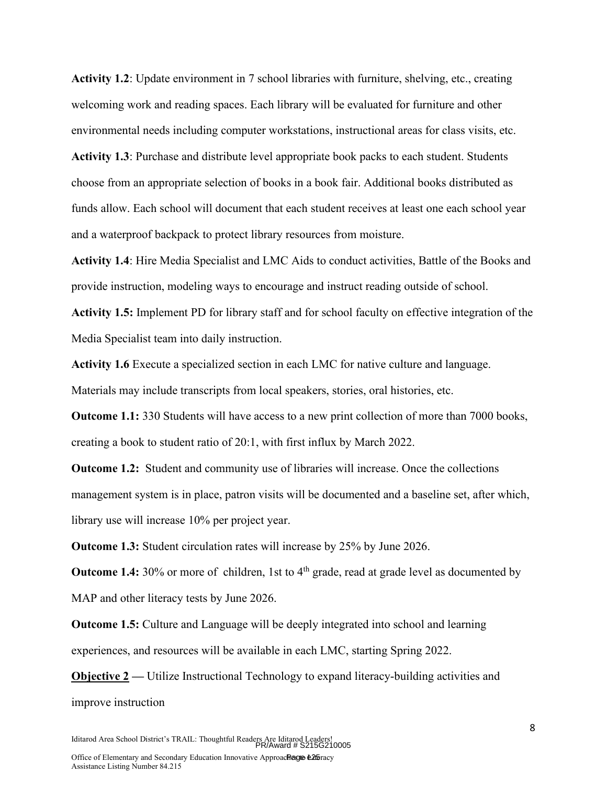**Activity 1.2**: Update environment in 7 school libraries with furniture, shelving, etc., creating welcoming work and reading spaces. Each library will be evaluated for furniture and other environmental needs including computer workstations, instructional areas for class visits, etc.

**Activity 1.3**: Purchase and distribute level appropriate book packs to each student. Students choose from an appropriate selection of books in a book fair. Additional books distributed as funds allow. Each school will document that each student receives at least one each school year and a waterproof backpack to protect library resources from moisture.

**Activity 1.4**: Hire Media Specialist and LMC Aids to conduct activities, Battle of the Books and provide instruction, modeling ways to encourage and instruct reading outside of school.

**Activity 1.5:** Implement PD for library staff and for school faculty on effective integration of the Media Specialist team into daily instruction.

**Activity 1.6** Execute a specialized section in each LMC for native culture and language. Materials may include transcripts from local speakers, stories, oral histories, etc.

**Outcome 1.1:** 330 Students will have access to a new print collection of more than 7000 books, creating a book to student ratio of 20:1, with first influx by March 2022.

**Outcome 1.2:** Student and community use of libraries will increase. Once the collections management system is in place, patron visits will be documented and a baseline set, after which, library use will increase 10% per project year.

**Outcome 1.3:** Student circulation rates will increase by 25% by June 2026.

**Outcome 1.4:** 30% or more of children, 1st to 4<sup>th</sup> grade, read at grade level as documented by MAP and other literacy tests by June 2026.

**Outcome 1.5:** Culture and Language will be deeply integrated into school and learning experiences, and resources will be available in each LMC, starting Spring 2022.

**Objective 2** — Utilize Instructional Technology to expand literacy-building activities and improve instruction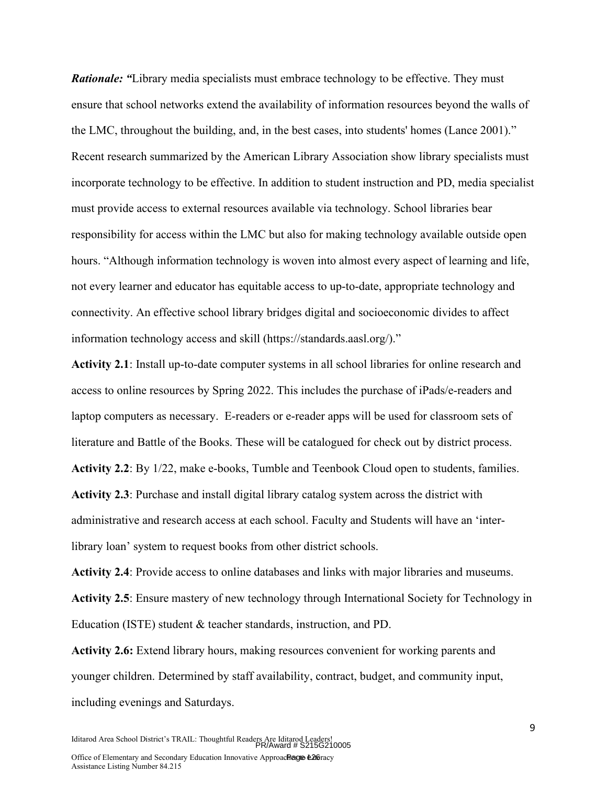*Rationale: "*Library media specialists must embrace technology to be effective. They must ensure that school networks extend the availability of information resources beyond the walls of the LMC, throughout the building, and, in the best cases, into students' homes (Lance 2001)." Recent research summarized by the American Library Association show library specialists must incorporate technology to be effective. In addition to student instruction and PD, media specialist must provide access to external resources available via technology. School libraries bear responsibility for access within the LMC but also for making technology available outside open hours. "Although information technology is woven into almost every aspect of learning and life, not every learner and educator has equitable access to up-to-date, appropriate technology and connectivity. An effective school library bridges digital and socioeconomic divides to affect information technology access and skill (https://standards.aasl.org/)."

**Activity 2.1**: Install up-to-date computer systems in all school libraries for online research and access to online resources by Spring 2022. This includes the purchase of iPads/e-readers and laptop computers as necessary. E-readers or e-reader apps will be used for classroom sets of literature and Battle of the Books. These will be catalogued for check out by district process. **Activity 2.2**: By 1/22, make e-books, Tumble and Teenbook Cloud open to students, families. **Activity 2.3**: Purchase and install digital library catalog system across the district with administrative and research access at each school. Faculty and Students will have an 'interlibrary loan' system to request books from other district schools.

**Activity 2.4**: Provide access to online databases and links with major libraries and museums. **Activity 2.5**: Ensure mastery of new technology through International Society for Technology in Education (ISTE) student & teacher standards, instruction, and PD.

**Activity 2.6:** Extend library hours, making resources convenient for working parents and younger children. Determined by staff availability, contract, budget, and community input, including evenings and Saturdays.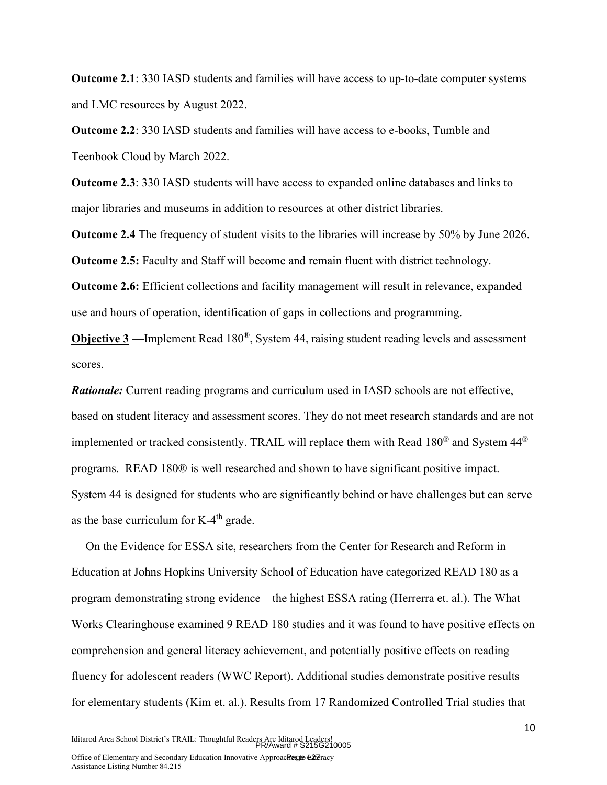**Outcome 2.1**: 330 IASD students and families will have access to up-to-date computer systems and LMC resources by August 2022.

**Outcome 2.2**: 330 IASD students and families will have access to e-books, Tumble and Teenbook Cloud by March 2022.

**Outcome 2.3**: 330 IASD students will have access to expanded online databases and links to major libraries and museums in addition to resources at other district libraries.

**Outcome 2.4** The frequency of student visits to the libraries will increase by 50% by June 2026. **Outcome 2.5:** Faculty and Staff will become and remain fluent with district technology.

**Outcome 2.6:** Efficient collections and facility management will result in relevance, expanded use and hours of operation, identification of gaps in collections and programming.

**Objective 3** —Implement Read 180<sup>®</sup>, System 44, raising student reading levels and assessment scores.

*Rationale:* Current reading programs and curriculum used in IASD schools are not effective, based on student literacy and assessment scores. They do not meet research standards and are not implemented or tracked consistently. TRAIL will replace them with Read  $180^{\circ}$  and System 44<sup> $\circ$ </sup> programs. READ 180® is well researched and shown to have significant positive impact. System 44 is designed for students who are significantly behind or have challenges but can serve as the base curriculum for  $K-4<sup>th</sup>$  grade.

On the Evidence for ESSA site, researchers from the Center for Research and Reform in Education at Johns Hopkins University School of Education have categorized READ 180 as a program demonstrating strong evidence—the highest ESSA rating (Herrerra et. al.). The What Works Clearinghouse examined 9 READ 180 studies and it was found to have positive effects on comprehension and general literacy achievement, and potentially positive effects on reading fluency for adolescent readers (WWC Report). Additional studies demonstrate positive results for elementary students (Kim et. al.). Results from 17 Randomized Controlled Trial studies that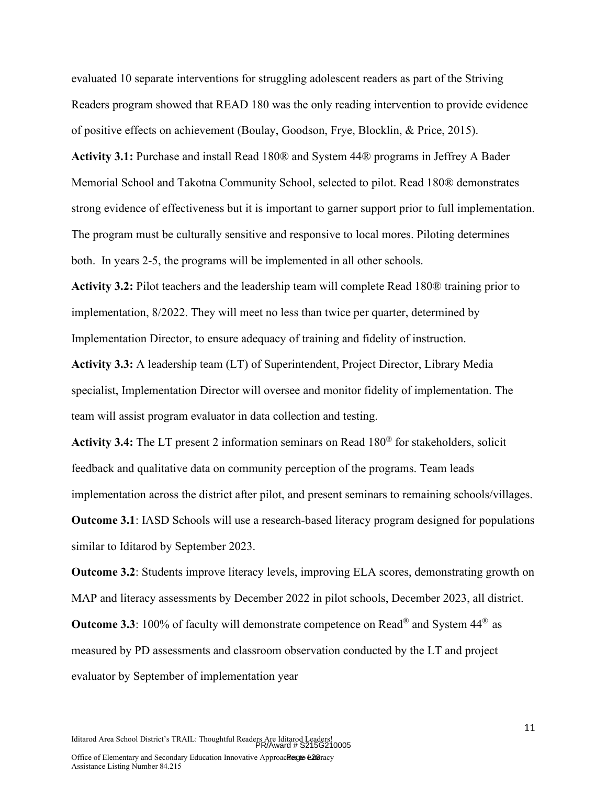evaluated 10 separate interventions for struggling adolescent readers as part of the Striving Readers program showed that READ 180 was the only reading intervention to provide evidence of positive effects on achievement (Boulay, Goodson, Frye, Blocklin, & Price, 2015).

**Activity 3.1:** Purchase and install Read 180® and System 44® programs in Jeffrey A Bader Memorial School and Takotna Community School, selected to pilot. Read 180® demonstrates strong evidence of effectiveness but it is important to garner support prior to full implementation. The program must be culturally sensitive and responsive to local mores. Piloting determines both. In years 2-5, the programs will be implemented in all other schools.

**Activity 3.2:** Pilot teachers and the leadership team will complete Read 180® training prior to implementation, 8/2022. They will meet no less than twice per quarter, determined by Implementation Director, to ensure adequacy of training and fidelity of instruction.

**Activity 3.3:** A leadership team (LT) of Superintendent, Project Director, Library Media specialist, Implementation Director will oversee and monitor fidelity of implementation. The team will assist program evaluator in data collection and testing.

**Activity 3.4:** The LT present 2 information seminars on Read 180® for stakeholders, solicit feedback and qualitative data on community perception of the programs. Team leads implementation across the district after pilot, and present seminars to remaining schools/villages.

**Outcome 3.1**: IASD Schools will use a research-based literacy program designed for populations similar to Iditarod by September 2023.

**Outcome 3.2**: Students improve literacy levels, improving ELA scores, demonstrating growth on MAP and literacy assessments by December 2022 in pilot schools, December 2023, all district.

**Outcome 3.3**: 100% of faculty will demonstrate competence on Read® and System 44® as measured by PD assessments and classroom observation conducted by the LT and project evaluator by September of implementation year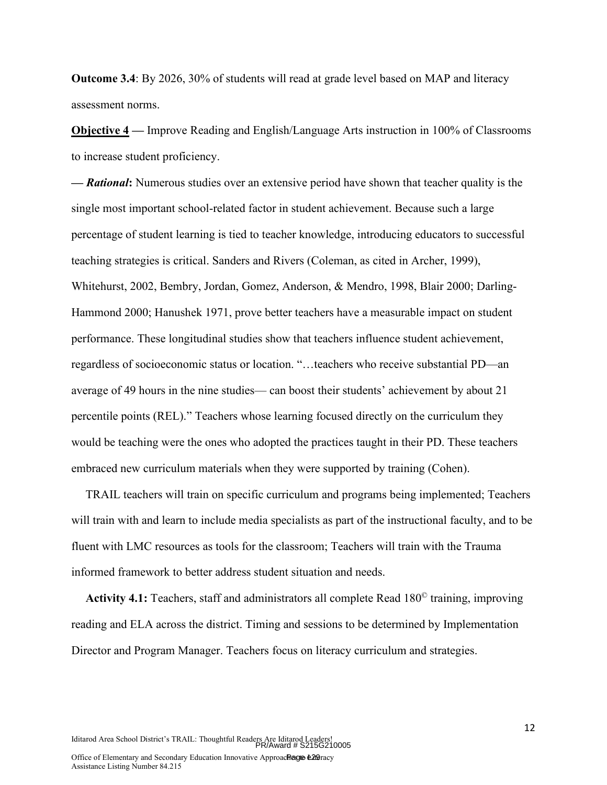**Outcome 3.4**: By 2026, 30% of students will read at grade level based on MAP and literacy assessment norms.

**Objective 4 —** Improve Reading and English/Language Arts instruction in 100% of Classrooms to increase student proficiency.

**—** *Rational***:** Numerous studies over an extensive period have shown that teacher quality is the single most important school-related factor in student achievement. Because such a large percentage of student learning is tied to teacher knowledge, introducing educators to successful teaching strategies is critical. Sanders and Rivers (Coleman, as cited in Archer, 1999), Whitehurst, 2002, Bembry, Jordan, Gomez, Anderson, & Mendro, 1998, Blair 2000; Darling-Hammond 2000; Hanushek 1971, prove better teachers have a measurable impact on student performance. These longitudinal studies show that teachers influence student achievement, regardless of socioeconomic status or location. "…teachers who receive substantial PD—an average of 49 hours in the nine studies— can boost their students' achievement by about 21 percentile points (REL)." Teachers whose learning focused directly on the curriculum they would be teaching were the ones who adopted the practices taught in their PD. These teachers embraced new curriculum materials when they were supported by training (Cohen).

TRAIL teachers will train on specific curriculum and programs being implemented; Teachers will train with and learn to include media specialists as part of the instructional faculty, and to be fluent with LMC resources as tools for the classroom; Teachers will train with the Trauma informed framework to better address student situation and needs.

**Activity 4.1:** Teachers, staff and administrators all complete Read 180© training, improving reading and ELA across the district. Timing and sessions to be determined by Implementation Director and Program Manager. Teachers focus on literacy curriculum and strategies.

Iditarod Area School District's TRAIL: Thoughtful Readers Are Iditarod Leaders! PR/Award # S215G210005

12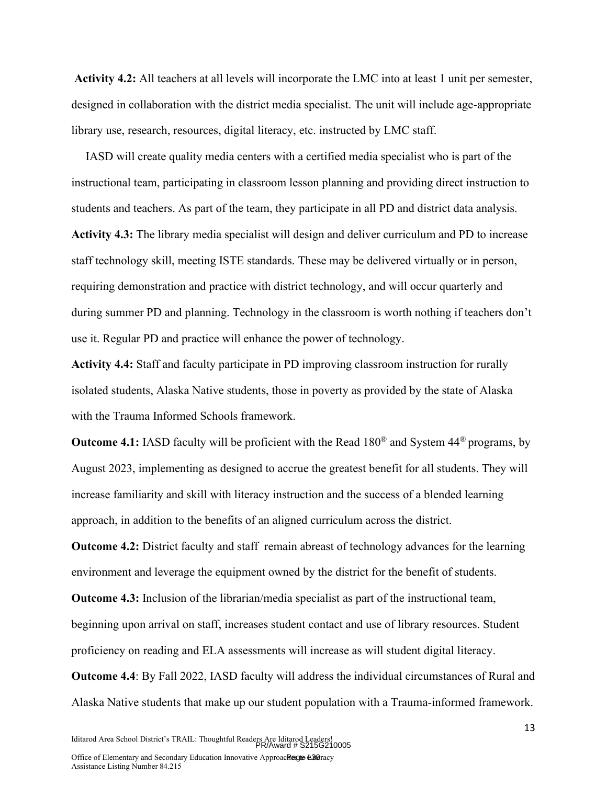**Activity 4.2:** All teachers at all levels will incorporate the LMC into at least 1 unit per semester, designed in collaboration with the district media specialist. The unit will include age-appropriate library use, research, resources, digital literacy, etc. instructed by LMC staff.

IASD will create quality media centers with a certified media specialist who is part of the instructional team, participating in classroom lesson planning and providing direct instruction to students and teachers. As part of the team, they participate in all PD and district data analysis. **Activity 4.3:** The library media specialist will design and deliver curriculum and PD to increase staff technology skill, meeting ISTE standards. These may be delivered virtually or in person, requiring demonstration and practice with district technology, and will occur quarterly and during summer PD and planning. Technology in the classroom is worth nothing if teachers don't use it. Regular PD and practice will enhance the power of technology.

**Activity 4.4:** Staff and faculty participate in PD improving classroom instruction for rurally isolated students, Alaska Native students, those in poverty as provided by the state of Alaska with the Trauma Informed Schools framework.

**Outcome 4.1:** IASD faculty will be proficient with the Read 180<sup>®</sup> and System 44<sup>®</sup> programs, by August 2023, implementing as designed to accrue the greatest benefit for all students. They will increase familiarity and skill with literacy instruction and the success of a blended learning approach, in addition to the benefits of an aligned curriculum across the district.

**Outcome 4.2:** District faculty and staff remain abreast of technology advances for the learning environment and leverage the equipment owned by the district for the benefit of students.

**Outcome 4.3:** Inclusion of the librarian/media specialist as part of the instructional team, beginning upon arrival on staff, increases student contact and use of library resources. Student proficiency on reading and ELA assessments will increase as will student digital literacy. **Outcome 4.4**: By Fall 2022, IASD faculty will address the individual circumstances of Rural and

Alaska Native students that make up our student population with a Trauma-informed framework.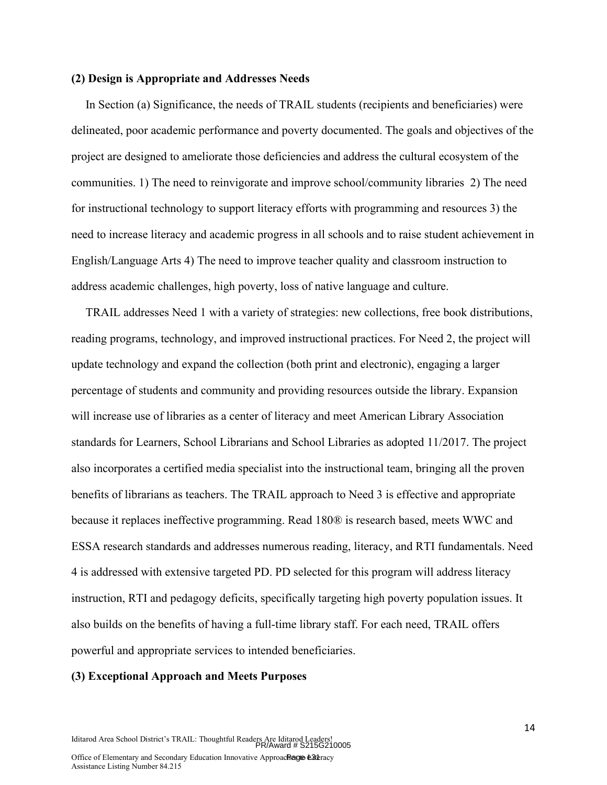#### **(2) Design is Appropriate and Addresses Needs**

In Section (a) Significance, the needs of TRAIL students (recipients and beneficiaries) were delineated, poor academic performance and poverty documented. The goals and objectives of the project are designed to ameliorate those deficiencies and address the cultural ecosystem of the communities. 1) The need to reinvigorate and improve school/community libraries 2) The need for instructional technology to support literacy efforts with programming and resources 3) the need to increase literacy and academic progress in all schools and to raise student achievement in English/Language Arts 4) The need to improve teacher quality and classroom instruction to address academic challenges, high poverty, loss of native language and culture.

TRAIL addresses Need 1 with a variety of strategies: new collections, free book distributions, reading programs, technology, and improved instructional practices. For Need 2, the project will update technology and expand the collection (both print and electronic), engaging a larger percentage of students and community and providing resources outside the library. Expansion will increase use of libraries as a center of literacy and meet American Library Association standards for Learners, School Librarians and School Libraries as adopted 11/2017. The project also incorporates a certified media specialist into the instructional team, bringing all the proven benefits of librarians as teachers. The TRAIL approach to Need 3 is effective and appropriate because it replaces ineffective programming. Read 180® is research based, meets WWC and ESSA research standards and addresses numerous reading, literacy, and RTI fundamentals. Need 4 is addressed with extensive targeted PD. PD selected for this program will address literacy instruction, RTI and pedagogy deficits, specifically targeting high poverty population issues. It also builds on the benefits of having a full-time library staff. For each need, TRAIL offers powerful and appropriate services to intended beneficiaries.

#### **(3) Exceptional Approach and Meets Purposes**

Iditarod Area School District's TRAIL: Thoughtful Readers Are Iditarod Leaders! PR/Award # S215G210005

14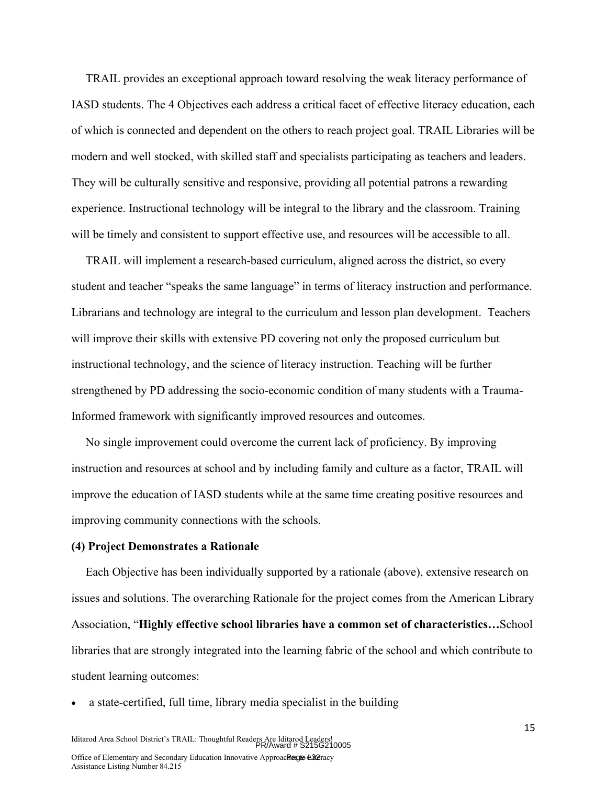TRAIL provides an exceptional approach toward resolving the weak literacy performance of IASD students. The 4 Objectives each address a critical facet of effective literacy education, each of which is connected and dependent on the others to reach project goal. TRAIL Libraries will be modern and well stocked, with skilled staff and specialists participating as teachers and leaders. They will be culturally sensitive and responsive, providing all potential patrons a rewarding experience. Instructional technology will be integral to the library and the classroom. Training will be timely and consistent to support effective use, and resources will be accessible to all.

TRAIL will implement a research-based curriculum, aligned across the district, so every student and teacher "speaks the same language" in terms of literacy instruction and performance. Librarians and technology are integral to the curriculum and lesson plan development. Teachers will improve their skills with extensive PD covering not only the proposed curriculum but instructional technology, and the science of literacy instruction. Teaching will be further strengthened by PD addressing the socio-economic condition of many students with a Trauma-Informed framework with significantly improved resources and outcomes.

No single improvement could overcome the current lack of proficiency. By improving instruction and resources at school and by including family and culture as a factor, TRAIL will improve the education of IASD students while at the same time creating positive resources and improving community connections with the schools.

#### **(4) Project Demonstrates a Rationale**

Each Objective has been individually supported by a rationale (above), extensive research on issues and solutions. The overarching Rationale for the project comes from the American Library Association, "**Highly effective school libraries have a common set of characteristics…**School libraries that are strongly integrated into the learning fabric of the school and which contribute to student learning outcomes:

a state-certified, full time, library media specialist in the building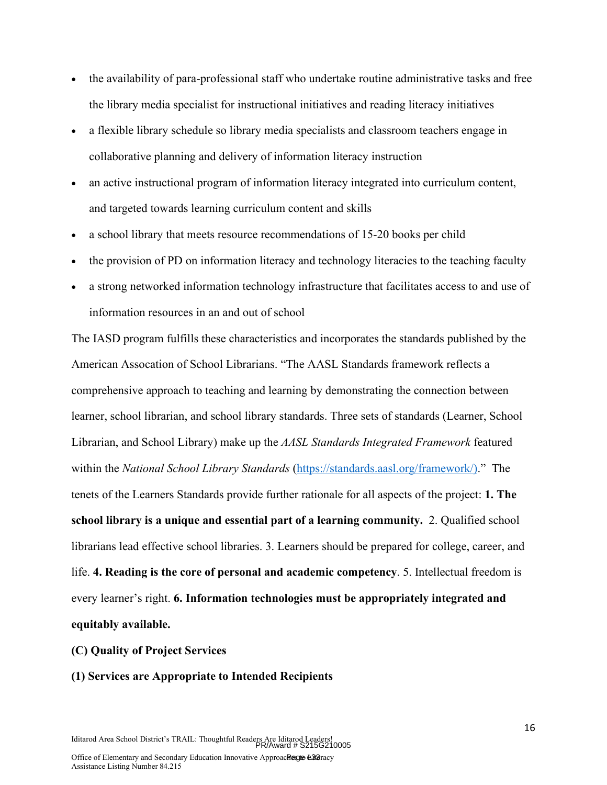- the availability of para-professional staff who undertake routine administrative tasks and free the library media specialist for instructional initiatives and reading literacy initiatives
- a flexible library schedule so library media specialists and classroom teachers engage in collaborative planning and delivery of information literacy instruction
- an active instructional program of information literacy integrated into curriculum content, and targeted towards learning curriculum content and skills
- a school library that meets resource recommendations of 15-20 books per child
- the provision of PD on information literacy and technology literacies to the teaching faculty
- a strong networked information technology infrastructure that facilitates access to and use of information resources in an and out of school

The IASD program fulfills these characteristics and incorporates the standards published by the American Assocation of School Librarians. "The AASL Standards framework reflects a comprehensive approach to teaching and learning by demonstrating the connection between learner, school librarian, and school library standards. Three sets of standards (Learner, School Librarian, and School Library) make up the *AASL Standards Integrated Framework* featured within the *National School Library Standards* (https://standards.aasl.org/framework/)." The tenets of the Learners Standards provide further rationale for all aspects of the project: **1. The school library is a unique and essential part of a learning community.** 2. Qualified school librarians lead effective school libraries. 3. Learners should be prepared for college, career, and life. **4. Reading is the core of personal and academic competency**. 5. Intellectual freedom is every learner's right. **6. Information technologies must be appropriately integrated and equitably available.**

## **(C) Quality of Project Services**

# **(1) Services are Appropriate to Intended Recipients**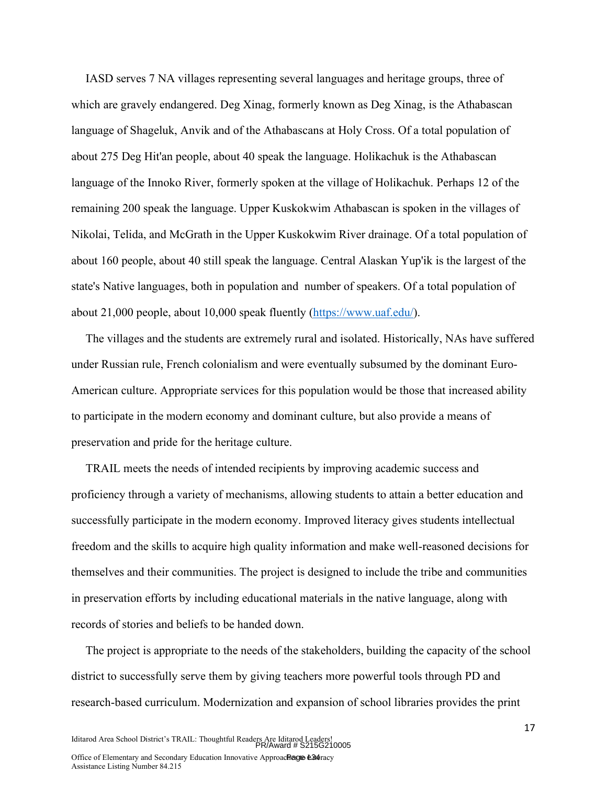IASD serves 7 NA villages representing several languages and heritage groups, three of which are gravely endangered. Deg Xinag, formerly known as Deg Xinag, is the Athabascan language of Shageluk, Anvik and of the Athabascans at Holy Cross. Of a total population of about 275 Deg Hit'an people, about 40 speak the language. Holikachuk is the Athabascan language of the Innoko River, formerly spoken at the village of Holikachuk. Perhaps 12 of the remaining 200 speak the language. Upper Kuskokwim Athabascan is spoken in the villages of Nikolai, Telida, and McGrath in the Upper Kuskokwim River drainage. Of a total population of about 160 people, about 40 still speak the language. Central Alaskan Yup'ik is the largest of the state's Native languages, both in population and number of speakers. Of a total population of about 21,000 people, about 10,000 speak fluently (https://www.uaf.edu/).

The villages and the students are extremely rural and isolated. Historically, NAs have suffered under Russian rule, French colonialism and were eventually subsumed by the dominant Euro-American culture. Appropriate services for this population would be those that increased ability to participate in the modern economy and dominant culture, but also provide a means of preservation and pride for the heritage culture.

TRAIL meets the needs of intended recipients by improving academic success and proficiency through a variety of mechanisms, allowing students to attain a better education and successfully participate in the modern economy. Improved literacy gives students intellectual freedom and the skills to acquire high quality information and make well-reasoned decisions for themselves and their communities. The project is designed to include the tribe and communities in preservation efforts by including educational materials in the native language, along with records of stories and beliefs to be handed down.

The project is appropriate to the needs of the stakeholders, building the capacity of the school district to successfully serve them by giving teachers more powerful tools through PD and research-based curriculum. Modernization and expansion of school libraries provides the print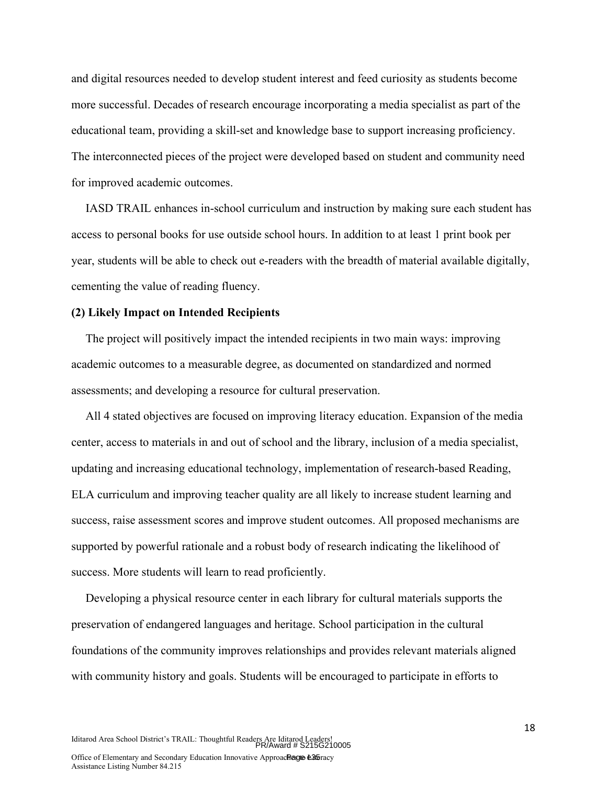and digital resources needed to develop student interest and feed curiosity as students become more successful. Decades of research encourage incorporating a media specialist as part of the educational team, providing a skill-set and knowledge base to support increasing proficiency. The interconnected pieces of the project were developed based on student and community need for improved academic outcomes.

IASD TRAIL enhances in-school curriculum and instruction by making sure each student has access to personal books for use outside school hours. In addition to at least 1 print book per year, students will be able to check out e-readers with the breadth of material available digitally, cementing the value of reading fluency.

#### **(2) Likely Impact on Intended Recipients**

The project will positively impact the intended recipients in two main ways: improving academic outcomes to a measurable degree, as documented on standardized and normed assessments; and developing a resource for cultural preservation.

All 4 stated objectives are focused on improving literacy education. Expansion of the media center, access to materials in and out of school and the library, inclusion of a media specialist, updating and increasing educational technology, implementation of research-based Reading, ELA curriculum and improving teacher quality are all likely to increase student learning and success, raise assessment scores and improve student outcomes. All proposed mechanisms are supported by powerful rationale and a robust body of research indicating the likelihood of success. More students will learn to read proficiently.

Developing a physical resource center in each library for cultural materials supports the preservation of endangered languages and heritage. School participation in the cultural foundations of the community improves relationships and provides relevant materials aligned with community history and goals. Students will be encouraged to participate in efforts to

Assistance Listing Number 84.215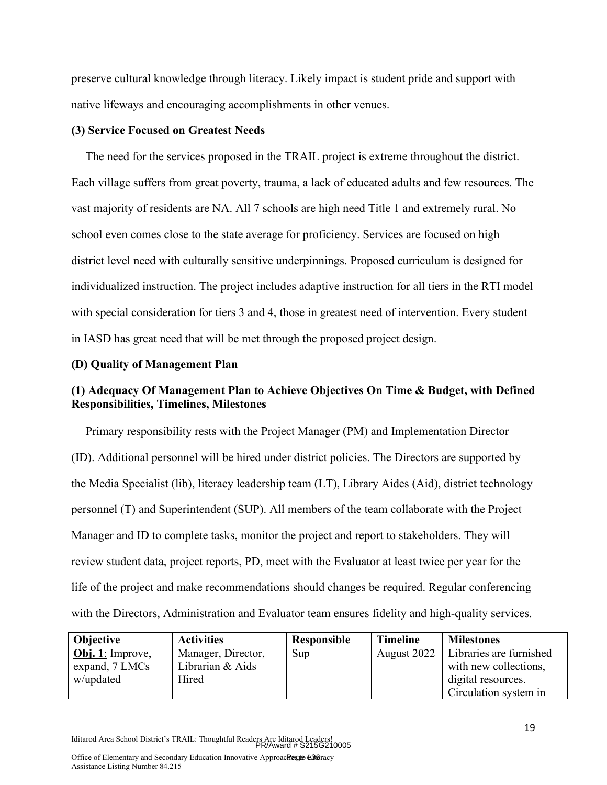preserve cultural knowledge through literacy. Likely impact is student pride and support with native lifeways and encouraging accomplishments in other venues.

#### **(3) Service Focused on Greatest Needs**

The need for the services proposed in the TRAIL project is extreme throughout the district. Each village suffers from great poverty, trauma, a lack of educated adults and few resources. The vast majority of residents are NA. All 7 schools are high need Title 1 and extremely rural. No school even comes close to the state average for proficiency. Services are focused on high district level need with culturally sensitive underpinnings. Proposed curriculum is designed for individualized instruction. The project includes adaptive instruction for all tiers in the RTI model with special consideration for tiers 3 and 4, those in greatest need of intervention. Every student in IASD has great need that will be met through the proposed project design.

#### **(D) Quality of Management Plan**

# **(1) Adequacy Of Management Plan to Achieve Objectives On Time & Budget, with Defined Responsibilities, Timelines, Milestones**

Primary responsibility rests with the Project Manager (PM) and Implementation Director (ID). Additional personnel will be hired under district policies. The Directors are supported by the Media Specialist (lib), literacy leadership team (LT), Library Aides (Aid), district technology personnel (T) and Superintendent (SUP). All members of the team collaborate with the Project Manager and ID to complete tasks, monitor the project and report to stakeholders. They will review student data, project reports, PD, meet with the Evaluator at least twice per year for the life of the project and make recommendations should changes be required. Regular conferencing with the Directors, Administration and Evaluator team ensures fidelity and high-quality services.

| <b>Objective</b>        | <b>Activities</b>  | Responsible | <b>Timeline</b> | <b>Milestones</b>       |
|-------------------------|--------------------|-------------|-----------------|-------------------------|
| <b>Obj.</b> 1: Improve, | Manager, Director, | Sup         | August 2022     | Libraries are furnished |
| expand, 7 LMCs          | Librarian & Aids   |             |                 | with new collections,   |
| w/updated               | Hired              |             |                 | digital resources.      |
|                         |                    |             |                 | Circulation system in   |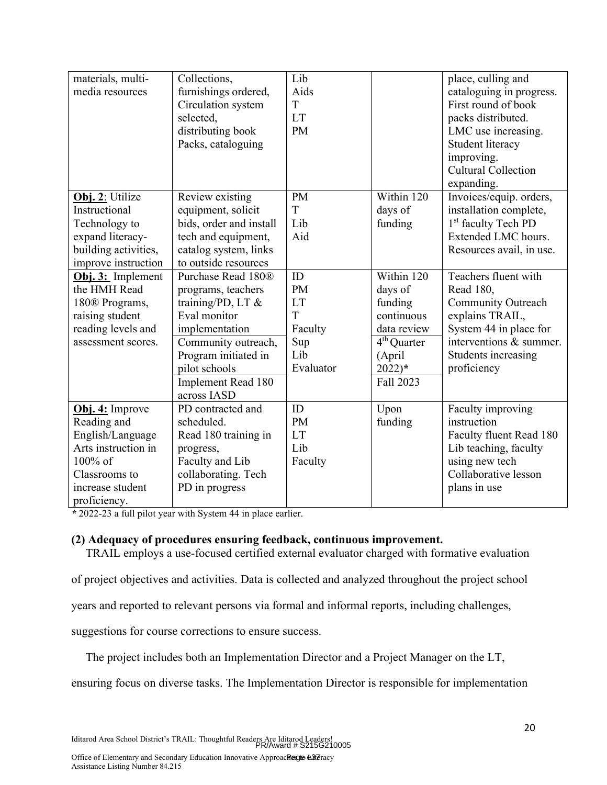| materials, multi-<br>media resources                                                                                                      | Collections,<br>furnishings ordered,<br>Circulation system<br>selected,<br>distributing book<br>Packs, cataloguing                                                                                   | Lib<br>Aids<br>T<br><b>LT</b><br><b>PM</b>                       |                                                                                                                             | place, culling and<br>cataloguing in progress.<br>First round of book<br>packs distributed.<br>LMC use increasing.<br>Student literacy<br>improving.<br><b>Cultural Collection</b><br>expanding. |
|-------------------------------------------------------------------------------------------------------------------------------------------|------------------------------------------------------------------------------------------------------------------------------------------------------------------------------------------------------|------------------------------------------------------------------|-----------------------------------------------------------------------------------------------------------------------------|--------------------------------------------------------------------------------------------------------------------------------------------------------------------------------------------------|
| Obj. 2: Utilize<br>Instructional<br>Technology to<br>expand literacy-<br>building activities,<br>improve instruction                      | Review existing<br>equipment, solicit<br>bids, order and install<br>tech and equipment,<br>catalog system, links<br>to outside resources                                                             | <b>PM</b><br>T<br>Lib<br>Aid                                     | Within 120<br>days of<br>funding                                                                                            | Invoices/equip. orders,<br>installation complete,<br>1 <sup>st</sup> faculty Tech PD<br>Extended LMC hours.<br>Resources avail, in use.                                                          |
| Obj. 3: Implement<br>the HMH Read<br>180 <sup>®</sup> Programs,<br>raising student<br>reading levels and<br>assessment scores.            | Purchase Read 180®<br>programs, teachers<br>training/PD, LT &<br>Eval monitor<br>implementation<br>Community outreach,<br>Program initiated in<br>pilot schools<br>Implement Read 180<br>across IASD | ID<br><b>PM</b><br>LT<br>T<br>Faculty<br>Sup<br>Lib<br>Evaluator | Within 120<br>days of<br>funding<br>continuous<br>data review<br>4 <sup>th</sup> Quarter<br>(April<br>$2022)*$<br>Fall 2023 | Teachers fluent with<br>Read 180,<br>Community Outreach<br>explains TRAIL,<br>System 44 in place for<br>interventions & summer.<br>Students increasing<br>proficiency                            |
| Obj. 4: Improve<br>Reading and<br>English/Language<br>Arts instruction in<br>100% of<br>Classrooms to<br>increase student<br>proficiency. | PD contracted and<br>scheduled.<br>Read 180 training in<br>progress,<br>Faculty and Lib<br>collaborating. Tech<br>PD in progress                                                                     | ID<br><b>PM</b><br><b>LT</b><br>Lib<br>Faculty                   | Upon<br>funding                                                                                                             | Faculty improving<br>instruction<br>Faculty fluent Read 180<br>Lib teaching, faculty<br>using new tech<br>Collaborative lesson<br>plans in use                                                   |

*\** 2022-23 a full pilot year with System 44 in place earlier.

#### **(2) Adequacy of procedures ensuring feedback, continuous improvement.**

TRAIL employs a use-focused certified external evaluator charged with formative evaluation

of project objectives and activities. Data is collected and analyzed throughout the project school

years and reported to relevant persons via formal and informal reports, including challenges,

suggestions for course corrections to ensure success.

The project includes both an Implementation Director and a Project Manager on the LT,

ensuring focus on diverse tasks. The Implementation Director is responsible for implementation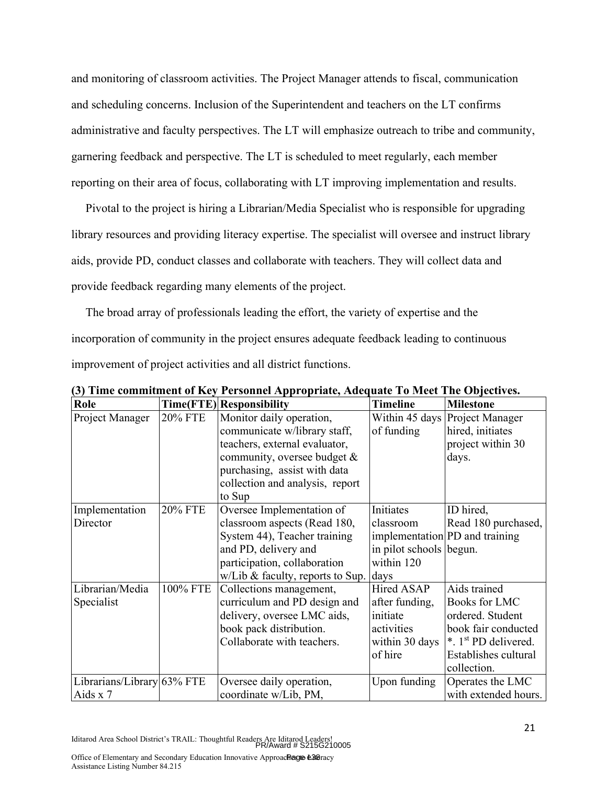and monitoring of classroom activities. The Project Manager attends to fiscal, communication and scheduling concerns. Inclusion of the Superintendent and teachers on the LT confirms administrative and faculty perspectives. The LT will emphasize outreach to tribe and community, garnering feedback and perspective. The LT is scheduled to meet regularly, each member reporting on their area of focus, collaborating with LT improving implementation and results.

Pivotal to the project is hiring a Librarian/Media Specialist who is responsible for upgrading library resources and providing literacy expertise. The specialist will oversee and instruct library aids, provide PD, conduct classes and collaborate with teachers. They will collect data and provide feedback regarding many elements of the project.

The broad array of professionals leading the effort, the variety of expertise and the incorporation of community in the project ensures adequate feedback leading to continuous improvement of project activities and all district functions.

| Role                       |                | Time(FTE) Responsibility              | <b>Timeline</b>         | <b>Milestone</b>                 |
|----------------------------|----------------|---------------------------------------|-------------------------|----------------------------------|
| Project Manager            | <b>20% FTE</b> | Monitor daily operation,              | Within 45 days          | Project Manager                  |
|                            |                | communicate w/library staff,          | of funding              | hired, initiates                 |
|                            |                | teachers, external evaluator,         |                         | project within 30                |
|                            |                | community, oversee budget &           |                         | days.                            |
|                            |                | purchasing, assist with data          |                         |                                  |
|                            |                | collection and analysis, report       |                         |                                  |
|                            |                | to Sup                                |                         |                                  |
| Implementation             | <b>20% FTE</b> | Oversee Implementation of             | <b>Initiates</b>        | ID hired,                        |
| Director                   |                | classroom aspects (Read 180,          | classroom               | Read 180 purchased,              |
|                            |                | System 44), Teacher training          |                         | implementation PD and training   |
|                            |                | and PD, delivery and                  | in pilot schools begun. |                                  |
|                            |                | participation, collaboration          | within 120              |                                  |
|                            |                | w/Lib & faculty, reports to Sup. days |                         |                                  |
| Librarian/Media            | 100% FTE       | Collections management,               | Hired ASAP              | Aids trained                     |
| Specialist                 |                | curriculum and PD design and          | after funding,          | <b>Books for LMC</b>             |
|                            |                | delivery, oversee LMC aids,           | initiate                | ordered. Student                 |
|                            |                | book pack distribution.               | activities              | book fair conducted              |
|                            |                | Collaborate with teachers.            | within 30 days          | *. 1 <sup>st</sup> PD delivered. |
|                            |                |                                       | of hire                 | Establishes cultural             |
|                            |                |                                       |                         | collection.                      |
| Librarians/Library 63% FTE |                | Oversee daily operation,              | Upon funding            | Operates the LMC                 |
| Aids x 7                   |                | coordinate w/Lib, PM,                 |                         | with extended hours.             |

**(3) Time commitment of Key Personnel Appropriate, Adequate To Meet The Objectives.**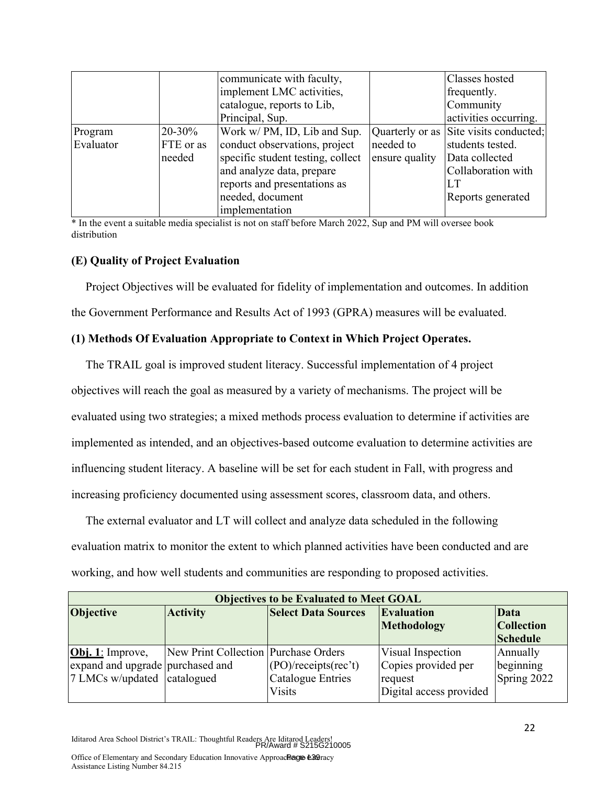|           |           | communicate with faculty,         |                 | Classes hosted         |
|-----------|-----------|-----------------------------------|-----------------|------------------------|
|           |           | implement LMC activities,         |                 | frequently.            |
|           |           | catalogue, reports to Lib,        |                 | Community              |
|           |           | Principal, Sup.                   |                 | activities occurring.  |
| Program   | 20-30%    | Work w/ PM, ID, Lib and Sup.      | Quarterly or as | Site visits conducted; |
| Evaluator | FTE or as | conduct observations, project     | needed to       | students tested.       |
|           | needed    | specific student testing, collect | ensure quality  | Data collected         |
|           |           | and analyze data, prepare         |                 | Collaboration with     |
|           |           | reports and presentations as      |                 | LT                     |
|           |           | needed, document                  |                 | Reports generated      |
|           |           | implementation                    |                 |                        |

\* In the event a suitable media specialist is not on staff before March 2022, Sup and PM will oversee book distribution

#### **(E) Quality of Project Evaluation**

Project Objectives will be evaluated for fidelity of implementation and outcomes. In addition the Government Performance and Results Act of 1993 (GPRA) measures will be evaluated.

#### **(1) Methods Of Evaluation Appropriate to Context in Which Project Operates.**

The TRAIL goal is improved student literacy. Successful implementation of 4 project objectives will reach the goal as measured by a variety of mechanisms. The project will be evaluated using two strategies; a mixed methods process evaluation to determine if activities are implemented as intended, and an objectives-based outcome evaluation to determine activities are influencing student literacy. A baseline will be set for each student in Fall, with progress and increasing proficiency documented using assessment scores, classroom data, and others.

The external evaluator and LT will collect and analyze data scheduled in the following evaluation matrix to monitor the extent to which planned activities have been conducted and are working, and how well students and communities are responding to proposed activities.

| <b>Objectives to be Evaluated to Meet GOAL</b> |                                      |                            |                         |                   |  |  |
|------------------------------------------------|--------------------------------------|----------------------------|-------------------------|-------------------|--|--|
| <b>Objective</b>                               | <b>Activity</b>                      | <b>Select Data Sources</b> | <b>Evaluation</b>       | Data              |  |  |
|                                                |                                      |                            | Methodology             | <b>Collection</b> |  |  |
|                                                |                                      |                            |                         | <b>Schedule</b>   |  |  |
| $\textbf{Obj. 1:}$ Improve,                    | New Print Collection Purchase Orders |                            | Visual Inspection       | Annually          |  |  |
| expand and upgrade purchased and               |                                      | (PO)/recepts(rec't)        | Copies provided per     | beginning         |  |  |
| 7 LMCs w/updated catalogued                    |                                      | <b>Catalogue Entries</b>   | request                 | Spring 2022       |  |  |
|                                                |                                      | <b>Visits</b>              | Digital access provided |                   |  |  |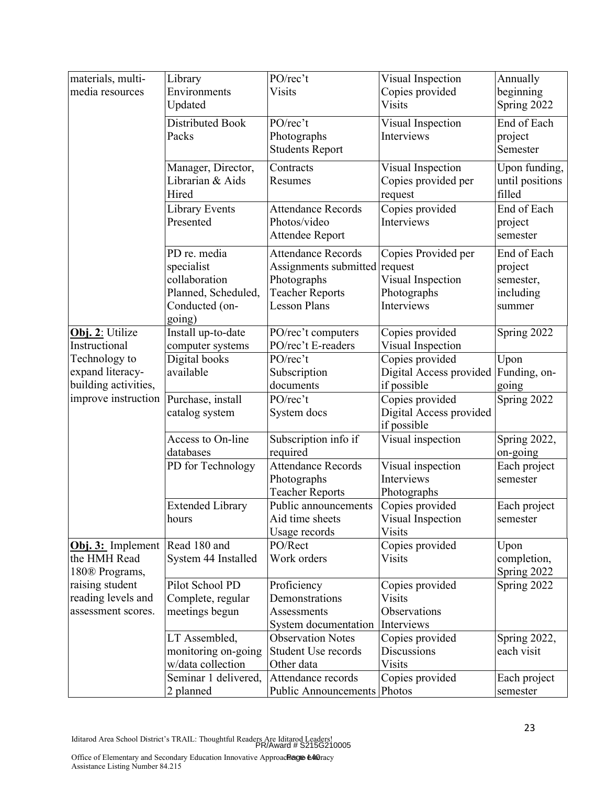| materials, multi-                 | Library                 | PO/rec't                      | Visual Inspection       | Annually        |
|-----------------------------------|-------------------------|-------------------------------|-------------------------|-----------------|
| media resources                   | Environments            | <b>Visits</b>                 | Copies provided         | beginning       |
|                                   | Updated                 |                               | <b>Visits</b>           | Spring 2022     |
|                                   | Distributed Book        | PO/rec't                      | Visual Inspection       | End of Each     |
|                                   |                         |                               | Interviews              |                 |
|                                   | Packs                   | Photographs                   |                         | project         |
|                                   |                         | <b>Students Report</b>        |                         | Semester        |
|                                   | Manager, Director,      | Contracts                     | Visual Inspection       | Upon funding,   |
|                                   | Librarian & Aids        | Resumes                       | Copies provided per     | until positions |
|                                   | Hired                   |                               | request                 | filled          |
|                                   | Library Events          | <b>Attendance Records</b>     | Copies provided         | End of Each     |
|                                   | Presented               | Photos/video                  | Interviews              |                 |
|                                   |                         |                               |                         | project         |
|                                   |                         | Attendee Report               |                         | semester        |
|                                   | PD re. media            | <b>Attendance Records</b>     | Copies Provided per     | End of Each     |
|                                   | specialist              | Assignments submitted request |                         | project         |
|                                   | collaboration           | Photographs                   | Visual Inspection       | semester,       |
|                                   | Planned, Scheduled,     | <b>Teacher Reports</b>        | Photographs             | including       |
|                                   | Conducted (on-          | <b>Lesson Plans</b>           | Interviews              | summer          |
|                                   | going)                  |                               |                         |                 |
| Obj. 2: Utilize                   | Install up-to-date      | PO/rec't computers            | Copies provided         | Spring 2022     |
|                                   |                         |                               |                         |                 |
| Instructional                     | computer systems        | PO/rec't E-readers            | Visual Inspection       |                 |
| Technology to                     | Digital books           | PO/rec't                      | Copies provided         | Upon            |
| expand literacy-                  | available               | Subscription                  | Digital Access provided | Funding, on-    |
| building activities,              |                         | documents                     | if possible             | going           |
| improve instruction               | Purchase, install       | PO/rec't                      | Copies provided         | Spring 2022     |
|                                   | catalog system          | System docs                   | Digital Access provided |                 |
|                                   |                         |                               | if possible             |                 |
|                                   | Access to On-line       | Subscription info if          | Visual inspection       | Spring 2022,    |
|                                   | databases               | required                      |                         | on-going        |
|                                   | PD for Technology       | <b>Attendance Records</b>     | Visual inspection       | Each project    |
|                                   |                         | Photographs                   | Interviews              | semester        |
|                                   |                         | <b>Teacher Reports</b>        | Photographs             |                 |
|                                   | <b>Extended Library</b> | Public announcements          | Copies provided         | Each project    |
|                                   | hours                   | Aid time sheets               | Visual Inspection       | semester        |
|                                   |                         | Usage records                 | Visits                  |                 |
|                                   | Read 180 and            | PO/Rect                       | Copies provided         |                 |
| Obj. 3: Implement<br>the HMH Read |                         |                               |                         | Upon            |
|                                   | System 44 Installed     | Work orders                   | <b>Visits</b>           | completion,     |
| 180 <sup>®</sup> Programs,        |                         |                               |                         | Spring 2022     |
| raising student                   | Pilot School PD         | Proficiency                   | Copies provided         | Spring 2022     |
| reading levels and                | Complete, regular       | Demonstrations                | <b>Visits</b>           |                 |
| assessment scores.                | meetings begun          | Assessments                   | Observations            |                 |
|                                   |                         | System documentation          | Interviews              |                 |
|                                   | LT Assembled,           | <b>Observation Notes</b>      | Copies provided         | Spring 2022,    |
|                                   | monitoring on-going     | Student Use records           | <b>Discussions</b>      | each visit      |
|                                   | w/data collection       | Other data                    | <b>Visits</b>           |                 |
|                                   | Seminar 1 delivered,    | Attendance records            | Copies provided         | Each project    |
|                                   | 2 planned               | <b>Public Announcements</b>   | Photos                  | semester        |
|                                   |                         |                               |                         |                 |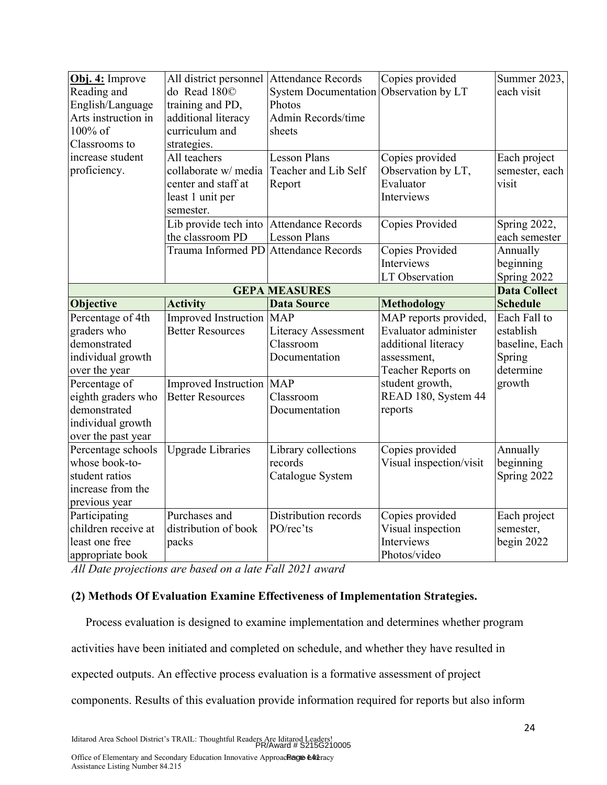| Obj. 4: Improve<br>Reading and<br>English/Language<br>Arts instruction in<br>100% of<br>Classrooms to | All district personnel Attendance Records<br>do Read 1800<br>training and PD,<br>additional literacy<br>curriculum and<br>strategies. | <b>System Documentation</b><br>Photos<br>Admin Records/time<br>sheets | Copies provided<br>Observation by LT                                                                      | Summer 2023,<br>each visit                                         |
|-------------------------------------------------------------------------------------------------------|---------------------------------------------------------------------------------------------------------------------------------------|-----------------------------------------------------------------------|-----------------------------------------------------------------------------------------------------------|--------------------------------------------------------------------|
| increase student<br>proficiency.                                                                      | All teachers<br>collaborate w/ media<br>center and staff at<br>least 1 unit per<br>semester.                                          | <b>Lesson Plans</b><br>Teacher and Lib Self<br>Report                 | Copies provided<br>Observation by LT,<br>Evaluator<br>Interviews                                          | Each project<br>semester, each<br>visit                            |
|                                                                                                       | Lib provide tech into Attendance Records<br>the classroom PD                                                                          | <b>Lesson Plans</b>                                                   | Copies Provided                                                                                           | Spring 2022,<br>each semester                                      |
|                                                                                                       | Trauma Informed PD Attendance Records                                                                                                 |                                                                       | Copies Provided<br>Interviews<br>LT Observation                                                           | Annually<br>beginning<br>Spring 2022                               |
|                                                                                                       |                                                                                                                                       | <b>GEPA MEASURES</b>                                                  |                                                                                                           | <b>Data Collect</b>                                                |
| Objective                                                                                             | <b>Activity</b>                                                                                                                       | <b>Data Source</b>                                                    | <b>Methodology</b>                                                                                        | <b>Schedule</b>                                                    |
| Percentage of 4th<br>graders who<br>demonstrated<br>individual growth<br>over the year                | Improved Instruction MAP<br><b>Better Resources</b>                                                                                   | <b>Literacy Assessment</b><br>Classroom<br>Documentation              | MAP reports provided,<br>Evaluator administer<br>additional literacy<br>assessment,<br>Teacher Reports on | Each Fall to<br>establish<br>baseline, Each<br>Spring<br>determine |
| Percentage of<br>eighth graders who<br>demonstrated<br>individual growth<br>over the past year        | Improved Instruction MAP<br><b>Better Resources</b>                                                                                   | Classroom<br>Documentation                                            | student growth,<br>READ 180, System 44<br>reports                                                         | growth                                                             |
| Percentage schools<br>whose book-to-<br>student ratios<br>increase from the<br>previous year          | Upgrade Libraries                                                                                                                     | Library collections<br>records<br>Catalogue System                    | Copies provided<br>Visual inspection/visit                                                                | Annually<br>beginning<br>Spring 2022                               |
| Participating<br>children receive at<br>least one free<br>appropriate book                            | Purchases and<br>distribution of book<br>packs                                                                                        | Distribution records<br>PO/rec'ts                                     | Copies provided<br>Visual inspection<br>Interviews<br>Photos/video                                        | Each project<br>semester,<br>begin 2022                            |

*All Date projections are based on a late Fall 2021 award*

#### **(2) Methods Of Evaluation Examine Effectiveness of Implementation Strategies.**

Process evaluation is designed to examine implementation and determines whether program activities have been initiated and completed on schedule, and whether they have resulted in expected outputs. An effective process evaluation is a formative assessment of project components. Results of this evaluation provide information required for reports but also inform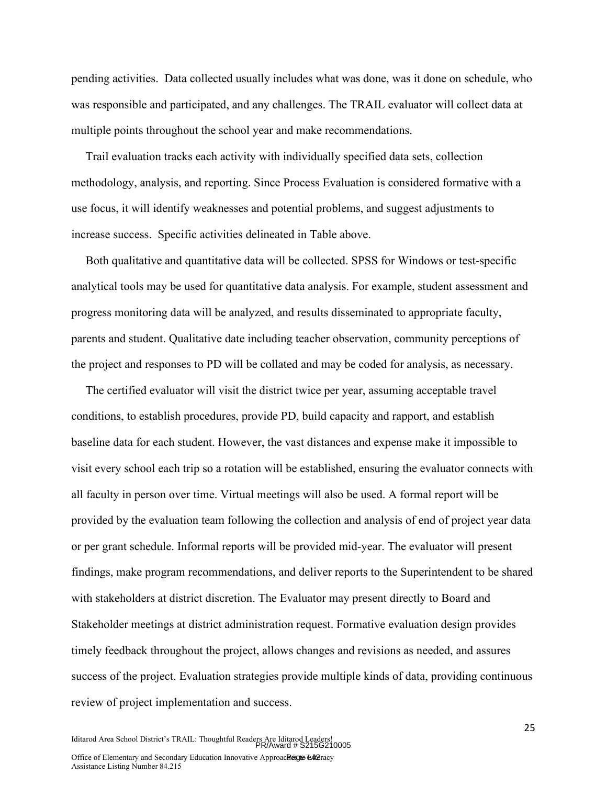pending activities. Data collected usually includes what was done, was it done on schedule, who was responsible and participated, and any challenges. The TRAIL evaluator will collect data at multiple points throughout the school year and make recommendations.

Trail evaluation tracks each activity with individually specified data sets, collection methodology, analysis, and reporting. Since Process Evaluation is considered formative with a use focus, it will identify weaknesses and potential problems, and suggest adjustments to increase success. Specific activities delineated in Table above.

Both qualitative and quantitative data will be collected. SPSS for Windows or test-specific analytical tools may be used for quantitative data analysis. For example, student assessment and progress monitoring data will be analyzed, and results disseminated to appropriate faculty, parents and student. Qualitative date including teacher observation, community perceptions of the project and responses to PD will be collated and may be coded for analysis, as necessary.

The certified evaluator will visit the district twice per year, assuming acceptable travel conditions, to establish procedures, provide PD, build capacity and rapport, and establish baseline data for each student. However, the vast distances and expense make it impossible to visit every school each trip so a rotation will be established, ensuring the evaluator connects with all faculty in person over time. Virtual meetings will also be used. A formal report will be provided by the evaluation team following the collection and analysis of end of project year data or per grant schedule. Informal reports will be provided mid-year. The evaluator will present findings, make program recommendations, and deliver reports to the Superintendent to be shared with stakeholders at district discretion. The Evaluator may present directly to Board and Stakeholder meetings at district administration request. Formative evaluation design provides timely feedback throughout the project, allows changes and revisions as needed, and assures success of the project. Evaluation strategies provide multiple kinds of data, providing continuous review of project implementation and success.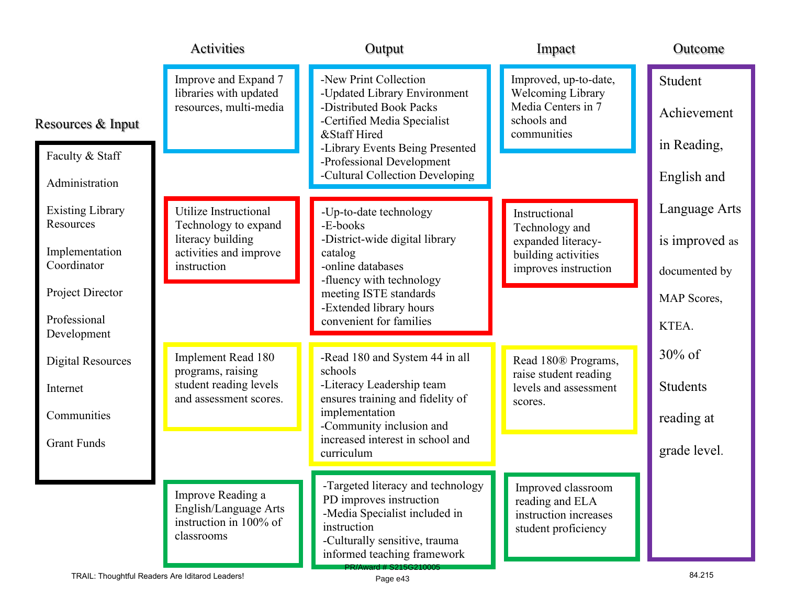|                                      | Activities                                                                         | Output                                                                                                                                                                       | Impact                                                                                 | Outcome                |
|--------------------------------------|------------------------------------------------------------------------------------|------------------------------------------------------------------------------------------------------------------------------------------------------------------------------|----------------------------------------------------------------------------------------|------------------------|
| Resources & Input                    | Improve and Expand 7<br>libraries with updated<br>resources, multi-media           | -New Print Collection<br>-Updated Library Environment<br>-Distributed Book Packs<br>-Certified Media Specialist                                                              | Improved, up-to-date,<br><b>Welcoming Library</b><br>Media Centers in 7<br>schools and | Student<br>Achievement |
|                                      |                                                                                    | &Staff Hired<br>-Library Events Being Presented                                                                                                                              | communities                                                                            | in Reading,            |
| Faculty & Staff<br>Administration    |                                                                                    | -Professional Development<br>-Cultural Collection Developing                                                                                                                 |                                                                                        | English and            |
| <b>Existing Library</b><br>Resources | Utilize Instructional                                                              | -Up-to-date technology                                                                                                                                                       | Instructional                                                                          | Language Arts          |
| Implementation                       | Technology to expand<br>literacy building                                          | -E-books<br>-District-wide digital library                                                                                                                                   | Technology and<br>expanded literacy-                                                   | is improved as         |
| Coordinator                          | activities and improve<br>instruction                                              | catalog<br>-online databases<br>-fluency with technology                                                                                                                     | building activities<br>improves instruction                                            | documented by          |
| Project Director                     |                                                                                    | meeting ISTE standards<br>-Extended library hours                                                                                                                            |                                                                                        | MAP Scores,            |
| Professional<br>Development          |                                                                                    | convenient for families                                                                                                                                                      |                                                                                        | KTEA.                  |
| <b>Digital Resources</b>             | Implement Read 180<br>programs, raising                                            | -Read 180 and System 44 in all<br>schools                                                                                                                                    | Read 180® Programs,                                                                    | $30\%$ of              |
| Internet                             | student reading levels<br>and assessment scores.                                   | -Literacy Leadership team<br>ensures training and fidelity of                                                                                                                | raise student reading<br>levels and assessment                                         | <b>Students</b>        |
| Communities                          |                                                                                    | implementation<br>-Community inclusion and                                                                                                                                   | scores.                                                                                | reading at             |
| <b>Grant Funds</b>                   |                                                                                    | increased interest in school and<br>curriculum                                                                                                                               |                                                                                        | grade level.           |
|                                      | Improve Reading a<br>English/Language Arts<br>instruction in 100% of<br>classrooms | -Targeted literacy and technology<br>PD improves instruction<br>-Media Specialist included in<br>instruction<br>-Culturally sensitive, trauma<br>informed teaching framework | Improved classroom<br>reading and ELA<br>instruction increases<br>student proficiency  |                        |
|                                      | TRAIL: Thoughtful Readers Are Iditarod Leaders!                                    | PR/Award # S215G210005<br>Page e43                                                                                                                                           |                                                                                        | 84.215                 |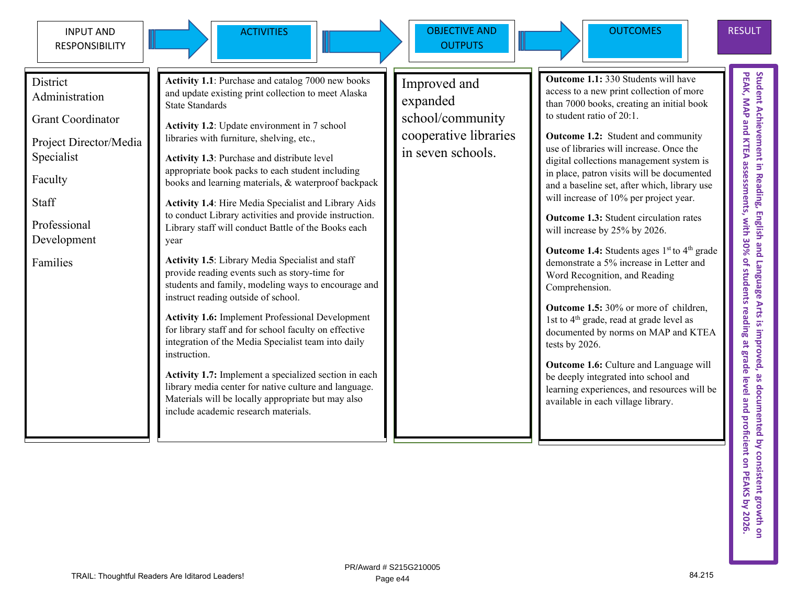

ACTIVITIES Increased N DBJECTIVE AND **OUTPUTS** 



**District** Administration

Grant Coordinator

Project Director/Media Specialist

Faculty

Staff

Professional Development

Families

**Activity 1.1**: Purchase and catalog 7000 new books and update existing print collection to meet Alaska State Standards

**Activity 1.2**: Update environment in 7 school libraries with furniture, shelving, etc.,

**Activity 1.3**: Purchase and distribute level appropriate book packs to each student including books and learning materials, & waterproof backpack

**Activity 1.4**: Hire Media Specialist and Library Aids to conduct Library activities and provide instruction. Library staff will conduct Battle of the Books each year

**Activity 1.5**: Library Media Specialist and staff provide reading events such as story-time for students and family, modeling ways to encourage and instruct reading outside of school.

**Activity 1.6:** Implement Professional Development for library staff and for school faculty on effective integration of the Media Specialist team into daily instruction.

**Activity 1.7:** Implement a specialized section in each library media center for native culture and language. Materials will be locally appropriate but may also include academic research materials.

Improved and expanded school/community cooperative libraries in seven schools.

**Outcome 1.1:** 330 Students will have access to a new print collection of more than 7000 books, creating an initial book to student ratio of 20:1.

**Outcome 1.2:** Student and community use of libraries will increase. Once the digital collections management system is in place, patron visits will be documented and a baseline set, after which, library use will increase of 10% per project year.

**Outcome 1.3:** Student circulation rates will increase by 25% by 2026.

**Outcome 1.4:** Students ages 1<sup>st</sup> to 4<sup>th</sup> grade demonstrate a 5% increase in Letter and Word Recognition, and Reading Comprehension.

**Outcome 1.5:** 30% or more of children, 1st to  $4<sup>th</sup>$  grade, read at grade level as documented by norms on MAP and KTEA tests by 2026.

**Outcome 1.6:** Culture and Language will be deeply integrated into school and learning experiences, and resources will be available in each village library.

RESULT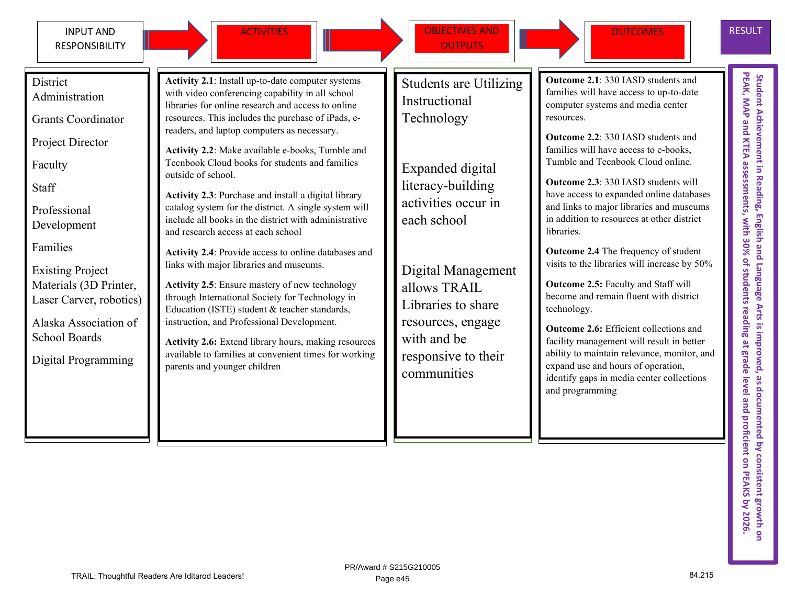

ACTIVITIES **OBJECTIVES AND OUTPUTS** 



**Outcome 2.1**: 330 IASD students and families will have access to up-to-date computer systems and media center

**Outcome 2.2**: 330 IASD students and families will have access to e-books, Tumble and Teenbook Cloud online.

**Outcome 2.3**: 330 IASD students will

in addition to resources at other district

**Outcome 2.4** The frequency of student

**Outcome 2.5:** Faculty and Staff will become and remain fluent with district

**Outcome 2.6:** Efficient collections and

expand use and hours of operation,

resources.

libraries.

technology.

and programming

RESULT

PEAK, MAP and KTEA assessments, with 30% of students reading at grade level and proficient on PEAKS by 2026 **PEAK, MAP and KTEA assessments, with 30% of students reading at grade level and proficient on PEAKS** Student Achievement in Reading, English and Language Arts is improved, as documented by consistent growth or **Student Achievement in Reading, English and Language Arts is improved, as documented by consistent growth on**  have access to expanded online databases and links to major libraries and museums visits to the libraries will increase by 50% facility management will result in better ability to maintain relevance, monitor, and identify gaps in media center collections

**District** Administration

Grants Coordinator

Project Director

Faculty

**Staff** 

Professional Development

Families

Existing Project Materials (3D Printer, Laser Carver, robotics)

Alaska Association of School Boards

Digital Programming

**Activity 2.1**: Install up-to-date computer systems with video conferencing capability in all school libraries for online research and access to online resources. This includes the purchase of iPads, ereaders, and laptop computers as necessary.

**Activity 2.2**: Make available e-books, Tumble and Teenbook Cloud books for students and families outside of school.

**Activity 2.3**: Purchase and install a digital library catalog system for the district. A single system will include all books in the district with administrative and research access at each school

**Activity 2.4**: Provide access to online databases and links with major libraries and museums.

**Activity 2.5**: Ensure mastery of new technology through International Society for Technology in Education (ISTE) student & teacher standards, instruction, and Professional Development.

**Activity 2.6:** Extend library hours, making resources available to families at convenient times for working parents and younger children

Students are Utilizing Instructional Technology

Expanded digital literacy-building activities occur in each school

Digital Management allows TRAIL Libraries to share resources, engage with and be responsive to their communities

TRAIL: Thoughtful Readers Are Iditarod Leaders! 84.215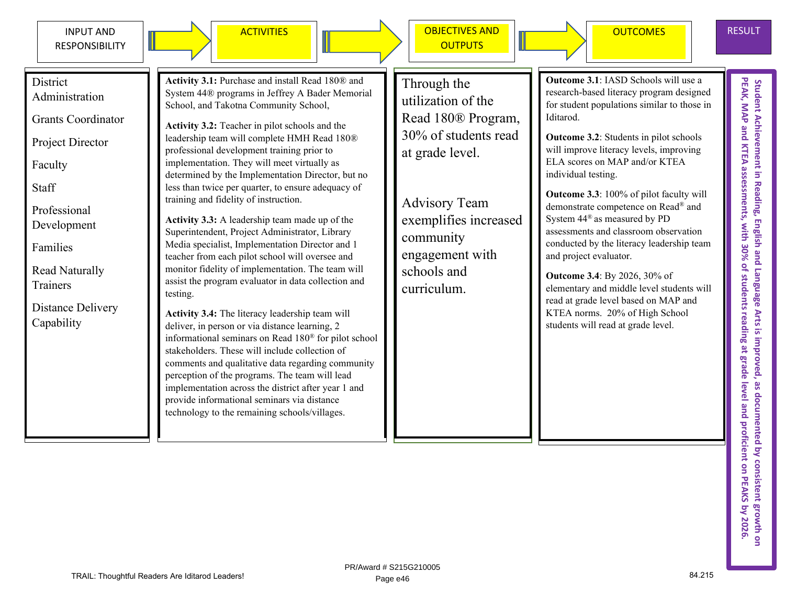



ACTIVITIES Incorrection objectives and **OUTPUTS** 



PEAK, MAP and KTEA assessments, with 30% of students reading at grade level and proficient on PEAKS by 2026 Student Achievement in Reading, English and Language Arts is improved, as documented by consistent growth on<br>PEAK, MAP and KTEA assessments, with 30% of students reading at grade level and proficient on PEAKS by 2026. Student Achievement in Reading, English and Language Arts is improved, as documented by consistent growth or

District Administration

Grants Coordinator

Project Director

Faculty

Staff

Professional Development

Families

Read Naturally **Trainers** 

Distance Delivery Capability

**Activity 3.1:** Purchase and install Read 180® and System 44® programs in Jeffrey A Bader Memorial School, and Takotna Community School,

**Activity 3.2:** Teacher in pilot schools and the leadership team will complete HMH Read 180® professional development training prior to implementation. They will meet virtually as determined by the Implementation Director, but no less than twice per quarter, to ensure adequacy of training and fidelity of instruction.

**Activity 3.3:** A leadership team made up of the Superintendent, Project Administrator, Library Media specialist, Implementation Director and 1 teacher from each pilot school will oversee and monitor fidelity of implementation. The team will assist the program evaluator in data collection and testing.

**Activity 3.4:** The literacy leadership team will deliver, in person or via distance learning, 2 informational seminars on Read 180® for pilot school stakeholders. These will include collection of comments and qualitative data regarding community perception of the programs. The team will lead implementation across the district after year 1 and provide informational seminars via distance technology to the remaining schools/villages.

Through the utilization of the Read 180® Program, 30% of students read at grade level.

Advisory Team exemplifies increased community engagement with schools and curriculum.

**Outcome 3.1**: IASD Schools will use a research-based literacy program designed for student populations similar to those in Iditarod.

**Outcome 3.2**: Students in pilot schools will improve literacy levels, improving ELA scores on MAP and/or KTEA individual testing.

**Outcome 3.3**: 100% of pilot faculty will demonstrate competence on Read® and System 44® as measured by PD assessments and classroom observation conducted by the literacy leadership team and project evaluator.

**Outcome 3.4**: By 2026, 30% of elementary and middle level students will read at grade level based on MAP and KTEA norms. 20% of High School students will read at grade level.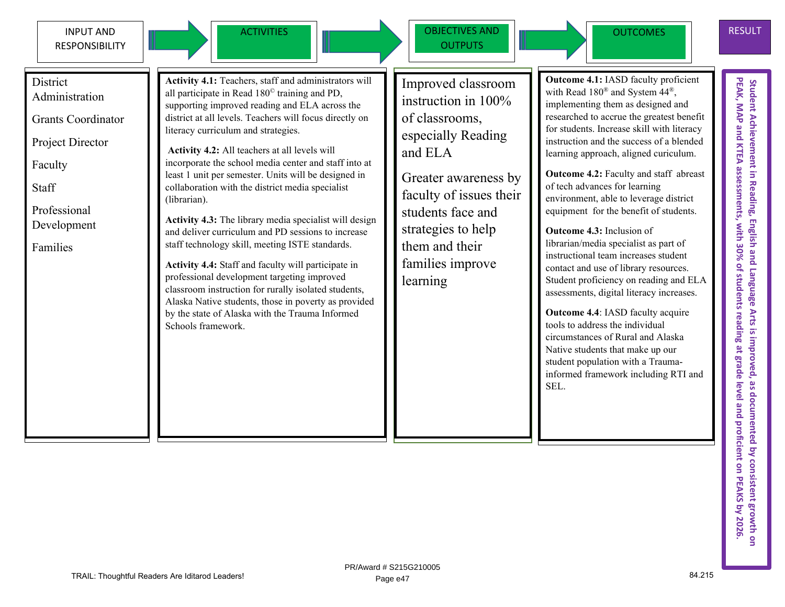

ACTIVITIES **OBJECTIVES AND OUTPUTS** 



**Outcome 4.1:** IASD faculty proficient with Read 180® and System 44®, implementing them as designed and researched to accrue the greatest benefit for students. Increase skill with literacy instruction and the success of a blended learning approach, aligned curiculum.

> **Outcome 4.2:** Faculty and staff abreast of tech advances for learning environment, able to leverage district equipment for the benefit of students.

> **Outcome 4.3:** Inclusion of librarian/media specialist as part of instructional team increases student contact and use of library resources. Student proficiency on reading and ELA assessments, digital literacy increases.

**Outcome 4.4**: IASD faculty acquire tools to address the individual circumstances of Rural and Alaska Native students that make up our student population with a Traumainformed framework including RTI and SEL.

Student Achievement in Reading, English and Language Arts is improved, as documented by consistent growth on<br>PEAK, MAP and KTEA assessments, with 30% of students reading at grade level and proficient on PEAKS by 2026.<br>PEAK Student Achievement in Reading, English and Language Arts is improved, as documented by consistent growth on<br>PEAK, MAP and KTEA assessments, with 30% of students reading at grade level and proficient on PEAKS by 2026.

**District** Administration

Grants Coordinator

Project Director

Faculty

**Staff** 

Professional Development

Families

**Activity 4.1:** Teachers, staff and administrators will all participate in Read 180© training and PD, supporting improved reading and ELA across the district at all levels. Teachers will focus directly on literacy curriculum and strategies.

**Activity 4.2:** All teachers at all levels will incorporate the school media center and staff into at least 1 unit per semester. Units will be designed in collaboration with the district media specialist (librarian).

**Activity 4.3:** The library media specialist will design and deliver curriculum and PD sessions to increase staff technology skill, meeting ISTE standards.

**Activity 4.4:** Staff and faculty will participate in professional development targeting improved classroom instruction for rurally isolated students, Alaska Native students, those in poverty as provided by the state of Alaska with the Trauma Informed Schools framework.

Improved classroom

instruction in 100% of classrooms, especially Reading and ELA

Greater awareness by faculty of issues their students face and strategies to help them and their families improve learning

TRAIL: Thoughtful Readers Are Iditarod Leaders! 84.215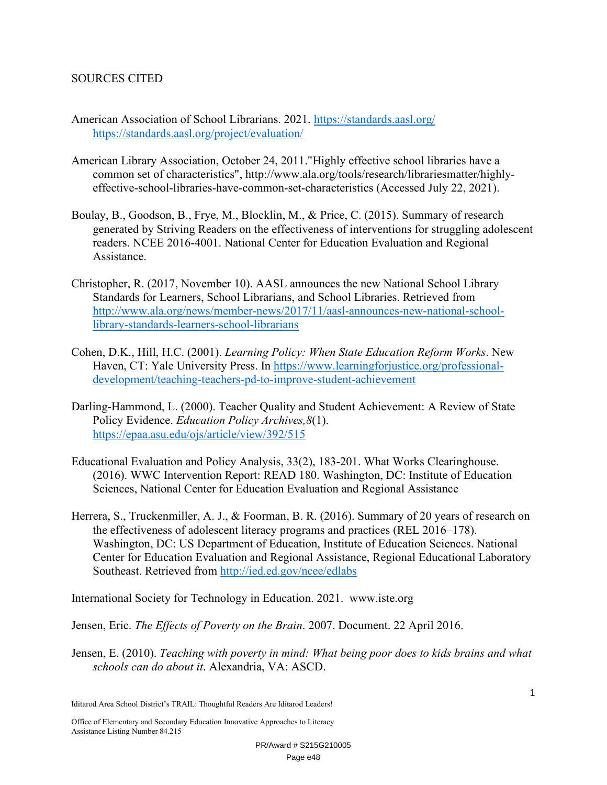#### SOURCES CITED

- American Association of School Librarians. 2021. https://standards.aasl.org/ https://standards.aasl.org/project/evaluation/
- American Library Association, October 24, 2011."Highly effective school libraries have a common set of characteristics", http://www.ala.org/tools/research/librariesmatter/highlyeffective-school-libraries-have-common-set-characteristics (Accessed July 22, 2021).
- Boulay, B., Goodson, B., Frye, M., Blocklin, M., & Price, C. (2015). Summary of research generated by Striving Readers on the effectiveness of interventions for struggling adolescent readers. NCEE 2016-4001. National Center for Education Evaluation and Regional Assistance.
- Christopher, R. (2017, November 10). AASL announces the new National School Library Standards for Learners, School Librarians, and School Libraries. Retrieved from http://www.ala.org/news/member-news/2017/11/aasl-announces-new-national-schoollibrary-standards-learners-school-librarians
- Cohen, D.K., Hill, H.C. (2001). *Learning Policy: When State Education Reform Works*. New Haven, CT: Yale University Press. In https://www.learningforjustice.org/professionaldevelopment/teaching-teachers-pd-to-improve-student-achievement
- Darling-Hammond, L. (2000). Teacher Quality and Student Achievement: A Review of State Policy Evidence. *Education Policy Archives,8*(1). https://epaa.asu.edu/ojs/article/view/392/515
- Educational Evaluation and Policy Analysis, 33(2), 183-201. What Works Clearinghouse. (2016). WWC Intervention Report: READ 180. Washington, DC: Institute of Education Sciences, National Center for Education Evaluation and Regional Assistance
- Herrera, S., Truckenmiller, A. J., & Foorman, B. R. (2016). Summary of 20 years of research on the effectiveness of adolescent literacy programs and practices (REL 2016–178). Washington, DC: US Department of Education, Institute of Education Sciences. National Center for Education Evaluation and Regional Assistance, Regional Educational Laboratory Southeast. Retrieved from http://ied.ed.gov/ncee/edlabs

International Society for Technology in Education. 2021. www.iste.org

Jensen, Eric. *The Effects of Poverty on the Brain*. 2007. Document. 22 April 2016.

Jensen, E. (2010). *Teaching with poverty in mind: What being poor does to kids brains and what schools can do about it*. Alexandria, VA: ASCD.

Iditarod Area School District's TRAIL: Thoughtful Readers Are Iditarod Leaders!

Office of Elementary and Secondary Education Innovative Approaches to Literacy Assistance Listing Number 84.215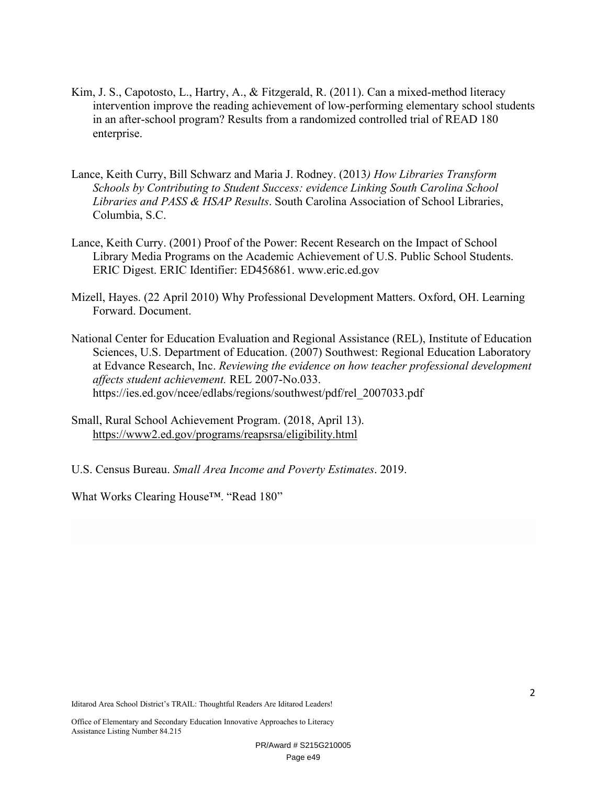- Kim, J. S., Capotosto, L., Hartry, A., & Fitzgerald, R. (2011). Can a mixed-method literacy intervention improve the reading achievement of low-performing elementary school students in an after-school program? Results from a randomized controlled trial of READ 180 enterprise.
- Lance, Keith Curry, Bill Schwarz and Maria J. Rodney. (2013*) How Libraries Transform Schools by Contributing to Student Success: evidence Linking South Carolina School Libraries and PASS & HSAP Results*. South Carolina Association of School Libraries, Columbia, S.C.
- Lance, Keith Curry. (2001) Proof of the Power: Recent Research on the Impact of School Library Media Programs on the Academic Achievement of U.S. Public School Students. ERIC Digest. ERIC Identifier: ED456861. www.eric.ed.gov
- Mizell, Hayes. (22 April 2010) Why Professional Development Matters. Oxford, OH. Learning Forward. Document.
- National Center for Education Evaluation and Regional Assistance (REL), Institute of Education Sciences, U.S. Department of Education. (2007) Southwest: Regional Education Laboratory at Edvance Research, Inc. *Reviewing the evidence on how teacher professional development affects student achievement.* REL 2007-No.033. https://ies.ed.gov/ncee/edlabs/regions/southwest/pdf/rel\_2007033.pdf
- Small, Rural School Achievement Program. (2018, April 13). https://www2.ed.gov/programs/reapsrsa/eligibility.html
- U.S. Census Bureau. *Small Area Income and Poverty Estimates*. 2019.

What Works Clearing House™. "Read 180"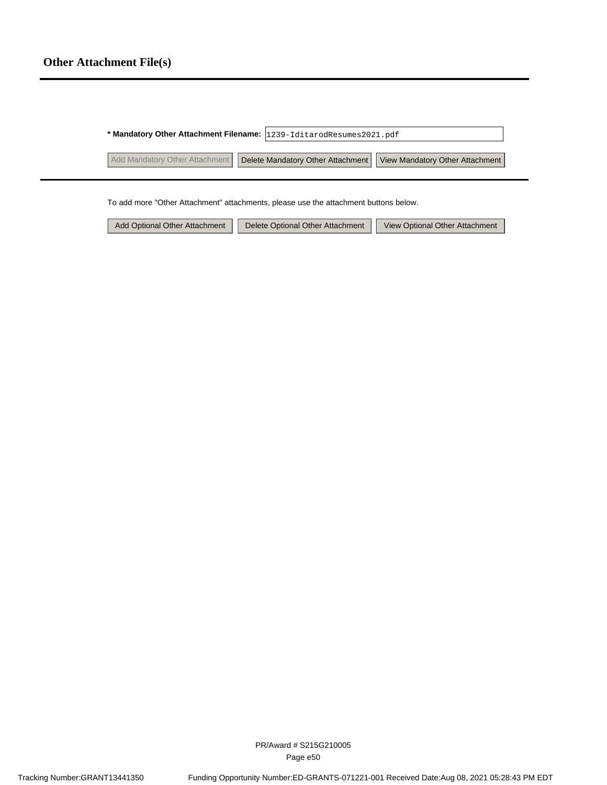|                                | * Mandatory Other Attachment Filename: 1239-IditarodResumes2021.pdf |
|--------------------------------|---------------------------------------------------------------------|
| Add Mandatory Other Attachment | Delete Mandatory Other Attachment   View Mandatory Other Attachment |

To add more "Other Attachment" attachments, please use the attachment buttons below.

| Add Optional Other Attachment | Delete Optional Other Attachment | View Optional Other Attachment |
|-------------------------------|----------------------------------|--------------------------------|
|-------------------------------|----------------------------------|--------------------------------|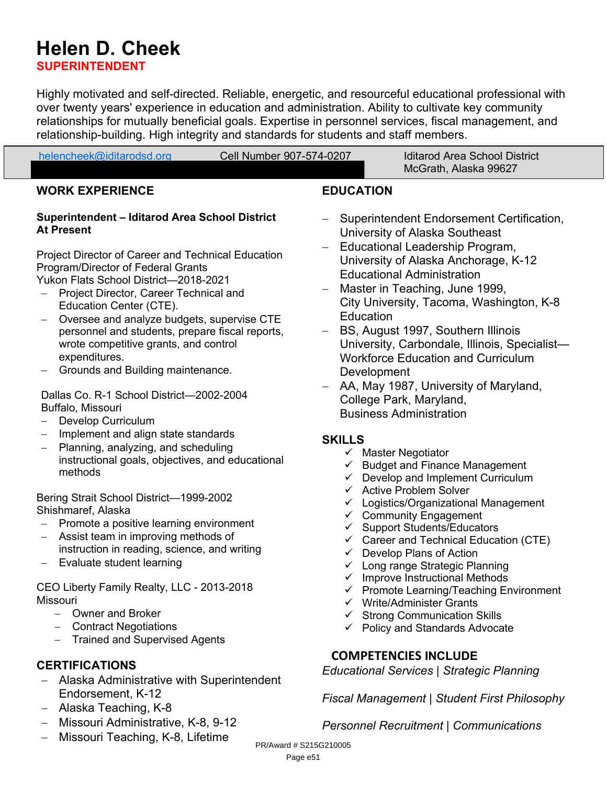### **Helen D. Cheek**

**SUPERINTENDENT**

Highly motivated and self-directed. Reliable, energetic, and resourceful educational professional with over twenty years' experience in education and administration. Ability to cultivate key community relationships for mutually beneficial goals. Expertise in personnel services, fiscal management, and relationship-building. High integrity and standards for students and staff members.

| helencheek@iditarodsd.org | Cell Number 907-574-0207 | <b>Iditarod Area School District</b> |
|---------------------------|--------------------------|--------------------------------------|
|                           |                          | McGrath, Alaska 99627                |

#### **WORK EXPERIENCE**

#### **Superintendent – Iditarod Area School District At Present**

Project Director of Career and Technical Education Program/Director of Federal Grants Yukon Flats School District—2018-2021

- Project Director, Career Technical and Education Center (CTE).
- Oversee and analyze budgets, supervise CTE personnel and students, prepare fiscal reports, wrote competitive grants, and control expenditures.
- Grounds and Building maintenance.

Dallas Co. R-1 School District—2002-2004 Buffalo, Missouri

- Develop Curriculum
- Implement and align state standards
- Planning, analyzing, and scheduling instructional goals, objectives, and educational methods

Bering Strait School District—1999-2002 Shishmaref, Alaska

- Promote a positive learning environment
- Assist team in improving methods of
- instruction in reading, science, and writing Evaluate student learning

CEO Liberty Family Realty, LLC - 2013-2018 Missouri

- Owner and Broker
- Contract Negotiations
- Trained and Supervised Agents

### **CERTIFICATIONS**

- Alaska Administrative with Superintendent Endorsement, K-12
- Alaska Teaching, K-8
- Missouri Administrative, K-8, 9-12
- Missouri Teaching, K-8, Lifetime

#### **EDUCATION**

- Superintendent Endorsement Certification, University of Alaska Southeast
- Educational Leadership Program, University of Alaska Anchorage, K-12 Educational Administration
- Master in Teaching, June 1999, City University, Tacoma, Washington, K-8 Education
- BS, August 1997, Southern Illinois University, Carbondale, Illinois, Specialist— Workforce Education and Curriculum Development
- AA, May 1987, University of Maryland, College Park, Maryland, Business Administration

#### **SKILLS**

- $\checkmark$  Master Negotiator
- $\checkmark$  Budget and Finance Management
- $\checkmark$  Develop and Implement Curriculum
- $\checkmark$  Active Problem Solver
- $\checkmark$  Logistics/Organizational Management
- $\checkmark$  Community Engagement
- $\checkmark$  Support Students/Educators
- $\checkmark$  Career and Technical Education (CTE)
- $\checkmark$  Develop Plans of Action
- $\checkmark$  Long range Strategic Planning
- $\checkmark$  Improve Instructional Methods
- $\checkmark$  Promote Learning/Teaching Environment
- $\checkmark$  Write/Administer Grants
- $\checkmark$  Strong Communication Skills
- $\checkmark$  Policy and Standards Advocate

### **COMPETENCIES INCLUDE**

*Educational Services | Strategic Planning*

*Fiscal Management | Student First Philosophy*

#### *Personnel Recruitment | Communications*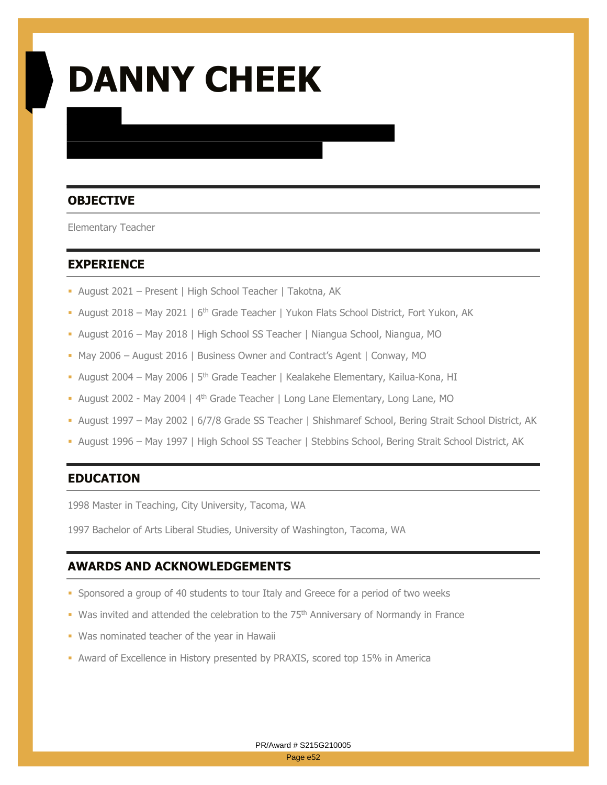# **DANNY CHEEK**

### **OBJECTIVE**

Elementary Teacher

#### **EXPERIENCE**

- August 2021 Present | High School Teacher | Takotna, AK
- August 2018 May 2021 |  $6<sup>th</sup>$  Grade Teacher | Yukon Flats School District, Fort Yukon, AK
- August 2016 May 2018 | High School SS Teacher | Niangua School, Niangua, MO
- May 2006 August 2016 | Business Owner and Contract's Agent | Conway, MO
- August 2004 May 2006 | 5<sup>th</sup> Grade Teacher | Kealakehe Elementary, Kailua-Kona, HI
- August 2002 May 2004 | 4<sup>th</sup> Grade Teacher | Long Lane Elementary, Long Lane, MO
- August 1997 May 2002 | 6/7/8 Grade SS Teacher | Shishmaref School, Bering Strait School District, AK
- August 1996 May 1997 | High School SS Teacher | Stebbins School, Bering Strait School District, AK

#### **EDUCATION**

1998 Master in Teaching, City University, Tacoma, WA

1997 Bachelor of Arts Liberal Studies, University of Washington, Tacoma, WA

#### **AWARDS AND ACKNOWLEDGEMENTS**

- Sponsored a group of 40 students to tour Italy and Greece for a period of two weeks
- Was invited and attended the celebration to the  $75<sup>th</sup>$  Anniversary of Normandy in France
- **Was nominated teacher of the year in Hawaii**
- Award of Excellence in History presented by PRAXIS, scored top 15% in America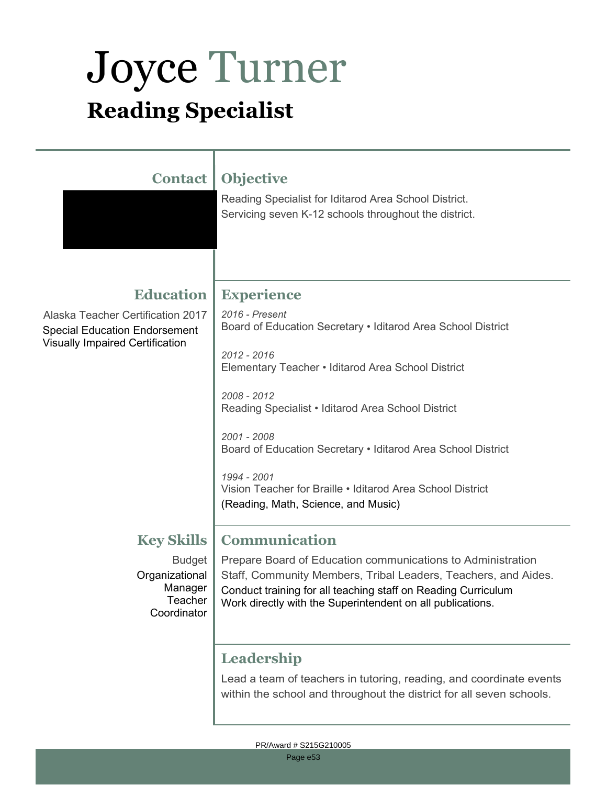## Joyce Turner **Reading Specialist**

| <b>Contact</b>                                                                                                      | <b>Objective</b><br>Reading Specialist for Iditarod Area School District.<br>Servicing seven K-12 schools throughout the district.                                                                                                                                                                                                                                                   |
|---------------------------------------------------------------------------------------------------------------------|--------------------------------------------------------------------------------------------------------------------------------------------------------------------------------------------------------------------------------------------------------------------------------------------------------------------------------------------------------------------------------------|
| <b>Education</b>                                                                                                    | <b>Experience</b>                                                                                                                                                                                                                                                                                                                                                                    |
| Alaska Teacher Certification 2017<br><b>Special Education Endorsement</b><br><b>Visually Impaired Certification</b> | 2016 - Present<br>Board of Education Secretary • Iditarod Area School District<br>2012 - 2016<br>Elementary Teacher • Iditarod Area School District<br>2008 - 2012<br>Reading Specialist • Iditarod Area School District<br>2001 - 2008<br>Board of Education Secretary . Iditarod Area School District<br>1994 - 2001<br>Vision Teacher for Braille • Iditarod Area School District |
|                                                                                                                     | (Reading, Math, Science, and Music)                                                                                                                                                                                                                                                                                                                                                  |
| <b>Key Skills</b><br><b>Budget</b><br>Organizational<br>Manager<br>Teacher<br>Coordinator                           | <b>Communication</b><br>Prepare Board of Education communications to Administration<br>Staff, Community Members, Tribal Leaders, Teachers, and Aides.<br>Conduct training for all teaching staff on Reading Curriculum<br>Work directly with the Superintendent on all publications.                                                                                                 |
|                                                                                                                     | Leadership<br>Lead a team of teachers in tutoring, reading, and coordinate events                                                                                                                                                                                                                                                                                                    |

within the school and throughout the district for all seven schools.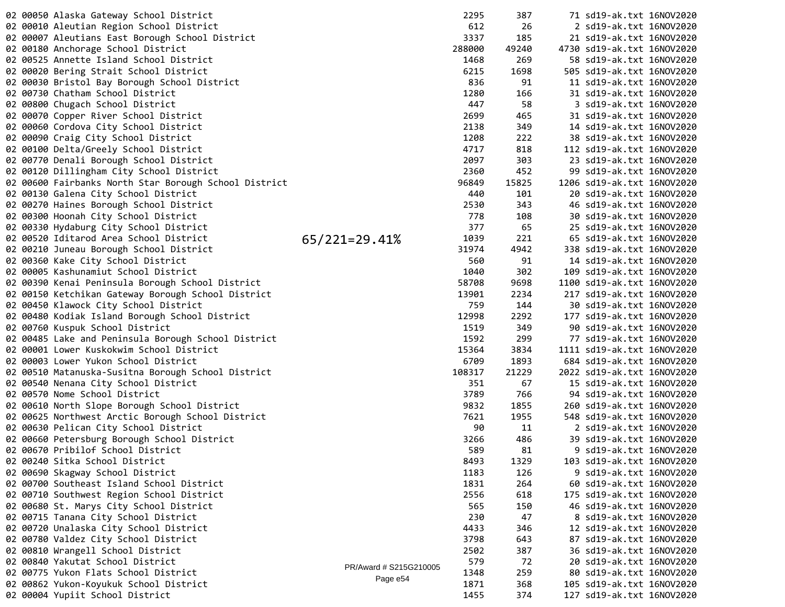|  | 02 00050 Alaska Gateway School District               |                        | 2295   | 387   | 71 sd19-ak.txt 16NOV2020                             |  |
|--|-------------------------------------------------------|------------------------|--------|-------|------------------------------------------------------|--|
|  | 02 00010 Aleutian Region School District              |                        | 612    | 26    | 2 sd19-ak.txt 16NOV2020                              |  |
|  | 02 00007 Aleutians East Borough School District       |                        | 3337   | 185   | 21 sd19-ak.txt 16NOV2020                             |  |
|  | 02 00180 Anchorage School District                    |                        | 288000 | 49240 | 4730 sd19-ak.txt 16NOV2020                           |  |
|  | 02 00525 Annette Island School District               |                        | 1468   | 269   | 58 sd19-ak.txt 16NOV2020                             |  |
|  | 02 00020 Bering Strait School District                |                        | 6215   | 1698  | 505 sd19-ak.txt 16NOV2020                            |  |
|  | 02 00030 Bristol Bay Borough School District          |                        | 836    | 91    | 11 sd19-ak.txt 16NOV2020                             |  |
|  | 02 00730 Chatham School District                      |                        | 1280   | 166   | 31 sd19-ak.txt 16NOV2020                             |  |
|  | 02 00800 Chugach School District                      |                        | 447    | 58    | 3 sd19-ak.txt 16NOV2020                              |  |
|  | 02 00070 Copper River School District                 |                        | 2699   | 465   | 31 sd19-ak.txt 16NOV2020                             |  |
|  | 02 00060 Cordova City School District                 |                        | 2138   | 349   | 14 sd19-ak.txt 16NOV2020                             |  |
|  | 02 00090 Craig City School District                   |                        | 1208   | 222   | 38 sd19-ak.txt 16NOV2020                             |  |
|  | 02 00100 Delta/Greely School District                 |                        | 4717   | 818   | 112 sd19-ak.txt 16NOV2020                            |  |
|  | 02 00770 Denali Borough School District               |                        | 2097   | 303   | 23 sd19-ak.txt 16NOV2020                             |  |
|  | 02 00120 Dillingham City School District              |                        | 2360   | 452   | 99 sd19-ak.txt 16NOV2020                             |  |
|  | 02 00600 Fairbanks North Star Borough School District |                        | 96849  | 15825 | 1206 sd19-ak.txt 16NOV2020                           |  |
|  | 02 00130 Galena City School District                  |                        | 440    | 101   | 20 sd19-ak.txt 16NOV2020                             |  |
|  | 02 00270 Haines Borough School District               |                        | 2530   | 343   | 46 sd19-ak.txt 16NOV2020                             |  |
|  | 02 00300 Hoonah City School District                  |                        | 778    | 108   | 30 sd19-ak.txt 16NOV2020                             |  |
|  | 02 00330 Hydaburg City School District                |                        | 377    | 65    | 25 sd19-ak.txt 16NOV2020                             |  |
|  | 02 00520 Iditarod Area School District                | $65/221=29.41%$        | 1039   | 221   | 65 sd19-ak.txt 16NOV2020                             |  |
|  | 02 00210 Juneau Borough School District               |                        | 31974  | 4942  | 338 sd19-ak.txt 16NOV2020                            |  |
|  | 02 00360 Kake City School District                    |                        | 560    | 91    | 14 sd19-ak.txt 16NOV2020                             |  |
|  | 02 00005 Kashunamiut School District                  |                        | 1040   | 302   | 109 sd19-ak.txt 16NOV2020                            |  |
|  | 02 00390 Kenai Peninsula Borough School District      |                        | 58708  | 9698  | 1100 sd19-ak.txt 16NOV2020                           |  |
|  | 02 00150 Ketchikan Gateway Borough School District    |                        | 13901  | 2234  | 217 sd19-ak.txt 16NOV2020                            |  |
|  | 02 00450 Klawock City School District                 |                        | 759    | 144   | 30 sd19-ak.txt 16NOV2020                             |  |
|  | 02 00480 Kodiak Island Borough School District        |                        | 12998  | 2292  | 177 sd19-ak.txt 16NOV2020                            |  |
|  | 02 00760 Kuspuk School District                       |                        | 1519   | 349   | 90 sd19-ak.txt 16NOV2020                             |  |
|  | 02 00485 Lake and Peninsula Borough School District   |                        | 1592   | 299   | 77 sd19-ak.txt 16NOV2020                             |  |
|  | 02 00001 Lower Kuskokwim School District              |                        | 15364  | 3834  | 1111 sd19-ak.txt 16NOV2020                           |  |
|  | 02 00003 Lower Yukon School District                  |                        | 6709   | 1893  | 684 sd19-ak.txt 16NOV2020                            |  |
|  | 02 00510 Matanuska-Susitna Borough School District    |                        | 108317 | 21229 | 2022 sd19-ak.txt 16NOV2020                           |  |
|  | 02 00540 Nenana City School District                  |                        | 351    | 67    | 15 sd19-ak.txt 16NOV2020                             |  |
|  | 02 00570 Nome School District                         |                        | 3789   | 766   | 94 sd19-ak.txt 16NOV2020                             |  |
|  | 02 00610 North Slope Borough School District          |                        | 9832   | 1855  | 260 sd19-ak.txt 16NOV2020                            |  |
|  | 02 00625 Northwest Arctic Borough School District     |                        | 7621   | 1955  | 548 sd19-ak.txt 16NOV2020                            |  |
|  | 02 00630 Pelican City School District                 |                        | 90     | 11    | 2 sd19-ak.txt 16NOV2020                              |  |
|  | 02 00660 Petersburg Borough School District           |                        | 3266   | 486   | 39 sd19-ak.txt 16NOV2020                             |  |
|  | 02 00670 Pribilof School District                     |                        | 589    | 81    | 9 sd19-ak.txt 16NOV2020                              |  |
|  | 02 00240 Sitka School District                        |                        | 8493   | 1329  | 103 sd19-ak.txt 16NOV2020                            |  |
|  | 02 00690 Skagway School District                      |                        | 1183   | 126   | 9 sd19-ak.txt 16NOV2020                              |  |
|  | 02 00700 Southeast Island School District             |                        | 1831   | 264   | 60 sd19-ak.txt 16NOV2020                             |  |
|  | 02 00710 Southwest Region School District             |                        | 2556   | 618   | 175 sd19-ak.txt 16NOV2020                            |  |
|  | 02 00680 St. Marys City School District               |                        | 565    | 150   | 46 sd19-ak.txt 16NOV2020                             |  |
|  | 02 00715 Tanana City School District                  |                        | 230    | 47    | 8 sd19-ak.txt 16NOV2020                              |  |
|  | 02 00720 Unalaska City School District                |                        | 4433   | 346   | 12 sd19-ak.txt 16NOV2020                             |  |
|  | 02 00780 Valdez City School District                  |                        | 3798   | 643   |                                                      |  |
|  | 02 00810 Wrangell School District                     |                        | 2502   | 387   | 87 sd19-ak.txt 16NOV2020                             |  |
|  | 02 00840 Yakutat School District                      |                        | 579    | 72    | 36 sd19-ak.txt 16NOV2020<br>20 sd19-ak.txt 16NOV2020 |  |
|  | 02 00775 Yukon Flats School District                  | PR/Award # S215G210005 | 1348   | 259   | 80 sd19-ak.txt 16NOV2020                             |  |
|  | 02 00862 Yukon-Koyukuk School District                | Page e54               | 1871   | 368   | 105 sd19-ak.txt 16NOV2020                            |  |
|  | 02 00004 Yupiit School District                       |                        | 1455   | 374   | 127 sd19-ak.txt 16NOV2020                            |  |
|  |                                                       |                        |        |       |                                                      |  |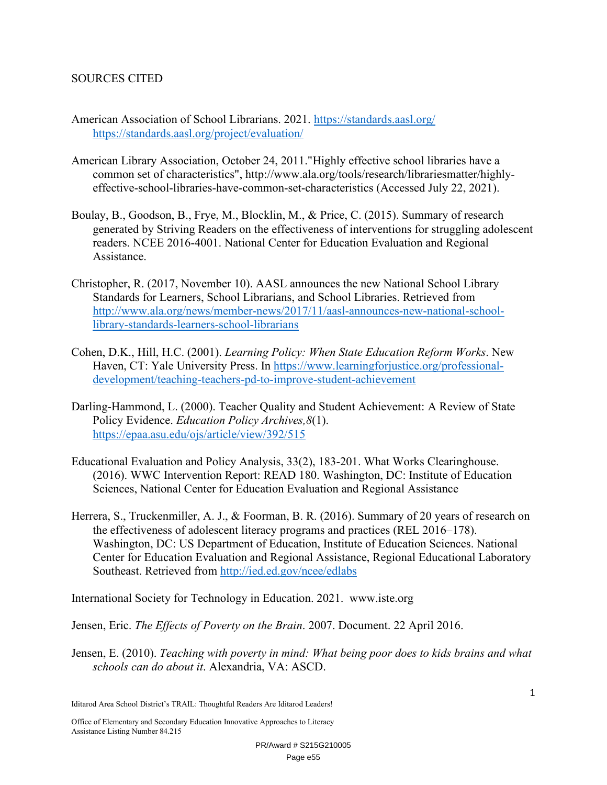#### SOURCES CITED

- American Association of School Librarians. 2021. https://standards.aasl.org/ https://standards.aasl.org/project/evaluation/
- American Library Association, October 24, 2011."Highly effective school libraries have a common set of characteristics", http://www.ala.org/tools/research/librariesmatter/highlyeffective-school-libraries-have-common-set-characteristics (Accessed July 22, 2021).
- Boulay, B., Goodson, B., Frye, M., Blocklin, M., & Price, C. (2015). Summary of research generated by Striving Readers on the effectiveness of interventions for struggling adolescent readers. NCEE 2016-4001. National Center for Education Evaluation and Regional Assistance.
- Christopher, R. (2017, November 10). AASL announces the new National School Library Standards for Learners, School Librarians, and School Libraries. Retrieved from http://www.ala.org/news/member-news/2017/11/aasl-announces-new-national-schoollibrary-standards-learners-school-librarians
- Cohen, D.K., Hill, H.C. (2001). *Learning Policy: When State Education Reform Works*. New Haven, CT: Yale University Press. In https://www.learningforjustice.org/professionaldevelopment/teaching-teachers-pd-to-improve-student-achievement
- Darling-Hammond, L. (2000). Teacher Quality and Student Achievement: A Review of State Policy Evidence. *Education Policy Archives,8*(1). https://epaa.asu.edu/ojs/article/view/392/515
- Educational Evaluation and Policy Analysis, 33(2), 183-201. What Works Clearinghouse. (2016). WWC Intervention Report: READ 180. Washington, DC: Institute of Education Sciences, National Center for Education Evaluation and Regional Assistance
- Herrera, S., Truckenmiller, A. J., & Foorman, B. R. (2016). Summary of 20 years of research on the effectiveness of adolescent literacy programs and practices (REL 2016–178). Washington, DC: US Department of Education, Institute of Education Sciences. National Center for Education Evaluation and Regional Assistance, Regional Educational Laboratory Southeast. Retrieved from http://ied.ed.gov/ncee/edlabs

International Society for Technology in Education. 2021. www.iste.org

Jensen, Eric. *The Effects of Poverty on the Brain*. 2007. Document. 22 April 2016.

Jensen, E. (2010). *Teaching with poverty in mind: What being poor does to kids brains and what schools can do about it*. Alexandria, VA: ASCD.

Iditarod Area School District's TRAIL: Thoughtful Readers Are Iditarod Leaders!

Office of Elementary and Secondary Education Innovative Approaches to Literacy Assistance Listing Number 84.215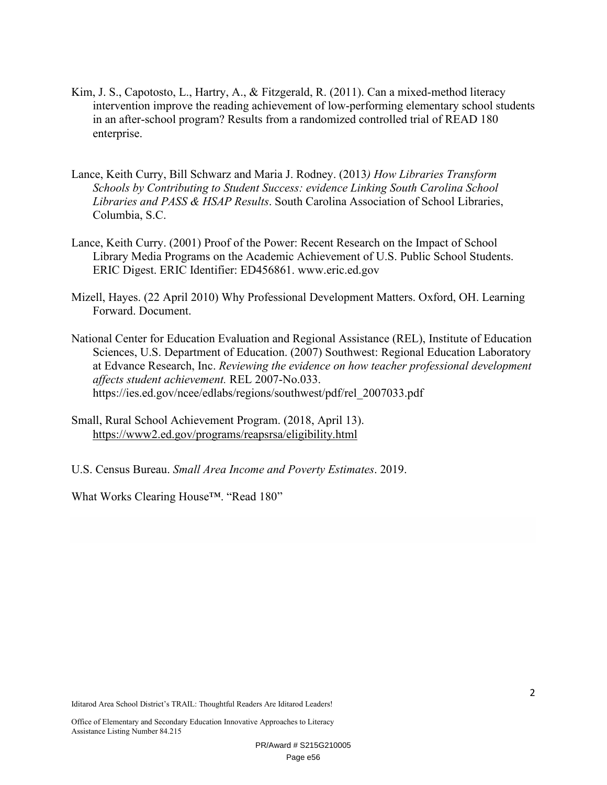- Kim, J. S., Capotosto, L., Hartry, A., & Fitzgerald, R. (2011). Can a mixed-method literacy intervention improve the reading achievement of low-performing elementary school students in an after-school program? Results from a randomized controlled trial of READ 180 enterprise.
- Lance, Keith Curry, Bill Schwarz and Maria J. Rodney. (2013*) How Libraries Transform Schools by Contributing to Student Success: evidence Linking South Carolina School Libraries and PASS & HSAP Results*. South Carolina Association of School Libraries, Columbia, S.C.
- Lance, Keith Curry. (2001) Proof of the Power: Recent Research on the Impact of School Library Media Programs on the Academic Achievement of U.S. Public School Students. ERIC Digest. ERIC Identifier: ED456861. www.eric.ed.gov
- Mizell, Hayes. (22 April 2010) Why Professional Development Matters. Oxford, OH. Learning Forward. Document.
- National Center for Education Evaluation and Regional Assistance (REL), Institute of Education Sciences, U.S. Department of Education. (2007) Southwest: Regional Education Laboratory at Edvance Research, Inc. *Reviewing the evidence on how teacher professional development affects student achievement.* REL 2007-No.033. https://ies.ed.gov/ncee/edlabs/regions/southwest/pdf/rel\_2007033.pdf
- Small, Rural School Achievement Program. (2018, April 13). https://www2.ed.gov/programs/reapsrsa/eligibility.html
- U.S. Census Bureau. *Small Area Income and Poverty Estimates*. 2019.

What Works Clearing House™. "Read 180"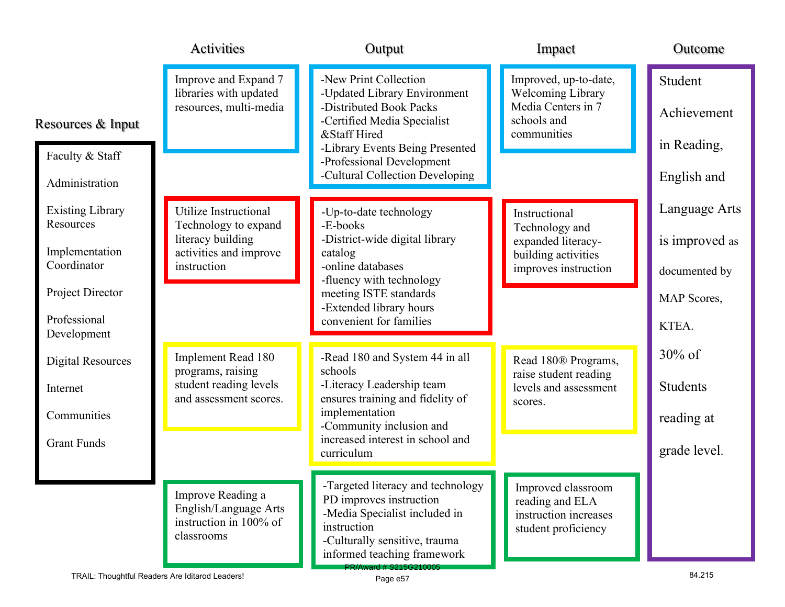|                                      | Activities                                                                         | Output                                                                                                                                                                       | Impact                                                                                | Outcome         |
|--------------------------------------|------------------------------------------------------------------------------------|------------------------------------------------------------------------------------------------------------------------------------------------------------------------------|---------------------------------------------------------------------------------------|-----------------|
|                                      | Improve and Expand 7<br>libraries with updated<br>resources, multi-media           | -New Print Collection<br>-Updated Library Environment<br>-Distributed Book Packs                                                                                             | Improved, up-to-date,<br><b>Welcoming Library</b><br>Media Centers in 7               | Student         |
| Resources & Input                    |                                                                                    | -Certified Media Specialist<br>&Staff Hired                                                                                                                                  | schools and<br>communities                                                            | Achievement     |
| Faculty & Staff                      |                                                                                    | -Library Events Being Presented<br>-Professional Development                                                                                                                 |                                                                                       | in Reading,     |
| Administration                       |                                                                                    | -Cultural Collection Developing                                                                                                                                              |                                                                                       | English and     |
| <b>Existing Library</b><br>Resources | Utilize Instructional<br>Technology to expand                                      | -Up-to-date technology<br>-E-books                                                                                                                                           | Instructional                                                                         | Language Arts   |
| Implementation                       | literacy building<br>activities and improve                                        | -District-wide digital library<br>catalog                                                                                                                                    | Technology and<br>expanded literacy-                                                  | is improved as  |
| Coordinator                          | instruction                                                                        | -online databases<br>-fluency with technology                                                                                                                                | building activities<br>improves instruction                                           | documented by   |
| Project Director                     |                                                                                    | meeting ISTE standards<br>-Extended library hours                                                                                                                            |                                                                                       | MAP Scores,     |
| Professional<br>Development          |                                                                                    | convenient for families                                                                                                                                                      |                                                                                       | KTEA.           |
| <b>Digital Resources</b>             | Implement Read 180                                                                 | -Read 180 and System 44 in all                                                                                                                                               | Read 180® Programs,                                                                   | $30\%$ of       |
| Internet                             | programs, raising<br>student reading levels                                        | schools<br>-Literacy Leadership team                                                                                                                                         | raise student reading<br>levels and assessment                                        | <b>Students</b> |
| Communities                          | and assessment scores.                                                             | ensures training and fidelity of<br>implementation<br>-Community inclusion and                                                                                               | scores.                                                                               | reading at      |
| <b>Grant Funds</b>                   |                                                                                    | increased interest in school and<br>curriculum                                                                                                                               |                                                                                       | grade level.    |
|                                      | Improve Reading a<br>English/Language Arts<br>instruction in 100% of<br>classrooms | -Targeted literacy and technology<br>PD improves instruction<br>-Media Specialist included in<br>instruction<br>-Culturally sensitive, trauma<br>informed teaching framework | Improved classroom<br>reading and ELA<br>instruction increases<br>student proficiency |                 |
|                                      | TRAIL: Thoughtful Readers Are Iditarod Leaders!                                    | PR/Award # S215G210005<br>Page e57                                                                                                                                           |                                                                                       | 84.215          |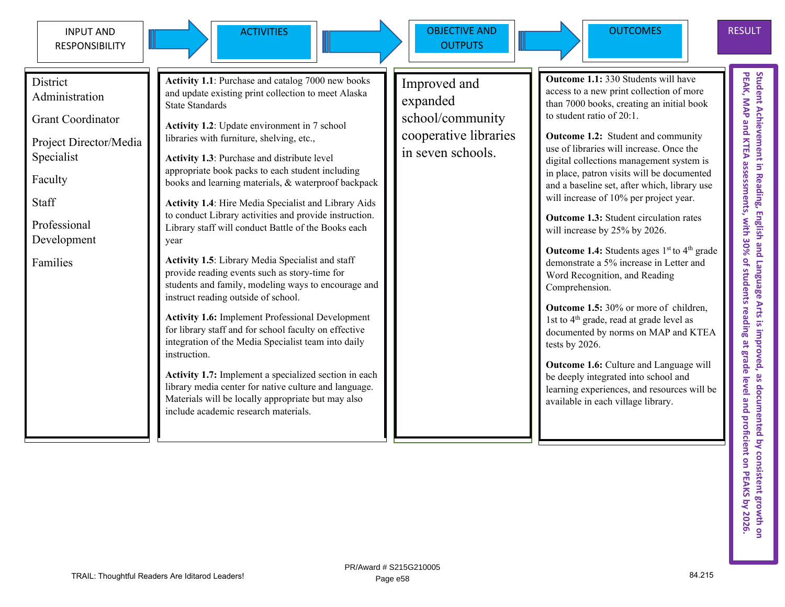

ACTIVITIES Increased N DBJECTIVE AND **OUTPUTS** 



**District** Administration

Grant Coordinator

Project Director/Media Specialist

Faculty

Staff

Professional Development

Families

**Activity 1.1**: Purchase and catalog 7000 new books and update existing print collection to meet Alaska State Standards

**Activity 1.2**: Update environment in 7 school libraries with furniture, shelving, etc.,

**Activity 1.3**: Purchase and distribute level appropriate book packs to each student including books and learning materials, & waterproof backpack

**Activity 1.4**: Hire Media Specialist and Library Aids to conduct Library activities and provide instruction. Library staff will conduct Battle of the Books each year

**Activity 1.5**: Library Media Specialist and staff provide reading events such as story-time for students and family, modeling ways to encourage and instruct reading outside of school.

**Activity 1.6:** Implement Professional Development for library staff and for school faculty on effective integration of the Media Specialist team into daily instruction.

**Activity 1.7:** Implement a specialized section in each library media center for native culture and language. Materials will be locally appropriate but may also include academic research materials.

Improved and expanded school/community cooperative libraries in seven schools.

**Outcome 1.1:** 330 Students will have access to a new print collection of more than 7000 books, creating an initial book to student ratio of 20:1.

**Outcome 1.2:** Student and community use of libraries will increase. Once the digital collections management system is in place, patron visits will be documented and a baseline set, after which, library use will increase of 10% per project year.

**Outcome 1.3:** Student circulation rates will increase by 25% by 2026.

**Outcome 1.4:** Students ages 1<sup>st</sup> to 4<sup>th</sup> grade demonstrate a 5% increase in Letter and Word Recognition, and Reading Comprehension.

**Outcome 1.5:** 30% or more of children, 1st to  $4<sup>th</sup>$  grade, read at grade level as documented by norms on MAP and KTEA tests by 2026.

**Outcome 1.6:** Culture and Language will be deeply integrated into school and learning experiences, and resources will be available in each village library.

RESULT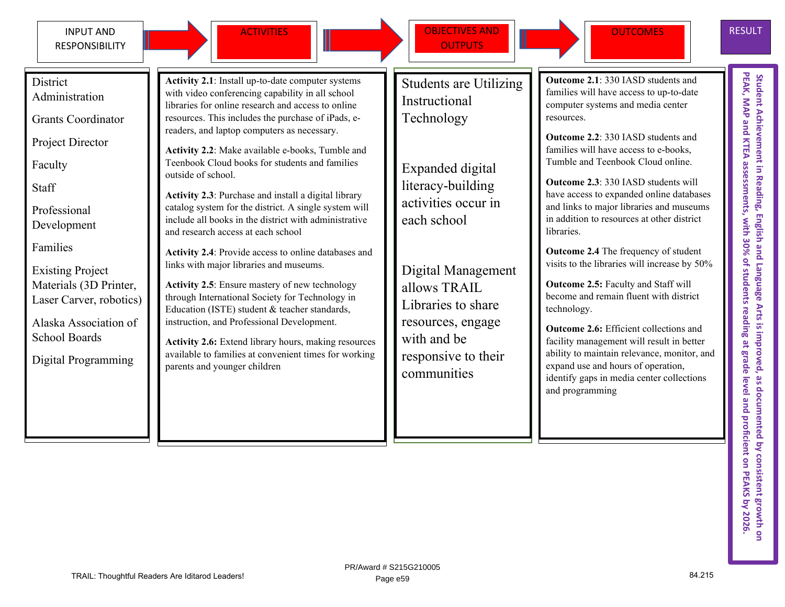**District** 

Faculty

Professional Development

Existing Project

School Boards

Materials (3D Printer, Laser Carver, robotics)

Alaska Association of

Digital Programming

Families

**Staff** 

Administration

Project Director

Grants Coordinator



ACTIVITIES **OBJECTIVES AND OUTPUTS** 



RESULT

**Activity 2.1**: Install up-to-date computer systems with video conferencing capability in all school libraries for online research and access to online resources. This includes the purchase of iPads, ereaders, and laptop computers as necessary. **Activity 2.2**: Make available e-books, Tumble and Teenbook Cloud books for students and families outside of school. **Activity 2.3**: Purchase and install a digital library catalog system for the district. A single system will include all books in the district with administrative and research access at each school **Activity 2.4**: Provide access to online databases and links with major libraries and museums. **Activity 2.5**: Ensure mastery of new technology through International Society for Technology in Education (ISTE) student & teacher standards, instruction, and Professional Development. **Activity 2.6:** Extend library hours, making resources available to families at convenient times for working parents and younger children Students are Utilizing Instructional Technology Expanded digital literacy-building activities occur in each school Digital Management allows TRAIL Libraries to share resources, engage with and be responsive to their communities resources. libraries. technology. and programming

**Outcome 2.1**: 330 IASD students and families will have access to up-to-date computer systems and media center

**Outcome 2.2**: 330 IASD students and families will have access to e-books, Tumble and Teenbook Cloud online.

**Outcome 2.3**: 330 IASD students will have access to expanded online databases and links to major libraries and museums in addition to resources at other district

**Outcome 2.4** The frequency of student visits to the libraries will increase by 50%

**Outcome 2.5:** Faculty and Staff will become and remain fluent with district

**Outcome 2.6:** Efficient collections and facility management will result in better ability to maintain relevance, monitor, and expand use and hours of operation, identify gaps in media center collections

PEAK, MAP and KTEA assessments, with 30% of students reading at grade level and proficient on PEAKS by 2026 **PEAK, MAP and KTEA assessments, with 30% of students reading at grade level and proficient on PEAKS** Student Achievement in Reading, English and Language Arts is improved, as documented by consistent growth or **Student Achievement in Reading, English and Language Arts is improved, as documented by consistent growth on** 

#### TRAIL: Thoughtful Readers Are Iditarod Leaders! 84.215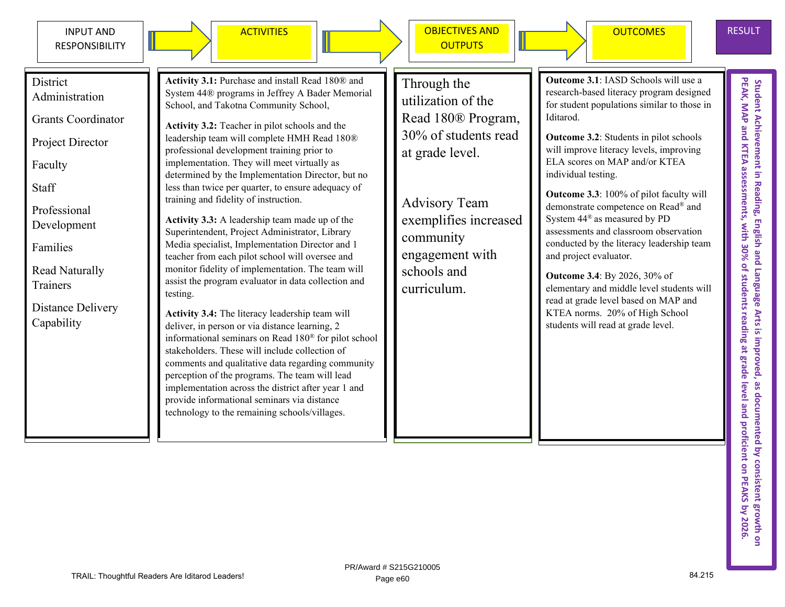



ACTIVITIES Incorrection objectives and **OUTPUTS** 

> Through the utilization of the

at grade level.

Advisory Team

engagement with

community

schools and curriculum.

exemplifies increased



PEAK, MAP and KTEA assessments, with 30% of students reading at grade level and proficient on PEAK's by 2026 Student Achievement in Reading, English and Language Arts is improved, as documented by consistent growth on<br>PEAK, MAP and KTEA assessments, with 30% of students reading at grade level and proficient on PEAKS by 2026. Student Achievement in Reading, English and Language Arts is improved, as documented by consistent growth or

District

Administration

Grants Coordinator

Project Director

Faculty

Staff

Professional Development

Families

Read Naturally **Trainers** 

Distance Delivery Capability

**Activity 3.1:** Purchase and install Read 180® and System 44® programs in Jeffrey A Bader Memorial School, and Takotna Community School,

**Activity 3.2:** Teacher in pilot schools and the leadership team will complete HMH Read 180® professional development training prior to implementation. They will meet virtually as determined by the Implementation Director, but no less than twice per quarter, to ensure adequacy of training and fidelity of instruction.

**Activity 3.3:** A leadership team made up of the Superintendent, Project Administrator, Library Media specialist, Implementation Director and 1 teacher from each pilot school will oversee and monitor fidelity of implementation. The team will assist the program evaluator in data collection and testing.

**Activity 3.4:** The literacy leadership team will deliver, in person or via distance learning, 2 informational seminars on Read 180® for pilot school stakeholders. These will include collection of comments and qualitative data regarding community perception of the programs. The team will lead implementation across the district after year 1 and provide informational seminars via distance technology to the remaining schools/villages.

Read 180® Program, 30% of students read

**Outcome 3.1**: IASD Schools will use a research-based literacy program designed for student populations similar to those in Iditarod.

**Outcome 3.2**: Students in pilot schools will improve literacy levels, improving ELA scores on MAP and/or KTEA individual testing.

**Outcome 3.3**: 100% of pilot faculty will demonstrate competence on Read® and System 44® as measured by PD assessments and classroom observation conducted by the literacy leadership team and project evaluator.

**Outcome 3.4**: By 2026, 30% of elementary and middle level students will read at grade level based on MAP and KTEA norms. 20% of High School students will read at grade level.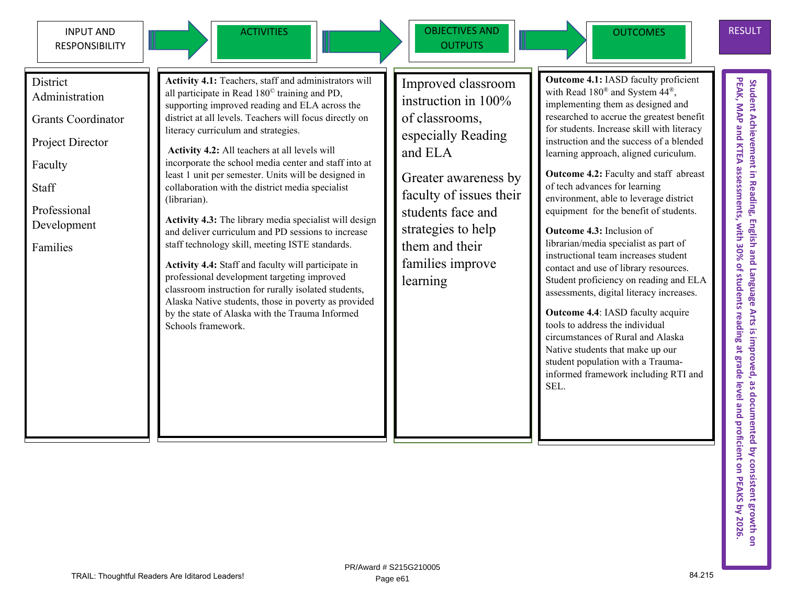

ACTIVITIES **OBJECTIVES AND OUTPUTS** 

of classrooms,

Greater awareness by faculty of issues their

students face and strategies to help them and their families improve

and ELA

learning



Improved classroom instruction in 100% especially Reading

**Outcome 4.1:** IASD faculty proficient with Read 180® and System 44®, implementing them as designed and researched to accrue the greatest benefit for students. Increase skill with literacy instruction and the success of a blended learning approach, aligned curiculum.

**Outcome 4.2:** Faculty and staff abreast of tech advances for learning environment, able to leverage district equipment for the benefit of students.

**Outcome 4.3:** Inclusion of librarian/media specialist as part of instructional team increases student contact and use of library resources. Student proficiency on reading and ELA assessments, digital literacy increases.

**Outcome 4.4**: IASD faculty acquire tools to address the individual circumstances of Rural and Alaska Native students that make up our student population with a Traumainformed framework including RTI and SEL.

Student Achievement in Reading, English and Language Arts is improved, as documented by consistent growth on<br>PEAK, MAP and KTEA assessments, with 30% of students reading at grade level and proficient on PEAKS by 2026.<br>PEAK Student Achievement in Reading, English and Language Arts is improved, as documented by consistent growth on<br>PEAK, MAP and KTEA assessments, with 30% of students reading at grade level and proficient on PEAKS by 2026.

**District** Administration

Grants Coordinator

Project Director

Faculty

**Staff** 

Professional Development

Families

**Activity 4.1:** Teachers, staff and administrators will all participate in Read 180© training and PD, supporting improved reading and ELA across the district at all levels. Teachers will focus directly on literacy curriculum and strategies.

**Activity 4.2:** All teachers at all levels will incorporate the school media center and staff into at least 1 unit per semester. Units will be designed in collaboration with the district media specialist (librarian).

**Activity 4.3:** The library media specialist will design and deliver curriculum and PD sessions to increase staff technology skill, meeting ISTE standards.

**Activity 4.4:** Staff and faculty will participate in professional development targeting improved classroom instruction for rurally isolated students, Alaska Native students, those in poverty as provided by the state of Alaska with the Trauma Informed Schools framework.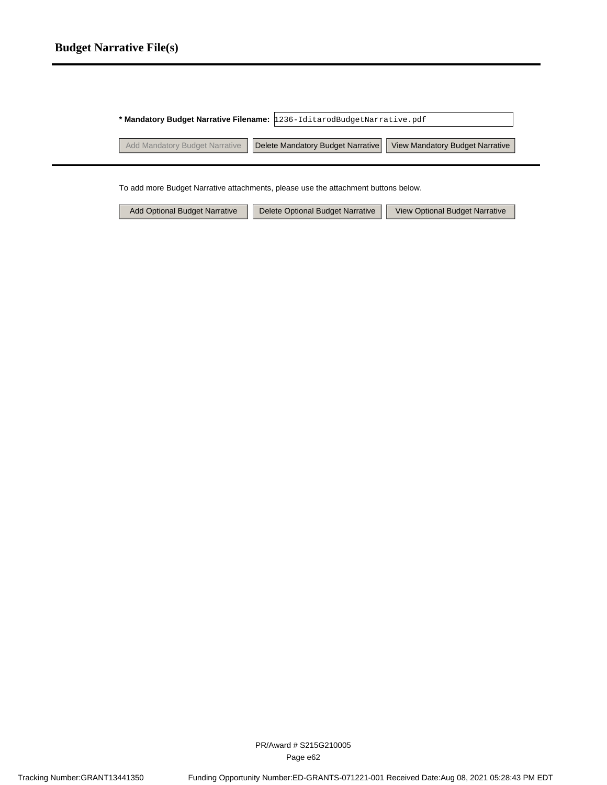#### **Budget Narrative File(s)**

| * Mandatory Budget Narrative Filename: 1236-IditarodBudgetNarrative.pdf |                                   |                                 |
|-------------------------------------------------------------------------|-----------------------------------|---------------------------------|
| Add Mandatory Budget Narrative                                          | Delete Mandatory Budget Narrative | View Mandatory Budget Narrative |
|                                                                         |                                   |                                 |

To add more Budget Narrative attachments, please use the attachment buttons below.

| Add Optional Budget Narrative |  | Delete Optional Budget Narrative |  | View Optional Budget Narrative |
|-------------------------------|--|----------------------------------|--|--------------------------------|
|-------------------------------|--|----------------------------------|--|--------------------------------|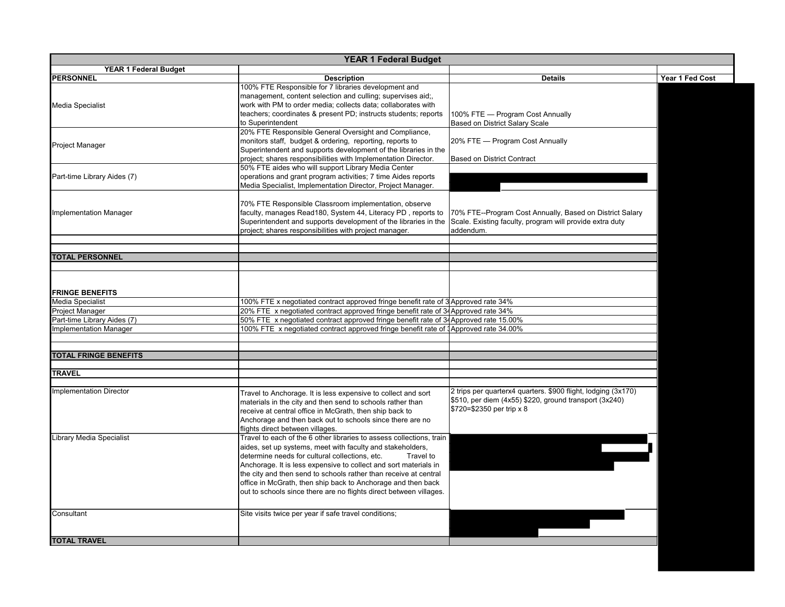| <b>YEAR 1 Federal Budget</b>               |                                                                                                                                                                                                                                                                                                                                                                                                                                                                                 |                                                                                                                                                      |                 |  |
|--------------------------------------------|---------------------------------------------------------------------------------------------------------------------------------------------------------------------------------------------------------------------------------------------------------------------------------------------------------------------------------------------------------------------------------------------------------------------------------------------------------------------------------|------------------------------------------------------------------------------------------------------------------------------------------------------|-----------------|--|
| <b>YEAR 1 Federal Budget</b>               |                                                                                                                                                                                                                                                                                                                                                                                                                                                                                 |                                                                                                                                                      |                 |  |
| PERSONNEL                                  | <b>Description</b>                                                                                                                                                                                                                                                                                                                                                                                                                                                              | <b>Details</b>                                                                                                                                       | Year 1 Fed Cost |  |
| <b>Media Specialist</b>                    | 100% FTE Responsible for 7 libraries development and<br>management, content selection and culling; supervises aid;,<br>work with PM to order media; collects data; collaborates with<br>teachers; coordinates & present PD; instructs students; reports<br>to Superintendent                                                                                                                                                                                                    | 100% FTE - Program Cost Annually<br><b>Based on District Salary Scale</b>                                                                            |                 |  |
| <b>Project Manager</b>                     | 20% FTE Responsible General Oversight and Compliance,<br>monitors staff, budget & ordering, reporting, reports to<br>Superintendent and supports development of the libraries in the<br>project; shares responsibilities with Implementation Director.                                                                                                                                                                                                                          | 20% FTE - Program Cost Annually<br><b>Based on District Contract</b>                                                                                 |                 |  |
| Part-time Library Aides (7)                | 50% FTE aides who will support Library Media Center<br>operations and grant program activities; 7 time Aides reports<br>Media Specialist, Implementation Director, Project Manager.                                                                                                                                                                                                                                                                                             |                                                                                                                                                      |                 |  |
| <b>Implementation Manager</b>              | 70% FTE Responsible Classroom implementation, observe<br>faculty, manages Read180, System 44, Literacy PD, reports to<br>Superintendent and supports development of the libraries in the<br>project; shares responsibilities with project manager.                                                                                                                                                                                                                              | 70% FTE--Program Cost Annually, Based on District Salary<br>Scale. Existing faculty, program will provide extra duty<br>addendum.                    |                 |  |
| <b>TOTAL PERSONNEL</b>                     |                                                                                                                                                                                                                                                                                                                                                                                                                                                                                 |                                                                                                                                                      |                 |  |
| <b>FRINGE BENEFITS</b><br>Media Specialist | 100% FTE x negotiated contract approved fringe benefit rate of 3 Approved rate 34%                                                                                                                                                                                                                                                                                                                                                                                              |                                                                                                                                                      |                 |  |
| <b>Project Manager</b>                     | 20% FTE x negotiated contract approved fringe benefit rate of 34 Approved rate 34%                                                                                                                                                                                                                                                                                                                                                                                              |                                                                                                                                                      |                 |  |
| Part-time Library Aides (7)                | 50% FTE x negotiated contract approved fringe benefit rate of 34Approved rate 15.00%                                                                                                                                                                                                                                                                                                                                                                                            |                                                                                                                                                      |                 |  |
| <b>Implementation Manager</b>              | 100% FTE x negotiated contract approved fringe benefit rate of 1Approved rate 34.00%                                                                                                                                                                                                                                                                                                                                                                                            |                                                                                                                                                      |                 |  |
| <b>TOTAL FRINGE BENEFITS</b>               |                                                                                                                                                                                                                                                                                                                                                                                                                                                                                 |                                                                                                                                                      |                 |  |
| <b>TRAVEL</b>                              |                                                                                                                                                                                                                                                                                                                                                                                                                                                                                 |                                                                                                                                                      |                 |  |
| <b>Implementation Director</b>             | Travel to Anchorage. It is less expensive to collect and sort<br>materials in the city and then send to schools rather than<br>receive at central office in McGrath, then ship back to<br>Anchorage and then back out to schools since there are no<br>flights direct between villages.                                                                                                                                                                                         | 2 trips per quarterx4 quarters. \$900 flight, lodging (3x170)<br>\$510, per diem (4x55) \$220, ground transport (3x240)<br>\$720=\$2350 per trip x 8 |                 |  |
| <b>Library Media Specialist</b>            | Travel to each of the 6 other libraries to assess collections, train<br>aides, set up systems, meet with faculty and stakeholders,<br>determine needs for cultural collections, etc.<br>Travel to<br>Anchorage. It is less expensive to collect and sort materials in<br>the city and then send to schools rather than receive at central<br>office in McGrath, then ship back to Anchorage and then back<br>out to schools since there are no flights direct between villages. |                                                                                                                                                      |                 |  |
| Consultant                                 | Site visits twice per year if safe travel conditions;                                                                                                                                                                                                                                                                                                                                                                                                                           |                                                                                                                                                      |                 |  |
| <b>TOTAL TRAVEL</b>                        |                                                                                                                                                                                                                                                                                                                                                                                                                                                                                 |                                                                                                                                                      |                 |  |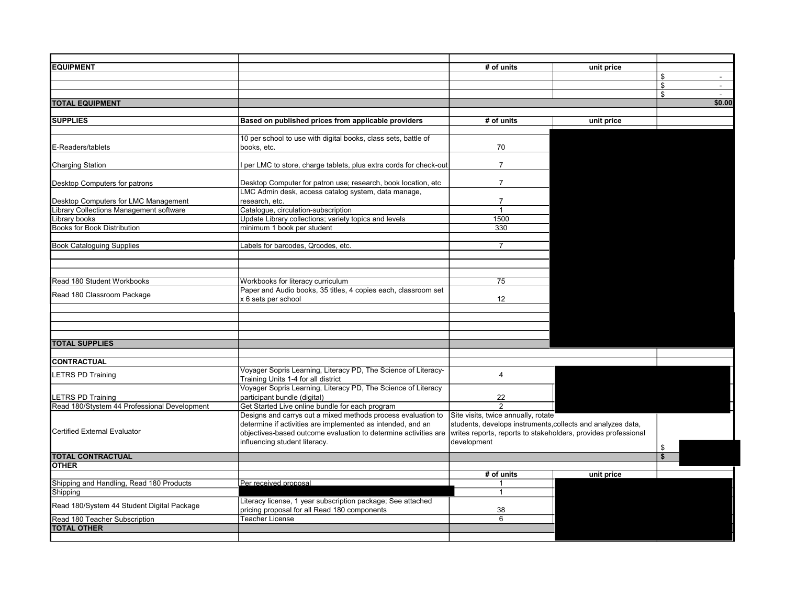| <b>EQUIPMENT</b>                             |                                                                                                     | # of units                                                     | unit price |    |        |
|----------------------------------------------|-----------------------------------------------------------------------------------------------------|----------------------------------------------------------------|------------|----|--------|
|                                              |                                                                                                     |                                                                |            | ደ  | $\sim$ |
|                                              |                                                                                                     |                                                                |            | \$ | $\sim$ |
|                                              |                                                                                                     |                                                                |            | ደ  | $\sim$ |
| <b>TOTAL EQUIPMENT</b>                       |                                                                                                     |                                                                |            |    | \$0.00 |
|                                              |                                                                                                     |                                                                |            |    |        |
| <b>SUPPLIES</b>                              | Based on published prices from applicable providers                                                 | # of units                                                     | unit price |    |        |
|                                              | 10 per school to use with digital books, class sets, battle of                                      |                                                                |            |    |        |
| E-Readers/tablets                            | books, etc.                                                                                         | 70                                                             |            |    |        |
|                                              |                                                                                                     |                                                                |            |    |        |
| <b>Charging Station</b>                      | I per LMC to store, charge tablets, plus extra cords for check-out                                  | $\overline{7}$                                                 |            |    |        |
|                                              |                                                                                                     |                                                                |            |    |        |
| Desktop Computers for patrons                | Desktop Computer for patron use; research, book location, etc.                                      | $\overline{7}$                                                 |            |    |        |
|                                              | LMC Admin desk, access catalog system, data manage,                                                 |                                                                |            |    |        |
| Desktop Computers for LMC Management         | research, etc.                                                                                      | $\overline{7}$                                                 |            |    |        |
| Library Collections Management software      | Catalogue, circulation-subscription                                                                 | 1                                                              |            |    |        |
| Library books                                | Update Library collections; variety topics and levels                                               | 1500                                                           |            |    |        |
| <b>Books for Book Distribution</b>           | minimum 1 book per student                                                                          | 330                                                            |            |    |        |
|                                              |                                                                                                     |                                                                |            |    |        |
| <b>Book Cataloguing Supplies</b>             | Labels for barcodes, Qrcodes, etc.                                                                  | $\overline{7}$                                                 |            |    |        |
|                                              |                                                                                                     |                                                                |            |    |        |
|                                              |                                                                                                     |                                                                |            |    |        |
|                                              |                                                                                                     |                                                                |            |    |        |
| Read 180 Student Workbooks                   | Workbooks for literacy curriculum<br>Paper and Audio books, 35 titles, 4 copies each, classroom set | 75                                                             |            |    |        |
| Read 180 Classroom Package                   | x 6 sets per school                                                                                 | 12                                                             |            |    |        |
|                                              |                                                                                                     |                                                                |            |    |        |
|                                              |                                                                                                     |                                                                |            |    |        |
|                                              |                                                                                                     |                                                                |            |    |        |
|                                              |                                                                                                     |                                                                |            |    |        |
| <b>TOTAL SUPPLIES</b>                        |                                                                                                     |                                                                |            |    |        |
|                                              |                                                                                                     |                                                                |            |    |        |
| <b>CONTRACTUAL</b>                           |                                                                                                     |                                                                |            |    |        |
| LETRS PD Training                            | Voyager Sopris Learning, Literacy PD, The Science of Literacy-                                      | $\overline{4}$                                                 |            |    |        |
|                                              | Training Units 1-4 for all district                                                                 |                                                                |            |    |        |
|                                              | Voyager Sopris Learning, Literacy PD, The Science of Literacy                                       |                                                                |            |    |        |
| LETRS PD Training                            | participant bundle (digital)                                                                        | 22                                                             |            |    |        |
| Read 180/Stystem 44 Professional Development | Get Started Live online bundle for each program                                                     | 2                                                              |            |    |        |
|                                              | Designs and carrys out a mixed methods process evaluation to                                        | Site visits, twice annually, rotate                            |            |    |        |
| Certified External Evaluator                 | determine if activities are implemented as intended, and an                                         | students, develops instruments, collects and analyzes data,    |            |    |        |
|                                              | objectives-based outcome evaluation to determine activities are                                     | writes reports, reports to stakeholders, provides professional |            |    |        |
|                                              | influencing student literacy.                                                                       | development                                                    |            |    |        |
| <b>TOTAL CONTRACTUAL</b>                     |                                                                                                     |                                                                |            |    |        |
| <b>OTHER</b>                                 |                                                                                                     |                                                                |            |    |        |
|                                              |                                                                                                     | # of units                                                     | unit price |    |        |
| Shipping and Handling, Read 180 Products     | Per received proposal                                                                               |                                                                |            |    |        |
| Shipping                                     |                                                                                                     | 1                                                              |            |    |        |
| Read 180/System 44 Student Digital Package   | Literacy license, 1 year subscription package; See attached                                         |                                                                |            |    |        |
|                                              | pricing proposal for all Read 180 components                                                        | 38                                                             |            |    |        |
| Read 180 Teacher Subscription                | <b>Teacher License</b>                                                                              | 6                                                              |            |    |        |
| <b>TOTAL OTHER</b>                           |                                                                                                     |                                                                |            |    |        |
|                                              |                                                                                                     |                                                                |            |    |        |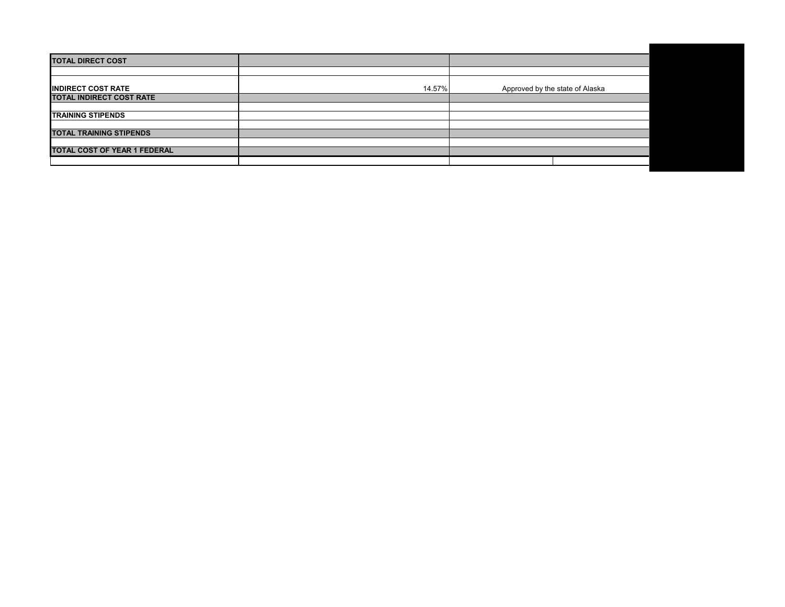| <b>TOTAL DIRECT COST</b>            |        |                                 |
|-------------------------------------|--------|---------------------------------|
|                                     |        |                                 |
| <b>INDIRECT COST RATE</b>           | 14.57% | Approved by the state of Alaska |
| TOTAL INDIRECT COST RATE            |        |                                 |
|                                     |        |                                 |
| <b>TRAINING STIPENDS</b>            |        |                                 |
|                                     |        |                                 |
| <b>TOTAL TRAINING STIPENDS</b>      |        |                                 |
|                                     |        |                                 |
| <b>TOTAL COST OF YEAR 1 FEDERAL</b> |        |                                 |
|                                     |        |                                 |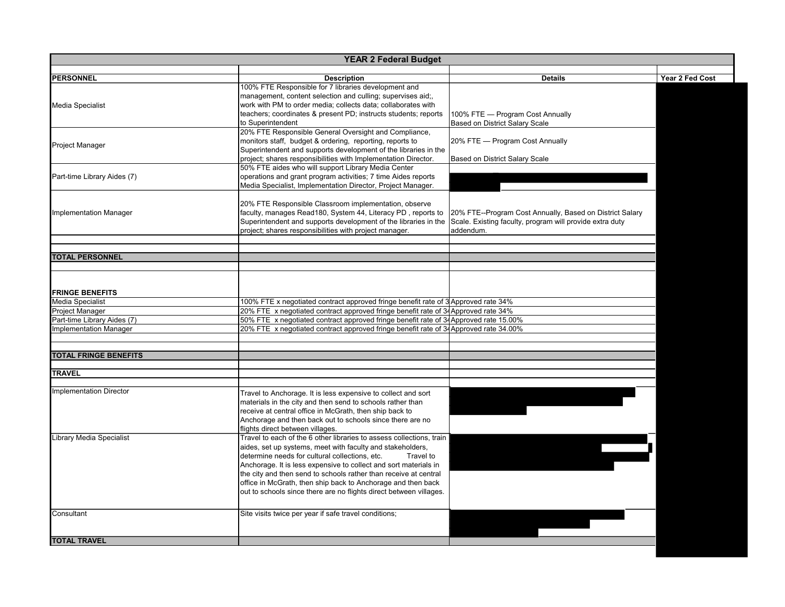| <b>YEAR 2 Federal Budget</b>   |                                                                                                                    |                                                                           |                 |  |
|--------------------------------|--------------------------------------------------------------------------------------------------------------------|---------------------------------------------------------------------------|-----------------|--|
|                                |                                                                                                                    |                                                                           |                 |  |
| <b>PERSONNEL</b>               | <b>Description</b>                                                                                                 | <b>Details</b>                                                            | Year 2 Fed Cost |  |
|                                | 100% FTE Responsible for 7 libraries development and<br>management, content selection and culling; supervises aid; |                                                                           |                 |  |
|                                | work with PM to order media; collects data; collaborates with                                                      |                                                                           |                 |  |
| <b>Media Specialist</b>        | teachers; coordinates & present PD; instructs students; reports                                                    |                                                                           |                 |  |
|                                | to Superintendent                                                                                                  | 100% FTE - Program Cost Annually<br><b>Based on District Salary Scale</b> |                 |  |
|                                | 20% FTE Responsible General Oversight and Compliance,                                                              |                                                                           |                 |  |
|                                | monitors staff, budget & ordering, reporting, reports to                                                           | 20% FTE - Program Cost Annually                                           |                 |  |
| <b>Project Manager</b>         | Superintendent and supports development of the libraries in the                                                    |                                                                           |                 |  |
|                                | project; shares responsibilities with Implementation Director.                                                     |                                                                           |                 |  |
|                                | 50% FTE aides who will support Library Media Center                                                                | Based on District Salary Scale                                            |                 |  |
|                                | operations and grant program activities; 7 time Aides reports                                                      |                                                                           |                 |  |
| Part-time Library Aides (7)    | Media Specialist, Implementation Director, Project Manager.                                                        |                                                                           |                 |  |
|                                |                                                                                                                    |                                                                           |                 |  |
|                                | 20% FTE Responsible Classroom implementation, observe                                                              |                                                                           |                 |  |
|                                | faculty, manages Read180, System 44, Literacy PD, reports to                                                       | 20% FTE--Program Cost Annually, Based on District Salary                  |                 |  |
| <b>Implementation Manager</b>  | Superintendent and supports development of the libraries in the                                                    | Scale. Existing faculty, program will provide extra duty                  |                 |  |
|                                | project; shares responsibilities with project manager.                                                             | addendum.                                                                 |                 |  |
|                                |                                                                                                                    |                                                                           |                 |  |
|                                |                                                                                                                    |                                                                           |                 |  |
| <b>TOTAL PERSONNEL</b>         |                                                                                                                    |                                                                           |                 |  |
|                                |                                                                                                                    |                                                                           |                 |  |
|                                |                                                                                                                    |                                                                           |                 |  |
|                                |                                                                                                                    |                                                                           |                 |  |
| <b>FRINGE BENEFITS</b>         |                                                                                                                    |                                                                           |                 |  |
| <b>Media Specialist</b>        | 100% FTE x negotiated contract approved fringe benefit rate of 3 Approved rate 34%                                 |                                                                           |                 |  |
| Project Manager                | 20% FTE x negotiated contract approved fringe benefit rate of 34 Approved rate 34%                                 |                                                                           |                 |  |
| Part-time Library Aides (7)    | 50% FTE x negotiated contract approved fringe benefit rate of 34Approved rate 15.00%                               |                                                                           |                 |  |
| <b>Implementation Manager</b>  | 20% FTE x negotiated contract approved fringe benefit rate of 34 Approved rate 34.00%                              |                                                                           |                 |  |
|                                |                                                                                                                    |                                                                           |                 |  |
|                                |                                                                                                                    |                                                                           |                 |  |
| <b>TOTAL FRINGE BENEFITS</b>   |                                                                                                                    |                                                                           |                 |  |
|                                |                                                                                                                    |                                                                           |                 |  |
| <b>TRAVEL</b>                  |                                                                                                                    |                                                                           |                 |  |
|                                |                                                                                                                    |                                                                           |                 |  |
| <b>Implementation Director</b> | Travel to Anchorage. It is less expensive to collect and sort                                                      |                                                                           |                 |  |
|                                | materials in the city and then send to schools rather than                                                         |                                                                           |                 |  |
|                                | receive at central office in McGrath, then ship back to                                                            |                                                                           |                 |  |
|                                | Anchorage and then back out to schools since there are no                                                          |                                                                           |                 |  |
|                                | flights direct between villages.                                                                                   |                                                                           |                 |  |
| Library Media Specialist       | Travel to each of the 6 other libraries to assess collections, train                                               |                                                                           |                 |  |
|                                | aides, set up systems, meet with faculty and stakeholders,                                                         |                                                                           |                 |  |
|                                | determine needs for cultural collections, etc.<br>Travel to                                                        |                                                                           |                 |  |
|                                | Anchorage. It is less expensive to collect and sort materials in                                                   |                                                                           |                 |  |
|                                | the city and then send to schools rather than receive at central                                                   |                                                                           |                 |  |
|                                | office in McGrath, then ship back to Anchorage and then back                                                       |                                                                           |                 |  |
|                                | out to schools since there are no flights direct between villages.                                                 |                                                                           |                 |  |
|                                |                                                                                                                    |                                                                           |                 |  |
| Consultant                     | Site visits twice per year if safe travel conditions;                                                              |                                                                           |                 |  |
|                                |                                                                                                                    |                                                                           |                 |  |
|                                |                                                                                                                    |                                                                           |                 |  |
| <b>TOTAL TRAVEL</b>            |                                                                                                                    |                                                                           |                 |  |
|                                |                                                                                                                    |                                                                           |                 |  |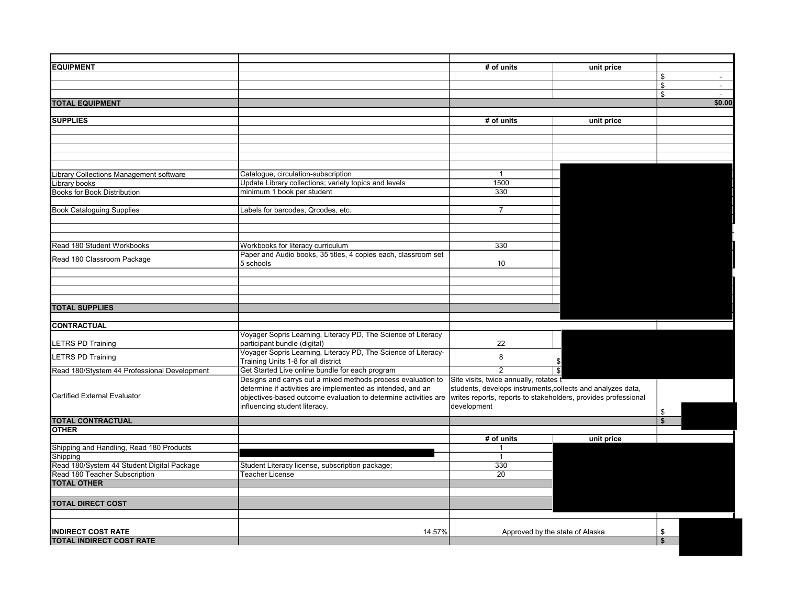| <b>EQUIPMENT</b>                             |                                                                     | # of units                                                     | unit price               |                |
|----------------------------------------------|---------------------------------------------------------------------|----------------------------------------------------------------|--------------------------|----------------|
|                                              |                                                                     |                                                                |                          | \$<br>$\sim$   |
|                                              |                                                                     |                                                                |                          | \$<br>$\omega$ |
|                                              |                                                                     |                                                                |                          | \$<br>$\sim$   |
| <b>TOTAL EQUIPMENT</b>                       |                                                                     |                                                                |                          | \$0.00         |
|                                              |                                                                     |                                                                |                          |                |
| <b>SUPPLIES</b>                              |                                                                     | # of units                                                     | unit price               |                |
|                                              |                                                                     |                                                                |                          |                |
|                                              |                                                                     |                                                                |                          |                |
|                                              |                                                                     |                                                                |                          |                |
|                                              |                                                                     |                                                                |                          |                |
|                                              |                                                                     |                                                                |                          |                |
| Library Collections Management software      | Catalogue, circulation-subscription                                 | $\mathbf{1}$                                                   |                          |                |
| Library books                                | Update Library collections; variety topics and levels               | 1500                                                           |                          |                |
| Books for Book Distribution                  | minimum 1 book per student                                          | 330                                                            |                          |                |
|                                              |                                                                     |                                                                |                          |                |
| <b>Book Cataloguing Supplies</b>             | Labels for barcodes, Qrcodes, etc.                                  | $\overline{7}$                                                 |                          |                |
|                                              |                                                                     |                                                                |                          |                |
|                                              |                                                                     |                                                                |                          |                |
|                                              |                                                                     |                                                                |                          |                |
| Read 180 Student Workbooks                   | Workbooks for literacy curriculum                                   | 330                                                            |                          |                |
|                                              | Paper and Audio books, 35 titles, 4 copies each, classroom set      |                                                                |                          |                |
| Read 180 Classroom Package                   | 5 schools                                                           | 10                                                             |                          |                |
|                                              |                                                                     |                                                                |                          |                |
|                                              |                                                                     |                                                                |                          |                |
|                                              |                                                                     |                                                                |                          |                |
|                                              |                                                                     |                                                                |                          |                |
| <b>TOTAL SUPPLIES</b>                        |                                                                     |                                                                |                          |                |
|                                              |                                                                     |                                                                |                          |                |
| <b>CONTRACTUAL</b>                           |                                                                     |                                                                |                          |                |
|                                              | Voyager Sopris Learning, Literacy PD, The Science of Literacy       |                                                                |                          |                |
| LETRS PD Training                            | participant bundle (digital)                                        | 22                                                             |                          |                |
|                                              | .<br>Voyager Sopris Learning, Literacy PD, The Science of Literacy- |                                                                |                          |                |
| LETRS PD Training                            | Training Units 1-8 for all district                                 | 8                                                              |                          |                |
| Read 180/Stystem 44 Professional Development | Get Started Live online bundle for each program                     | $\overline{2}$                                                 | $\overline{\mathcal{S}}$ |                |
|                                              | Designs and carrys out a mixed methods process evaluation to        | Site visits, twice annually, rotates t                         |                          |                |
|                                              | determine if activities are implemented as intended, and an         | students, develops instruments, collects and analyzes data,    |                          |                |
| <b>Certified External Evaluator</b>          | objectives-based outcome evaluation to determine activities are     | writes reports, reports to stakeholders, provides professional |                          |                |
|                                              | influencing student literacy.                                       | development                                                    |                          |                |
|                                              |                                                                     |                                                                |                          | \$             |
| <b>TOTAL CONTRACTUAL</b>                     |                                                                     |                                                                |                          |                |
| <b>OTHER</b>                                 |                                                                     |                                                                |                          |                |
|                                              |                                                                     | # of units                                                     | unit price               |                |
| Shipping and Handling, Read 180 Products     |                                                                     | $\mathbf 1$                                                    |                          |                |
| Shipping                                     |                                                                     | $\mathbf{1}$                                                   |                          |                |
| Read 180/System 44 Student Digital Package   | Student Literacy license, subscription package;                     | 330                                                            |                          |                |
| Read 180 Teacher Subscription                | <b>Teacher License</b>                                              | $\overline{20}$                                                |                          |                |
| <b>TOTAL OTHER</b>                           |                                                                     |                                                                |                          |                |
|                                              |                                                                     |                                                                |                          |                |
| <b>TOTAL DIRECT COST</b>                     |                                                                     |                                                                |                          |                |
|                                              |                                                                     |                                                                |                          |                |
|                                              |                                                                     |                                                                |                          |                |
|                                              |                                                                     |                                                                |                          |                |
| <b>INDIRECT COST RATE</b>                    | 14.57%                                                              | Approved by the state of Alaska                                |                          | \$             |
| <b>TOTAL INDIRECT COST RATE</b>              |                                                                     |                                                                |                          | \$             |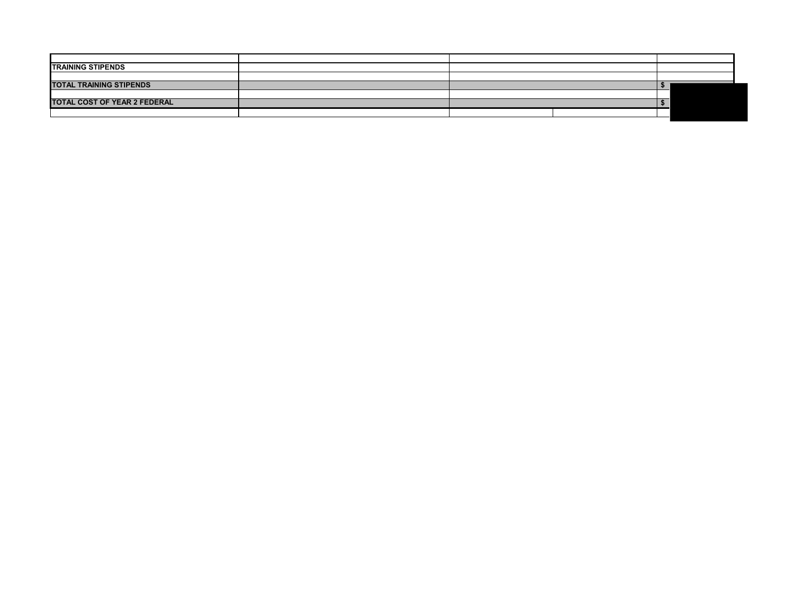| <b>TRAINING STIPENDS</b>            |  |  |  |
|-------------------------------------|--|--|--|
|                                     |  |  |  |
| <b>TOTAL TRAINING STIPENDS</b>      |  |  |  |
|                                     |  |  |  |
| <b>TOTAL COST OF YEAR 2 FEDERAL</b> |  |  |  |
|                                     |  |  |  |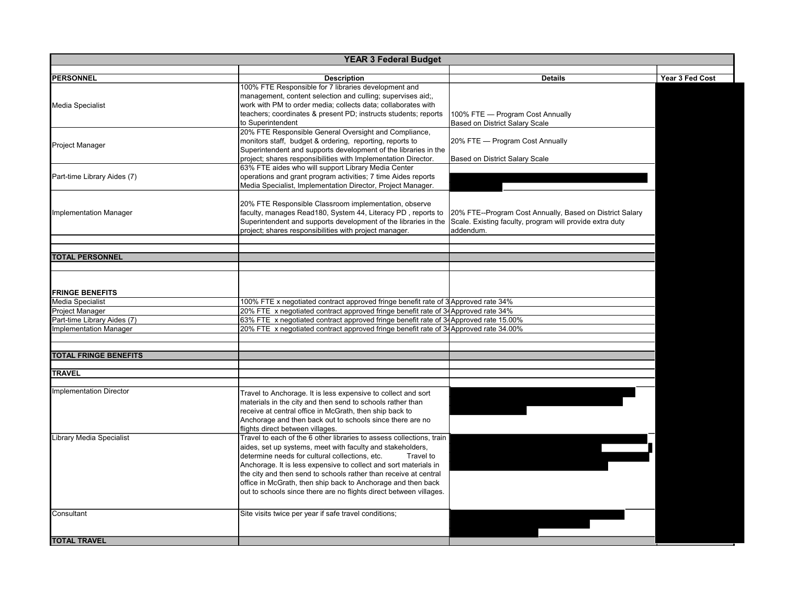| <b>YEAR 3 Federal Budget</b>    |                                                                                                                       |                                                          |                 |  |
|---------------------------------|-----------------------------------------------------------------------------------------------------------------------|----------------------------------------------------------|-----------------|--|
|                                 |                                                                                                                       |                                                          |                 |  |
| <b>PERSONNEL</b>                | <b>Description</b>                                                                                                    | <b>Details</b>                                           | Year 3 Fed Cost |  |
|                                 | 100% FTE Responsible for 7 libraries development and                                                                  |                                                          |                 |  |
|                                 | management, content selection and culling; supervises aid;                                                            |                                                          |                 |  |
| <b>Media Specialist</b>         | work with PM to order media; collects data; collaborates with                                                         |                                                          |                 |  |
|                                 | teachers; coordinates & present PD; instructs students; reports                                                       | 100% FTE - Program Cost Annually                         |                 |  |
|                                 | to Superintendent                                                                                                     | <b>Based on District Salary Scale</b>                    |                 |  |
|                                 | 20% FTE Responsible General Oversight and Compliance,                                                                 |                                                          |                 |  |
| Project Manager                 | monitors staff, budget & ordering, reporting, reports to                                                              | 20% FTE - Program Cost Annually                          |                 |  |
|                                 | Superintendent and supports development of the libraries in the                                                       |                                                          |                 |  |
|                                 | project; shares responsibilities with Implementation Director.<br>63% FTE aides who will support Library Media Center | Based on District Salary Scale                           |                 |  |
|                                 |                                                                                                                       |                                                          |                 |  |
| Part-time Library Aides (7)     | operations and grant program activities; 7 time Aides reports                                                         |                                                          |                 |  |
|                                 | Media Specialist, Implementation Director, Project Manager.                                                           |                                                          |                 |  |
|                                 | 20% FTE Responsible Classroom implementation, observe                                                                 |                                                          |                 |  |
| mplementation Manager           | faculty, manages Read180, System 44, Literacy PD, reports to                                                          | 20% FTE--Program Cost Annually, Based on District Salary |                 |  |
|                                 | Superintendent and supports development of the libraries in the                                                       | Scale. Existing faculty, program will provide extra duty |                 |  |
|                                 | project; shares responsibilities with project manager.                                                                | addendum.                                                |                 |  |
|                                 |                                                                                                                       |                                                          |                 |  |
|                                 |                                                                                                                       |                                                          |                 |  |
| <b>TOTAL PERSONNEL</b>          |                                                                                                                       |                                                          |                 |  |
|                                 |                                                                                                                       |                                                          |                 |  |
|                                 |                                                                                                                       |                                                          |                 |  |
|                                 |                                                                                                                       |                                                          |                 |  |
| <b>FRINGE BENEFITS</b>          |                                                                                                                       |                                                          |                 |  |
| <b>Media Specialist</b>         | 100% FTE x negotiated contract approved fringe benefit rate of 3 Approved rate 34%                                    |                                                          |                 |  |
| <b>Project Manager</b>          | 20% FTE x negotiated contract approved fringe benefit rate of 34 Approved rate 34%                                    |                                                          |                 |  |
| Part-time Library Aides (7)     | 63% FTE x negotiated contract approved fringe benefit rate of 34Approved rate 15.00%                                  |                                                          |                 |  |
| <b>Implementation Manager</b>   | 20% FTE x negotiated contract approved fringe benefit rate of 34Approved rate 34.00%                                  |                                                          |                 |  |
|                                 |                                                                                                                       |                                                          |                 |  |
| <b>TOTAL FRINGE BENEFITS</b>    |                                                                                                                       |                                                          |                 |  |
|                                 |                                                                                                                       |                                                          |                 |  |
| <b>TRAVEL</b>                   |                                                                                                                       |                                                          |                 |  |
|                                 |                                                                                                                       |                                                          |                 |  |
| mplementation Director          | Travel to Anchorage. It is less expensive to collect and sort                                                         |                                                          |                 |  |
|                                 | materials in the city and then send to schools rather than                                                            |                                                          |                 |  |
|                                 | receive at central office in McGrath, then ship back to                                                               |                                                          |                 |  |
|                                 | Anchorage and then back out to schools since there are no                                                             |                                                          |                 |  |
|                                 | flights direct between villages.                                                                                      |                                                          |                 |  |
| <b>Library Media Specialist</b> | Travel to each of the 6 other libraries to assess collections, train                                                  |                                                          |                 |  |
|                                 | aides, set up systems, meet with faculty and stakeholders,                                                            |                                                          |                 |  |
|                                 | determine needs for cultural collections, etc.<br>Travel to                                                           |                                                          |                 |  |
|                                 | Anchorage. It is less expensive to collect and sort materials in                                                      |                                                          |                 |  |
|                                 | the city and then send to schools rather than receive at central                                                      |                                                          |                 |  |
|                                 | office in McGrath, then ship back to Anchorage and then back                                                          |                                                          |                 |  |
|                                 | out to schools since there are no flights direct between villages.                                                    |                                                          |                 |  |
|                                 |                                                                                                                       |                                                          |                 |  |
| Consultant                      | Site visits twice per year if safe travel conditions;                                                                 |                                                          |                 |  |
|                                 |                                                                                                                       |                                                          |                 |  |
|                                 |                                                                                                                       |                                                          |                 |  |
| <b>TOTAL TRAVEL</b>             |                                                                                                                       |                                                          |                 |  |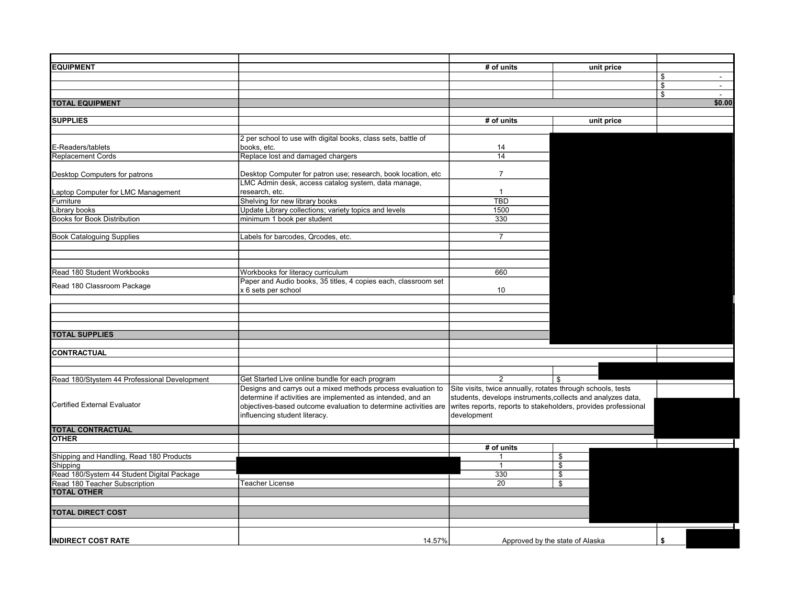| <b>EQUIPMENT</b>                             |                                                                                                                                | # of units                                                                                                                    | unit price                      |              |
|----------------------------------------------|--------------------------------------------------------------------------------------------------------------------------------|-------------------------------------------------------------------------------------------------------------------------------|---------------------------------|--------------|
|                                              |                                                                                                                                |                                                                                                                               |                                 | \$<br>$\sim$ |
|                                              |                                                                                                                                |                                                                                                                               |                                 | \$<br>$\sim$ |
|                                              |                                                                                                                                |                                                                                                                               |                                 | \$<br>$\sim$ |
| <b>TOTAL EQUIPMENT</b>                       |                                                                                                                                |                                                                                                                               |                                 | \$0.00       |
|                                              |                                                                                                                                |                                                                                                                               |                                 |              |
| <b>SUPPLIES</b>                              |                                                                                                                                | # of units                                                                                                                    | unit price                      |              |
|                                              | 2 per school to use with digital books, class sets, battle of                                                                  |                                                                                                                               |                                 |              |
| E-Readers/tablets                            | books, etc.                                                                                                                    | 14                                                                                                                            |                                 |              |
| Replacement Cords                            | Replace lost and damaged chargers                                                                                              | 14                                                                                                                            |                                 |              |
|                                              |                                                                                                                                |                                                                                                                               |                                 |              |
| Desktop Computers for patrons                | Desktop Computer for patron use; research, book location, etc                                                                  | $\overline{7}$                                                                                                                |                                 |              |
|                                              | LMC Admin desk, access catalog system, data manage,                                                                            |                                                                                                                               |                                 |              |
| aptop Computer for LMC Management            | research, etc.                                                                                                                 | $\mathbf{1}$                                                                                                                  |                                 |              |
| Furniture                                    | Shelving for new library books                                                                                                 | <b>TBD</b>                                                                                                                    |                                 |              |
| Library books                                | Update Library collections; variety topics and levels                                                                          | 1500                                                                                                                          |                                 |              |
| <b>Books for Book Distribution</b>           | minimum 1 book per student                                                                                                     | 330                                                                                                                           |                                 |              |
|                                              |                                                                                                                                |                                                                                                                               |                                 |              |
| <b>Book Cataloguing Supplies</b>             | Labels for barcodes, Qrcodes, etc.                                                                                             | $\overline{7}$                                                                                                                |                                 |              |
|                                              |                                                                                                                                |                                                                                                                               |                                 |              |
|                                              |                                                                                                                                |                                                                                                                               |                                 |              |
|                                              |                                                                                                                                |                                                                                                                               |                                 |              |
| Read 180 Student Workbooks                   | Workbooks for literacy curriculum                                                                                              | 660                                                                                                                           |                                 |              |
| Read 180 Classroom Package                   | Paper and Audio books, 35 titles, 4 copies each, classroom set                                                                 |                                                                                                                               |                                 |              |
|                                              | x 6 sets per school                                                                                                            | 10                                                                                                                            |                                 |              |
|                                              |                                                                                                                                |                                                                                                                               |                                 |              |
|                                              |                                                                                                                                |                                                                                                                               |                                 |              |
|                                              |                                                                                                                                |                                                                                                                               |                                 |              |
|                                              |                                                                                                                                |                                                                                                                               |                                 |              |
| <b>TOTAL SUPPLIES</b>                        |                                                                                                                                |                                                                                                                               |                                 |              |
|                                              |                                                                                                                                |                                                                                                                               |                                 |              |
| <b>CONTRACTUAL</b>                           |                                                                                                                                |                                                                                                                               |                                 |              |
|                                              |                                                                                                                                |                                                                                                                               |                                 |              |
|                                              |                                                                                                                                | $\overline{2}$                                                                                                                | \$                              |              |
| Read 180/Stystem 44 Professional Development | Get Started Live online bundle for each program<br>Designs and carrys out a mixed methods process evaluation to                | Site visits, twice annually, rotates through schools, tests                                                                   |                                 |              |
|                                              |                                                                                                                                |                                                                                                                               |                                 |              |
| <b>Certified External Evaluator</b>          | determine if activities are implemented as intended, and an<br>objectives-based outcome evaluation to determine activities are | students, develops instruments, collects and analyzes data,<br>writes reports, reports to stakeholders, provides professional |                                 |              |
|                                              | influencing student literacy.                                                                                                  | development                                                                                                                   |                                 |              |
|                                              |                                                                                                                                |                                                                                                                               |                                 |              |
| <b>TOTAL CONTRACTUAL</b>                     |                                                                                                                                |                                                                                                                               |                                 |              |
| <b>OTHER</b>                                 |                                                                                                                                |                                                                                                                               |                                 |              |
|                                              |                                                                                                                                | # of units                                                                                                                    |                                 |              |
| Shipping and Handling, Read 180 Products     |                                                                                                                                |                                                                                                                               | \$                              |              |
| Shipping                                     |                                                                                                                                | $\mathbf{1}$                                                                                                                  | $\overline{\$}$                 |              |
| Read 180/System 44 Student Digital Package   |                                                                                                                                | 330                                                                                                                           | $\overline{\$}$                 |              |
| Read 180 Teacher Subscription                | Teacher License                                                                                                                | 20                                                                                                                            | \$                              |              |
| <b>TOTAL OTHER</b>                           |                                                                                                                                |                                                                                                                               |                                 |              |
|                                              |                                                                                                                                |                                                                                                                               |                                 |              |
| <b>TOTAL DIRECT COST</b>                     |                                                                                                                                |                                                                                                                               |                                 |              |
|                                              |                                                                                                                                |                                                                                                                               |                                 |              |
|                                              |                                                                                                                                |                                                                                                                               |                                 |              |
| <b>INDIRECT COST RATE</b>                    | 14.57%                                                                                                                         |                                                                                                                               | Approved by the state of Alaska | \$           |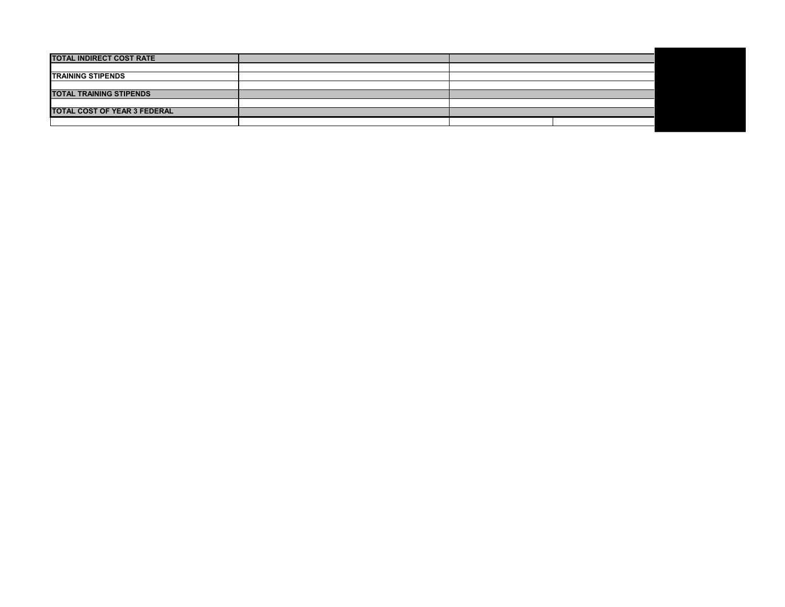| <b>TOTAL INDIRECT COST RATE</b>     |  |  |
|-------------------------------------|--|--|
|                                     |  |  |
| <b>TRAINING STIPENDS</b>            |  |  |
|                                     |  |  |
| <b>TOTAL TRAINING STIPENDS</b>      |  |  |
|                                     |  |  |
| <b>TOTAL COST OF YEAR 3 FEDERAL</b> |  |  |
|                                     |  |  |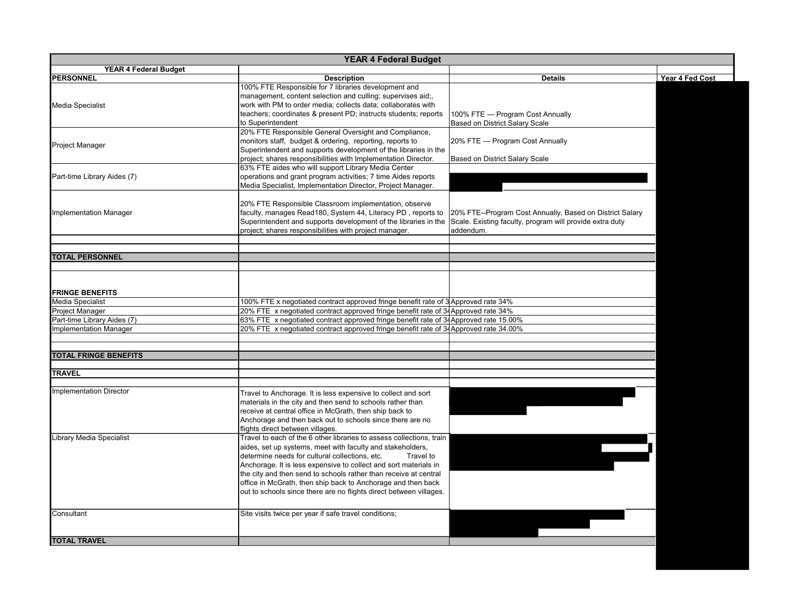| <b>YEAR 4 Federal Budget</b>                          |                                                                                                                                                                                                                                                                                                                                                                                                                                                                                 |                                                                                                                                   |                 |
|-------------------------------------------------------|---------------------------------------------------------------------------------------------------------------------------------------------------------------------------------------------------------------------------------------------------------------------------------------------------------------------------------------------------------------------------------------------------------------------------------------------------------------------------------|-----------------------------------------------------------------------------------------------------------------------------------|-----------------|
| <b>YEAR 4 Federal Budget</b>                          |                                                                                                                                                                                                                                                                                                                                                                                                                                                                                 |                                                                                                                                   |                 |
| <b>PERSONNEL</b>                                      | <b>Description</b>                                                                                                                                                                                                                                                                                                                                                                                                                                                              | <b>Details</b>                                                                                                                    | Year 4 Fed Cost |
| <b>Media Specialist</b>                               | 100% FTE Responsible for 7 libraries development and<br>management, content selection and culling; supervises aid;,<br>work with PM to order media; collects data; collaborates with<br>teachers; coordinates & present PD; instructs students; reports<br>to Superintendent                                                                                                                                                                                                    | 100% FTE - Program Cost Annually<br>Based on District Salary Scale                                                                |                 |
| <b>Project Manager</b>                                | 20% FTE Responsible General Oversight and Compliance,<br>monitors staff, budget & ordering, reporting, reports to<br>Superintendent and supports development of the libraries in the<br>project; shares responsibilities with Implementation Director.                                                                                                                                                                                                                          | 20% FTE - Program Cost Annually<br>Based on District Salary Scale                                                                 |                 |
| Part-time Library Aides (7)                           | 63% FTE aides who will support Library Media Center<br>operations and grant program activities; 7 time Aides reports<br>Media Specialist, Implementation Director, Project Manager.                                                                                                                                                                                                                                                                                             |                                                                                                                                   |                 |
| <b>Implementation Manager</b>                         | 20% FTE Responsible Classroom implementation, observe<br>faculty, manages Read180, System 44, Literacy PD, reports to<br>Superintendent and supports development of the libraries in the<br>project; shares responsibilities with project manager.                                                                                                                                                                                                                              | 20% FTE--Program Cost Annually, Based on District Salary<br>Scale. Existing faculty, program will provide extra duty<br>addendum. |                 |
| <b>TOTAL PERSONNEL</b>                                |                                                                                                                                                                                                                                                                                                                                                                                                                                                                                 |                                                                                                                                   |                 |
| <b>FRINGE BENEFITS</b>                                |                                                                                                                                                                                                                                                                                                                                                                                                                                                                                 |                                                                                                                                   |                 |
| Media Specialist                                      | 100% FTE x negotiated contract approved fringe benefit rate of 3 Approved rate 34%                                                                                                                                                                                                                                                                                                                                                                                              |                                                                                                                                   |                 |
| <b>Project Manager</b><br>Part-time Library Aides (7) | 20% FTE x negotiated contract approved fringe benefit rate of 34 Approved rate 34%<br>63% FTE x negotiated contract approved fringe benefit rate of 34Approved rate 15.00%                                                                                                                                                                                                                                                                                                      |                                                                                                                                   |                 |
| <b>Implementation Manager</b>                         | 20% FTE x negotiated contract approved fringe benefit rate of 34Approved rate 34.00%                                                                                                                                                                                                                                                                                                                                                                                            |                                                                                                                                   |                 |
| <b>TOTAL FRINGE BENEFITS</b>                          |                                                                                                                                                                                                                                                                                                                                                                                                                                                                                 |                                                                                                                                   |                 |
| <b>TRAVEL</b>                                         |                                                                                                                                                                                                                                                                                                                                                                                                                                                                                 |                                                                                                                                   |                 |
| <b>Implementation Director</b>                        | Travel to Anchorage. It is less expensive to collect and sort<br>materials in the city and then send to schools rather than<br>receive at central office in McGrath, then ship back to<br>Anchorage and then back out to schools since there are no<br>flights direct between villages.                                                                                                                                                                                         |                                                                                                                                   |                 |
| <b>Library Media Specialist</b>                       | Travel to each of the 6 other libraries to assess collections, train<br>aides, set up systems, meet with faculty and stakeholders,<br>determine needs for cultural collections, etc.<br>Travel to<br>Anchorage. It is less expensive to collect and sort materials in<br>the city and then send to schools rather than receive at central<br>office in McGrath, then ship back to Anchorage and then back<br>out to schools since there are no flights direct between villages. |                                                                                                                                   |                 |
| Consultant                                            | Site visits twice per year if safe travel conditions;                                                                                                                                                                                                                                                                                                                                                                                                                           |                                                                                                                                   |                 |
| <b>TOTAL TRAVEL</b>                                   |                                                                                                                                                                                                                                                                                                                                                                                                                                                                                 |                                                                                                                                   |                 |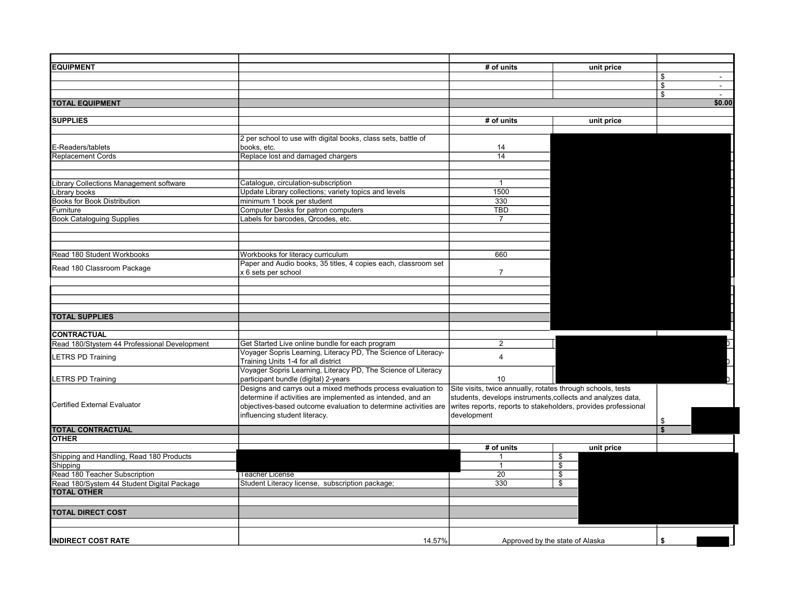| <b>EQUIPMENT</b>                             |                                                                 | # of units                                                     | unit price                      |              |
|----------------------------------------------|-----------------------------------------------------------------|----------------------------------------------------------------|---------------------------------|--------------|
|                                              |                                                                 |                                                                |                                 | \$           |
|                                              |                                                                 |                                                                |                                 | \$<br>$\sim$ |
|                                              |                                                                 |                                                                |                                 | \$           |
| <b>TOTAL EQUIPMENT</b>                       |                                                                 |                                                                |                                 | \$0.00       |
|                                              |                                                                 |                                                                |                                 |              |
| <b>SUPPLIES</b>                              |                                                                 | # of units                                                     | unit price                      |              |
|                                              |                                                                 |                                                                |                                 |              |
|                                              | 2 per school to use with digital books, class sets, battle of   |                                                                |                                 |              |
| E-Readers/tablets                            | books, etc.                                                     | 14<br>14                                                       |                                 |              |
| <b>Replacement Cords</b>                     | Replace lost and damaged chargers                               |                                                                |                                 |              |
|                                              |                                                                 |                                                                |                                 |              |
| Library Collections Management software      | Catalogue, circulation-subscription                             | $\mathbf{1}$                                                   |                                 |              |
| _ibrary books                                | Update Library collections; variety topics and levels           | 1500                                                           |                                 |              |
| <b>Books for Book Distribution</b>           | minimum 1 book per student                                      | 330                                                            |                                 |              |
| Furniture                                    | Computer Desks for patron computers                             | <b>TBD</b>                                                     |                                 |              |
| <b>Book Cataloguing Supplies</b>             | Labels for barcodes, Qrcodes, etc.                              | 7                                                              |                                 |              |
|                                              |                                                                 |                                                                |                                 |              |
|                                              |                                                                 |                                                                |                                 |              |
|                                              |                                                                 |                                                                |                                 |              |
| Read 180 Student Workbooks                   | Workbooks for literacy curriculum                               | 660                                                            |                                 |              |
|                                              | Paper and Audio books, 35 titles, 4 copies each, classroom set  |                                                                |                                 |              |
| Read 180 Classroom Package                   | x 6 sets per school                                             | $\overline{7}$                                                 |                                 |              |
|                                              |                                                                 |                                                                |                                 |              |
|                                              |                                                                 |                                                                |                                 |              |
|                                              |                                                                 |                                                                |                                 |              |
|                                              |                                                                 |                                                                |                                 |              |
| <b>TOTAL SUPPLIES</b>                        |                                                                 |                                                                |                                 |              |
|                                              |                                                                 |                                                                |                                 |              |
| <b>CONTRACTUAL</b>                           |                                                                 |                                                                |                                 |              |
| Read 180/Stystem 44 Professional Development | Get Started Live online bundle for each program                 | $\overline{2}$                                                 |                                 |              |
|                                              | Voyager Sopris Learning, Literacy PD, The Science of Literacy-  |                                                                |                                 |              |
| <b>ETRS PD Training</b>                      | Training Units 1-4 for all district                             | $\overline{4}$                                                 |                                 |              |
|                                              | Voyager Sopris Learning, Literacy PD, The Science of Literacy   |                                                                |                                 |              |
| <b>LETRS PD Training</b>                     | participant bundle (digital) 2-years                            | 10                                                             |                                 |              |
|                                              | Designs and carrys out a mixed methods process evaluation to    | Site visits, twice annually, rotates through schools, tests    |                                 |              |
|                                              | determine if activities are implemented as intended, and an     | students, develops instruments, collects and analyzes data,    |                                 |              |
| Certified External Evaluator                 | objectives-based outcome evaluation to determine activities are | writes reports, reports to stakeholders, provides professional |                                 |              |
|                                              | influencing student literacy.                                   | development                                                    |                                 |              |
|                                              |                                                                 |                                                                |                                 | \$           |
| <b>TOTAL CONTRACTUAL</b>                     |                                                                 |                                                                |                                 |              |
| <b>OTHER</b>                                 |                                                                 |                                                                |                                 |              |
|                                              |                                                                 | # of units                                                     | unit price                      |              |
| Shipping and Handling, Read 180 Products     |                                                                 |                                                                | \$                              |              |
| Shipping                                     |                                                                 | $\mathbf{1}$                                                   | $\overline{\$}$                 |              |
| Read 180 Teacher Subscription                | I eacher License                                                | $\overline{20}$                                                | \$                              |              |
| Read 180/System 44 Student Digital Package   | Student Literacy license, subscription package;                 | 330                                                            | \$                              |              |
| <b>TOTAL OTHER</b>                           |                                                                 |                                                                |                                 |              |
|                                              |                                                                 |                                                                |                                 |              |
| <b>TOTAL DIRECT COST</b>                     |                                                                 |                                                                |                                 |              |
|                                              |                                                                 |                                                                |                                 |              |
|                                              |                                                                 |                                                                |                                 |              |
| <b>INDIRECT COST RATE</b>                    | 14.57%                                                          |                                                                | Approved by the state of Alaska | \$           |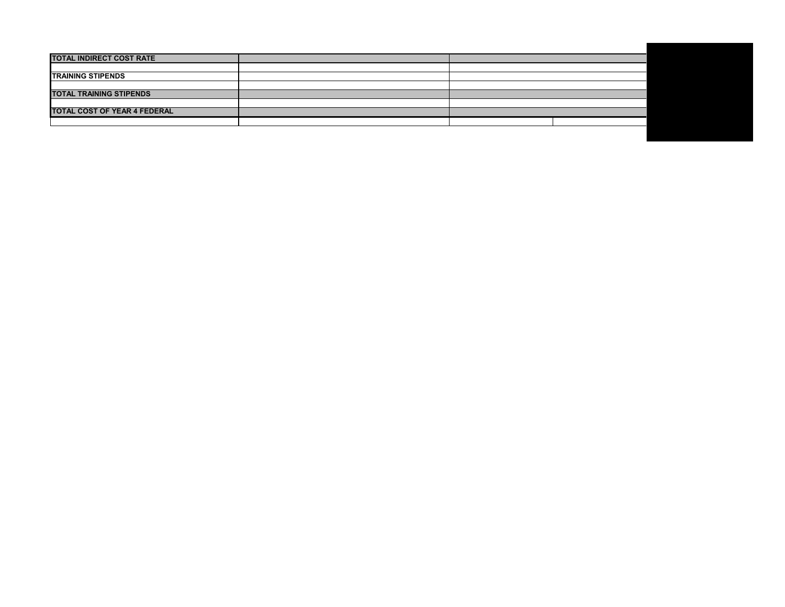| <b>TOTAL INDIRECT COST RATE</b>     |  |  |
|-------------------------------------|--|--|
|                                     |  |  |
| <b>TRAINING STIPENDS</b>            |  |  |
|                                     |  |  |
| <b>TOTAL TRAINING STIPENDS</b>      |  |  |
|                                     |  |  |
| <b>TOTAL COST OF YEAR 4 FEDERAL</b> |  |  |
|                                     |  |  |
|                                     |  |  |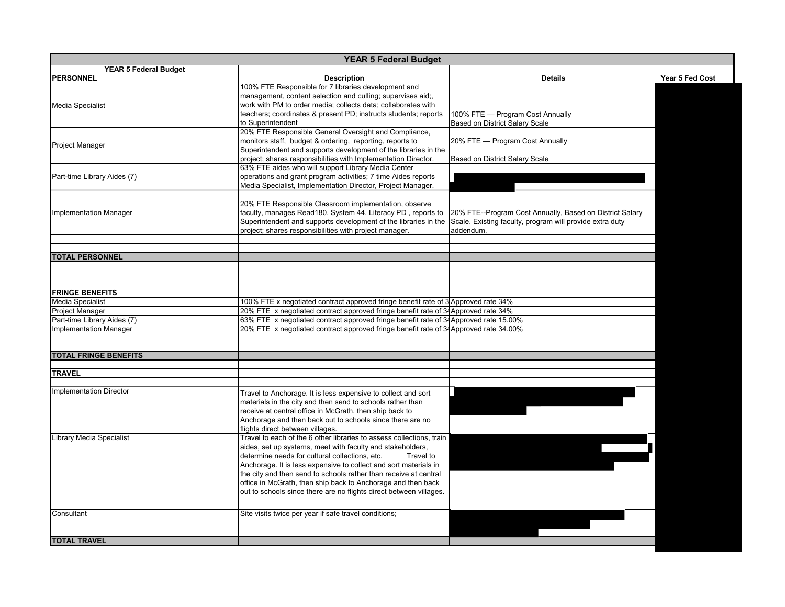| <b>YEAR 5 Federal Budget</b>    |                                                                                       |                                                          |                 |  |  |  |  |  |
|---------------------------------|---------------------------------------------------------------------------------------|----------------------------------------------------------|-----------------|--|--|--|--|--|
| <b>YEAR 5 Federal Budget</b>    |                                                                                       |                                                          |                 |  |  |  |  |  |
| <b>PERSONNEL</b>                | <b>Description</b>                                                                    | <b>Details</b>                                           | Year 5 Fed Cost |  |  |  |  |  |
|                                 | 100% FTE Responsible for 7 libraries development and                                  |                                                          |                 |  |  |  |  |  |
|                                 | management, content selection and culling; supervises aid;,                           |                                                          |                 |  |  |  |  |  |
| <b>Media Specialist</b>         | work with PM to order media; collects data; collaborates with                         |                                                          |                 |  |  |  |  |  |
|                                 | teachers; coordinates & present PD; instructs students; reports                       | 100% FTE - Program Cost Annually                         |                 |  |  |  |  |  |
|                                 | to Superintendent                                                                     | Based on District Salary Scale                           |                 |  |  |  |  |  |
|                                 | 20% FTE Responsible General Oversight and Compliance,                                 |                                                          |                 |  |  |  |  |  |
| <b>Project Manager</b>          | monitors staff, budget & ordering, reporting, reports to                              | 20% FTE — Program Cost Annually                          |                 |  |  |  |  |  |
|                                 | Superintendent and supports development of the libraries in the                       |                                                          |                 |  |  |  |  |  |
|                                 | project; shares responsibilities with Implementation Director.                        | Based on District Salary Scale                           |                 |  |  |  |  |  |
|                                 | 63% FTE aides who will support Library Media Center                                   |                                                          |                 |  |  |  |  |  |
| Part-time Library Aides (7)     | operations and grant program activities; 7 time Aides reports                         |                                                          |                 |  |  |  |  |  |
|                                 | Media Specialist, Implementation Director, Project Manager.                           |                                                          |                 |  |  |  |  |  |
|                                 |                                                                                       |                                                          |                 |  |  |  |  |  |
|                                 | 20% FTE Responsible Classroom implementation, observe                                 |                                                          |                 |  |  |  |  |  |
| <b>Implementation Manager</b>   | faculty, manages Read180, System 44, Literacy PD, reports to                          | 20% FTE--Program Cost Annually, Based on District Salary |                 |  |  |  |  |  |
|                                 | Superintendent and supports development of the libraries in the                       | Scale. Existing faculty, program will provide extra duty |                 |  |  |  |  |  |
|                                 | project; shares responsibilities with project manager.                                | addendum.                                                |                 |  |  |  |  |  |
|                                 |                                                                                       |                                                          |                 |  |  |  |  |  |
|                                 |                                                                                       |                                                          |                 |  |  |  |  |  |
| <b>TOTAL PERSONNEL</b>          |                                                                                       |                                                          |                 |  |  |  |  |  |
|                                 |                                                                                       |                                                          |                 |  |  |  |  |  |
|                                 |                                                                                       |                                                          |                 |  |  |  |  |  |
|                                 |                                                                                       |                                                          |                 |  |  |  |  |  |
| <b>FRINGE BENEFITS</b>          |                                                                                       |                                                          |                 |  |  |  |  |  |
| Media Specialist                | 100% FTE x negotiated contract approved fringe benefit rate of 3 Approved rate 34%    |                                                          |                 |  |  |  |  |  |
| Project Manager                 | 20% FTE x negotiated contract approved fringe benefit rate of 34 Approved rate 34%    |                                                          |                 |  |  |  |  |  |
| Part-time Library Aides (7)     | 63% FTE x negotiated contract approved fringe benefit rate of 34 Approved rate 15.00% |                                                          |                 |  |  |  |  |  |
| <b>Implementation Manager</b>   | 20% FTE x negotiated contract approved fringe benefit rate of 34Approved rate 34.00%  |                                                          |                 |  |  |  |  |  |
|                                 |                                                                                       |                                                          |                 |  |  |  |  |  |
|                                 |                                                                                       |                                                          |                 |  |  |  |  |  |
| <b>TOTAL FRINGE BENEFITS</b>    |                                                                                       |                                                          |                 |  |  |  |  |  |
|                                 |                                                                                       |                                                          |                 |  |  |  |  |  |
| <b>TRAVEL</b>                   |                                                                                       |                                                          |                 |  |  |  |  |  |
|                                 |                                                                                       |                                                          |                 |  |  |  |  |  |
|                                 |                                                                                       |                                                          |                 |  |  |  |  |  |
| <b>Implementation Director</b>  | Travel to Anchorage. It is less expensive to collect and sort                         |                                                          |                 |  |  |  |  |  |
|                                 | materials in the city and then send to schools rather than                            |                                                          |                 |  |  |  |  |  |
|                                 | receive at central office in McGrath, then ship back to                               |                                                          |                 |  |  |  |  |  |
|                                 | Anchorage and then back out to schools since there are no                             |                                                          |                 |  |  |  |  |  |
|                                 | flights direct between villages.                                                      |                                                          |                 |  |  |  |  |  |
| <b>Library Media Specialist</b> | Travel to each of the 6 other libraries to assess collections, train                  |                                                          |                 |  |  |  |  |  |
|                                 | aides, set up systems, meet with faculty and stakeholders,                            |                                                          |                 |  |  |  |  |  |
|                                 | determine needs for cultural collections, etc.<br>Travel to                           |                                                          |                 |  |  |  |  |  |
|                                 | Anchorage. It is less expensive to collect and sort materials in                      |                                                          |                 |  |  |  |  |  |
|                                 | the city and then send to schools rather than receive at central                      |                                                          |                 |  |  |  |  |  |
|                                 | office in McGrath, then ship back to Anchorage and then back                          |                                                          |                 |  |  |  |  |  |
|                                 | out to schools since there are no flights direct between villages.                    |                                                          |                 |  |  |  |  |  |
|                                 |                                                                                       |                                                          |                 |  |  |  |  |  |
| Consultant                      |                                                                                       |                                                          |                 |  |  |  |  |  |
|                                 | Site visits twice per year if safe travel conditions;                                 |                                                          |                 |  |  |  |  |  |
|                                 |                                                                                       |                                                          |                 |  |  |  |  |  |
|                                 |                                                                                       |                                                          |                 |  |  |  |  |  |
| <b>TOTAL TRAVEL</b>             |                                                                                       |                                                          |                 |  |  |  |  |  |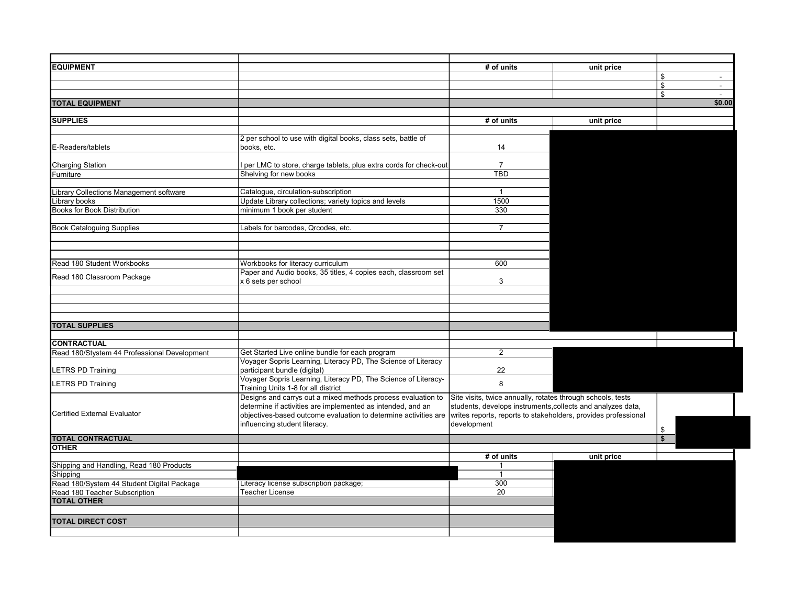| <b>EQUIPMENT</b>                             |                                                                  | # of units                                                     | unit price |                      |
|----------------------------------------------|------------------------------------------------------------------|----------------------------------------------------------------|------------|----------------------|
|                                              |                                                                  |                                                                |            | \$<br>$\sim$         |
|                                              |                                                                  |                                                                |            | \$<br>$\blacksquare$ |
|                                              |                                                                  |                                                                |            | \$<br>$\sim$         |
| <b>TOTAL EQUIPMENT</b>                       |                                                                  |                                                                |            | \$0.00               |
|                                              |                                                                  |                                                                |            |                      |
| <b>SUPPLIES</b>                              |                                                                  | # of units                                                     | unit price |                      |
|                                              |                                                                  |                                                                |            |                      |
|                                              | 2 per school to use with digital books, class sets, battle of    |                                                                |            |                      |
| E-Readers/tablets                            | books, etc.                                                      | 14                                                             |            |                      |
|                                              |                                                                  |                                                                |            |                      |
| <b>Charging Station</b>                      | per LMC to store, charge tablets, plus extra cords for check-out | $\overline{7}$                                                 |            |                      |
| Furniture                                    | Shelving for new books                                           | <b>TBD</b>                                                     |            |                      |
|                                              |                                                                  |                                                                |            |                      |
| Library Collections Management software      | Catalogue, circulation-subscription                              | $\overline{1}$                                                 |            |                      |
| Library books                                | Update Library collections; variety topics and levels            | 1500                                                           |            |                      |
| <b>Books for Book Distribution</b>           | minimum 1 book per student                                       | 330                                                            |            |                      |
|                                              |                                                                  |                                                                |            |                      |
| <b>Book Cataloguing Supplies</b>             | Labels for barcodes, Qrcodes, etc.                               | $\overline{7}$                                                 |            |                      |
|                                              |                                                                  |                                                                |            |                      |
|                                              |                                                                  |                                                                |            |                      |
|                                              |                                                                  |                                                                |            |                      |
| Read 180 Student Workbooks                   | Workbooks for literacy curriculum                                | 600                                                            |            |                      |
|                                              | Paper and Audio books, 35 titles, 4 copies each, classroom set   |                                                                |            |                      |
| Read 180 Classroom Package                   | x 6 sets per school                                              | 3                                                              |            |                      |
|                                              |                                                                  |                                                                |            |                      |
|                                              |                                                                  |                                                                |            |                      |
|                                              |                                                                  |                                                                |            |                      |
|                                              |                                                                  |                                                                |            |                      |
| <b>TOTAL SUPPLIES</b>                        |                                                                  |                                                                |            |                      |
|                                              |                                                                  |                                                                |            |                      |
| <b>CONTRACTUAL</b>                           |                                                                  |                                                                |            |                      |
| Read 180/Stystem 44 Professional Development | Get Started Live online bundle for each program                  | $\overline{2}$                                                 |            |                      |
|                                              | Voyager Sopris Learning, Literacy PD, The Science of Literacy    |                                                                |            |                      |
| LETRS PD Training                            | participant bundle (digital)                                     | 22                                                             |            |                      |
|                                              | Voyager Sopris Learning, Literacy PD, The Science of Literacy-   | 8                                                              |            |                      |
| LETRS PD Training                            | Training Units 1-8 for all district                              |                                                                |            |                      |
|                                              | Designs and carrys out a mixed methods process evaluation to     | Site visits, twice annually, rotates through schools, tests    |            |                      |
|                                              | determine if activities are implemented as intended, and an      | students, develops instruments, collects and analyzes data,    |            |                      |
| <b>Certified External Evaluator</b>          | objectives-based outcome evaluation to determine activities are  | writes reports, reports to stakeholders, provides professional |            |                      |
|                                              | influencing student literacy.                                    | development                                                    |            |                      |
|                                              |                                                                  |                                                                |            | \$                   |
| <b>TOTAL CONTRACTUAL</b>                     |                                                                  |                                                                |            | \$                   |
| <b>OTHER</b>                                 |                                                                  |                                                                |            |                      |
|                                              |                                                                  | # of units                                                     | unit price |                      |
| Shipping and Handling, Read 180 Products     |                                                                  | 1<br>$\overline{1}$                                            |            |                      |
| Shipping                                     |                                                                  |                                                                |            |                      |
| Read 180/System 44 Student Digital Package   | Literacy license subscription package;                           | 300                                                            |            |                      |
| Read 180 Teacher Subscription                | Teacher License                                                  | $\overline{20}$                                                |            |                      |
| <b>TOTAL OTHER</b>                           |                                                                  |                                                                |            |                      |
|                                              |                                                                  |                                                                |            |                      |
| <b>TOTAL DIRECT COST</b>                     |                                                                  |                                                                |            |                      |
|                                              |                                                                  |                                                                |            |                      |
|                                              |                                                                  |                                                                |            |                      |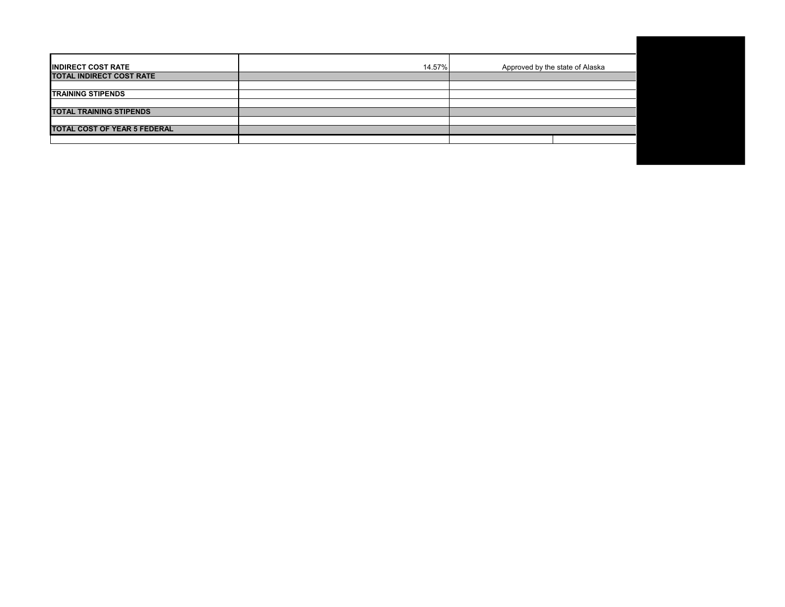| <b>INDIRECT COST RATE</b>           | 14.57% | Approved by the state of Alaska |
|-------------------------------------|--------|---------------------------------|
| TOTAL INDIRECT COST RATE            |        |                                 |
|                                     |        |                                 |
| <b>TRAINING STIPENDS</b>            |        |                                 |
|                                     |        |                                 |
| <b>TOTAL TRAINING STIPENDS</b>      |        |                                 |
|                                     |        |                                 |
| <b>TOTAL COST OF YEAR 5 FEDERAL</b> |        |                                 |
|                                     |        |                                 |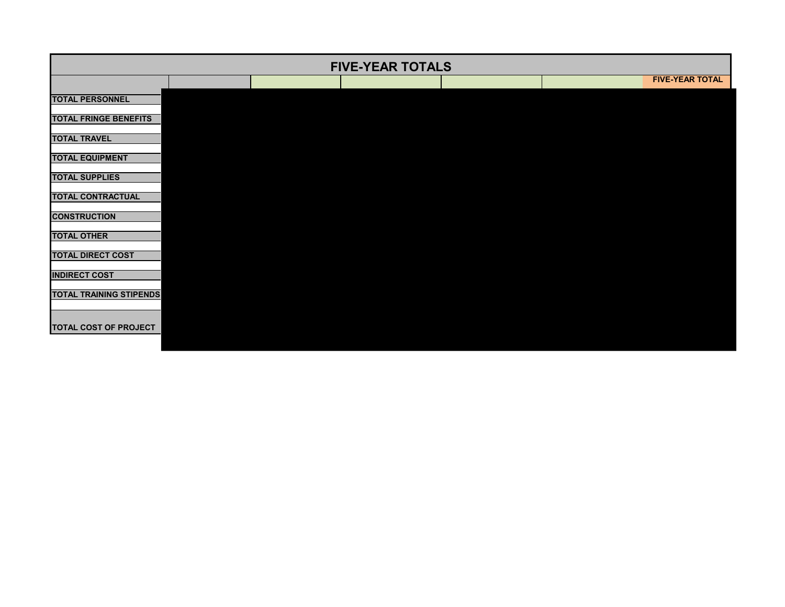| <b>FIVE-YEAR TOTALS</b>        |  |  |  |  |  |                        |  |
|--------------------------------|--|--|--|--|--|------------------------|--|
|                                |  |  |  |  |  | <b>FIVE-YEAR TOTAL</b> |  |
| <b>TOTAL PERSONNEL</b>         |  |  |  |  |  |                        |  |
| <b>TOTAL FRINGE BENEFITS</b>   |  |  |  |  |  |                        |  |
| <b>TOTAL TRAVEL</b>            |  |  |  |  |  |                        |  |
| <b>TOTAL EQUIPMENT</b>         |  |  |  |  |  |                        |  |
| <b>TOTAL SUPPLIES</b>          |  |  |  |  |  |                        |  |
| <b>TOTAL CONTRACTUAL</b>       |  |  |  |  |  |                        |  |
| <b>CONSTRUCTION</b>            |  |  |  |  |  |                        |  |
| <b>TOTAL OTHER</b>             |  |  |  |  |  |                        |  |
| <b>TOTAL DIRECT COST</b>       |  |  |  |  |  |                        |  |
| <b>INDIRECT COST</b>           |  |  |  |  |  |                        |  |
| <b>TOTAL TRAINING STIPENDS</b> |  |  |  |  |  |                        |  |
|                                |  |  |  |  |  |                        |  |
| TOTAL COST OF PROJECT          |  |  |  |  |  |                        |  |
|                                |  |  |  |  |  |                        |  |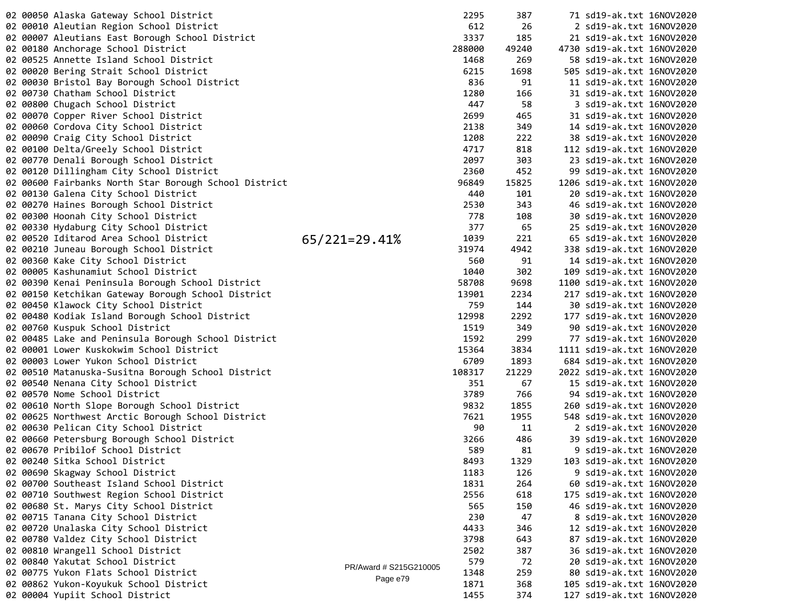|  | 02 00050 Alaska Gateway School District               |                        | 2295   | 387   | 71 sd19-ak.txt 16NOV2020   |  |
|--|-------------------------------------------------------|------------------------|--------|-------|----------------------------|--|
|  | 02 00010 Aleutian Region School District              |                        | 612    | 26    | 2 sd19-ak.txt 16NOV2020    |  |
|  | 02 00007 Aleutians East Borough School District       |                        | 3337   | 185   | 21 sd19-ak.txt 16NOV2020   |  |
|  | 02 00180 Anchorage School District                    |                        | 288000 | 49240 | 4730 sd19-ak.txt 16NOV2020 |  |
|  | 02 00525 Annette Island School District               |                        | 1468   | 269   | 58 sd19-ak.txt 16NOV2020   |  |
|  | 02 00020 Bering Strait School District                |                        | 6215   | 1698  | 505 sd19-ak.txt 16NOV2020  |  |
|  | 02 00030 Bristol Bay Borough School District          |                        | 836    | 91    | 11 sd19-ak.txt 16NOV2020   |  |
|  | 02 00730 Chatham School District                      |                        | 1280   | 166   | 31 sd19-ak.txt 16NOV2020   |  |
|  | 02 00800 Chugach School District                      |                        | 447    | 58    | 3 sd19-ak.txt 16NOV2020    |  |
|  | 02 00070 Copper River School District                 |                        | 2699   | 465   | 31 sd19-ak.txt 16NOV2020   |  |
|  | 02 00060 Cordova City School District                 |                        | 2138   | 349   | 14 sd19-ak.txt 16NOV2020   |  |
|  | 02 00090 Craig City School District                   |                        | 1208   | 222   | 38 sd19-ak.txt 16NOV2020   |  |
|  | 02 00100 Delta/Greely School District                 |                        | 4717   | 818   | 112 sd19-ak.txt 16NOV2020  |  |
|  | 02 00770 Denali Borough School District               |                        | 2097   | 303   | 23 sd19-ak.txt 16NOV2020   |  |
|  | 02 00120 Dillingham City School District              |                        | 2360   | 452   | 99 sd19-ak.txt 16NOV2020   |  |
|  | 02 00600 Fairbanks North Star Borough School District |                        | 96849  | 15825 | 1206 sd19-ak.txt 16NOV2020 |  |
|  | 02 00130 Galena City School District                  |                        | 440    | 101   | 20 sd19-ak.txt 16NOV2020   |  |
|  | 02 00270 Haines Borough School District               |                        | 2530   | 343   | 46 sd19-ak.txt 16NOV2020   |  |
|  | 02 00300 Hoonah City School District                  |                        | 778    | 108   | 30 sd19-ak.txt 16NOV2020   |  |
|  | 02 00330 Hydaburg City School District                |                        | 377    | 65    | 25 sd19-ak.txt 16NOV2020   |  |
|  | 02 00520 Iditarod Area School District                | $65/221=29.41%$        | 1039   | 221   | 65 sd19-ak.txt 16NOV2020   |  |
|  | 02 00210 Juneau Borough School District               |                        | 31974  | 4942  | 338 sd19-ak.txt 16NOV2020  |  |
|  | 02 00360 Kake City School District                    |                        | 560    | 91    | 14 sd19-ak.txt 16NOV2020   |  |
|  | 02 00005 Kashunamiut School District                  |                        | 1040   | 302   | 109 sd19-ak.txt 16NOV2020  |  |
|  | 02 00390 Kenai Peninsula Borough School District      |                        | 58708  | 9698  | 1100 sd19-ak.txt 16NOV2020 |  |
|  |                                                       |                        | 13901  | 2234  | 217 sd19-ak.txt 16NOV2020  |  |
|  | 02 00150 Ketchikan Gateway Borough School District    |                        | 759    | 144   |                            |  |
|  | 02 00450 Klawock City School District                 |                        |        |       | 30 sd19-ak.txt 16NOV2020   |  |
|  | 02 00480 Kodiak Island Borough School District        |                        | 12998  | 2292  | 177 sd19-ak.txt 16NOV2020  |  |
|  | 02 00760 Kuspuk School District                       |                        | 1519   | 349   | 90 sd19-ak.txt 16NOV2020   |  |
|  | 02 00485 Lake and Peninsula Borough School District   |                        | 1592   | 299   | 77 sd19-ak.txt 16NOV2020   |  |
|  | 02 00001 Lower Kuskokwim School District              |                        | 15364  | 3834  | 1111 sd19-ak.txt 16NOV2020 |  |
|  | 02 00003 Lower Yukon School District                  |                        | 6709   | 1893  | 684 sd19-ak.txt 16NOV2020  |  |
|  | 02 00510 Matanuska-Susitna Borough School District    |                        | 108317 | 21229 | 2022 sd19-ak.txt 16NOV2020 |  |
|  | 02 00540 Nenana City School District                  |                        | 351    | 67    | 15 sd19-ak.txt 16NOV2020   |  |
|  | 02 00570 Nome School District                         |                        | 3789   | 766   | 94 sd19-ak.txt 16NOV2020   |  |
|  | 02 00610 North Slope Borough School District          |                        | 9832   | 1855  | 260 sd19-ak.txt 16NOV2020  |  |
|  | 02 00625 Northwest Arctic Borough School District     |                        | 7621   | 1955  | 548 sd19-ak.txt 16NOV2020  |  |
|  | 02 00630 Pelican City School District                 |                        | 90     | 11    | 2 sd19-ak.txt 16NOV2020    |  |
|  | 02 00660 Petersburg Borough School District           |                        | 3266   | 486   | 39 sd19-ak.txt 16NOV2020   |  |
|  | 02 00670 Pribilof School District                     |                        | 589    | 81    | 9 sd19-ak.txt 16NOV2020    |  |
|  | 02 00240 Sitka School District                        |                        | 8493   | 1329  | 103 sd19-ak.txt 16NOV2020  |  |
|  | 02 00690 Skagway School District                      |                        | 1183   | 126   | 9 sd19-ak.txt 16NOV2020    |  |
|  | 02 00700 Southeast Island School District             |                        | 1831   | 264   | 60 sd19-ak.txt 16NOV2020   |  |
|  | 02 00710 Southwest Region School District             |                        | 2556   | 618   | 175 sd19-ak.txt 16NOV2020  |  |
|  | 02 00680 St. Marys City School District               |                        | 565    | 150   | 46 sd19-ak.txt 16NOV2020   |  |
|  | 02 00715 Tanana City School District                  |                        | 230    | 47    | 8 sd19-ak.txt 16NOV2020    |  |
|  | 02 00720 Unalaska City School District                |                        | 4433   | 346   | 12 sd19-ak.txt 16NOV2020   |  |
|  | 02 00780 Valdez City School District                  |                        | 3798   | 643   | 87 sd19-ak.txt 16NOV2020   |  |
|  | 02 00810 Wrangell School District                     |                        | 2502   | 387   | 36 sd19-ak.txt 16NOV2020   |  |
|  | 02 00840 Yakutat School District                      | PR/Award # S215G210005 | 579    | 72    | 20 sd19-ak.txt 16NOV2020   |  |
|  | 02 00775 Yukon Flats School District                  | Page e79               | 1348   | 259   | 80 sd19-ak.txt 16NOV2020   |  |
|  | 02 00862 Yukon-Koyukuk School District                |                        | 1871   | 368   | 105 sd19-ak.txt 16NOV2020  |  |
|  | 02 00004 Yupiit School District                       |                        | 1455   | 374   | 127 sd19-ak.txt 16NOV2020  |  |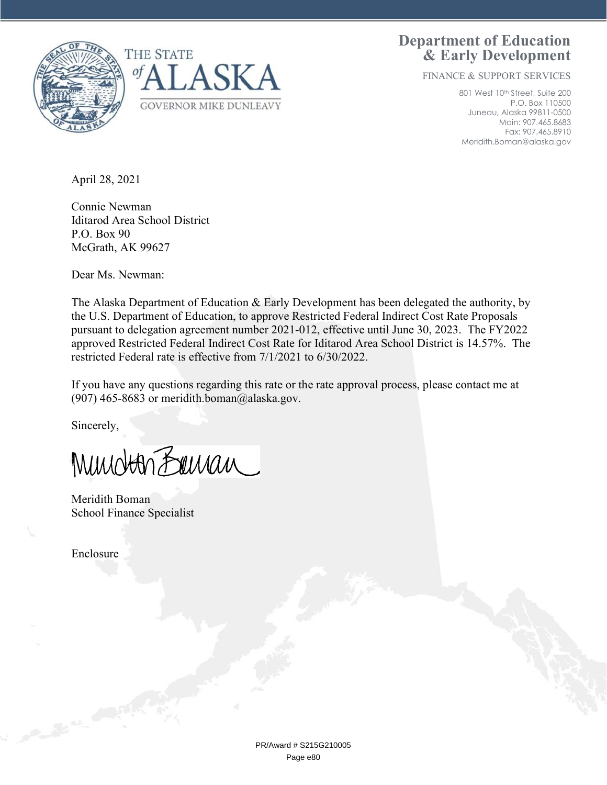

Department of Education & Early Development

FINANCE & SUPPORT SERVICES

801 West 10<sup>th</sup> Street, Suite 200 P.O. Box 110500 Juneau, Alaska 99811-0500 Main: 907.465.8683 Fax: 907.465.8910 Meridith.Boman@alaska.gov

April 28, 2021

Connie Newman Iditarod Area School District P.O. Box 90 McGrath, AK 99627

Dear Ms. Newman:

The Alaska Department of Education & Early Development has been delegated the authority, by the U.S. Department of Education, to approve Restricted Federal Indirect Cost Rate Proposals pursuant to delegation agreement number 2021-012, effective until June 30, 2023. The FY2022 approved Restricted Federal Indirect Cost Rate for Iditarod Area School District is 14.57%. The restricted Federal rate is effective from 7/1/2021 to 6/30/2022.

If you have any questions regarding this rate or the rate approval process, please contact me at (907) 465-8683 or meridith.boman@alaska.gov.

Sincerely,

Mundton Banan

Meridith Boman School Finance Specialist

Enclosure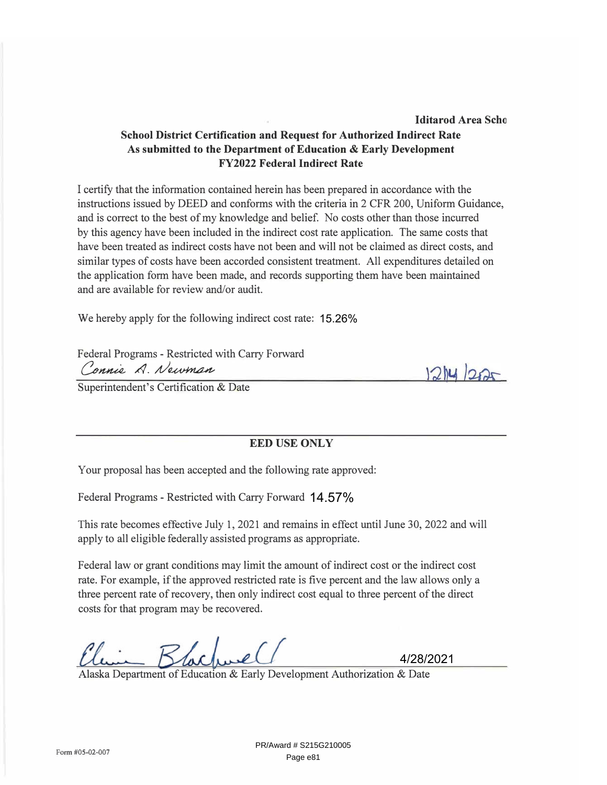rate. For example, if the approved restricted rate is five percent and the law allows only a three percent rate of recovery, then only indirect cost equal to three percent of the direct costs for that program may be recovered.

PR/Award # S215G210005 Page e81

Form #05-02-007

# **School District Certification and Request for Authorized Indirect Rate As submitted to the Department of Education & Early Development FY2022 Federal Indirect Rate**

I certify that the information contained herein has been prepared in accordance with the instructions issued by DEED and conforms with the criteria in 2 CFR 200, Uniform Guidance, and is correct to the best of my knowledge and belief. No costs other than those incurred by this agency have been included in the indirect cost rate application. The same costs that have been treated as indirect costs have not been and will not be claimed as direct costs, and similar types of costs have been accorded consistent treatment. All expenditures detailed on the application form have been made, and records supporting them have been maintained and are available for review and/or audit.

We hereby apply for the following indirect cost rate: 15.26%

Federal Programs - Restricted with Carry Forward Connie A. Newman

Superintendent's Certification & Date

## **EED USE ONLY**

Your proposal has been accepted and the following rate approved:

Federal Programs - Restricted with Carry Forward 14.57%

This rate becomes effective July 1, 2021 and remains in effect until June 30, 2022 and will apply to all eligible federally assisted programs as appropriate.

Federal law or grant conditions may limit the amount of indirect cost or the indirect cost

Alaska Department of Education & Early Development Authorization & Date

facturel

 $1214/222$ 

4/28/2021

**lditarod Area Sebo**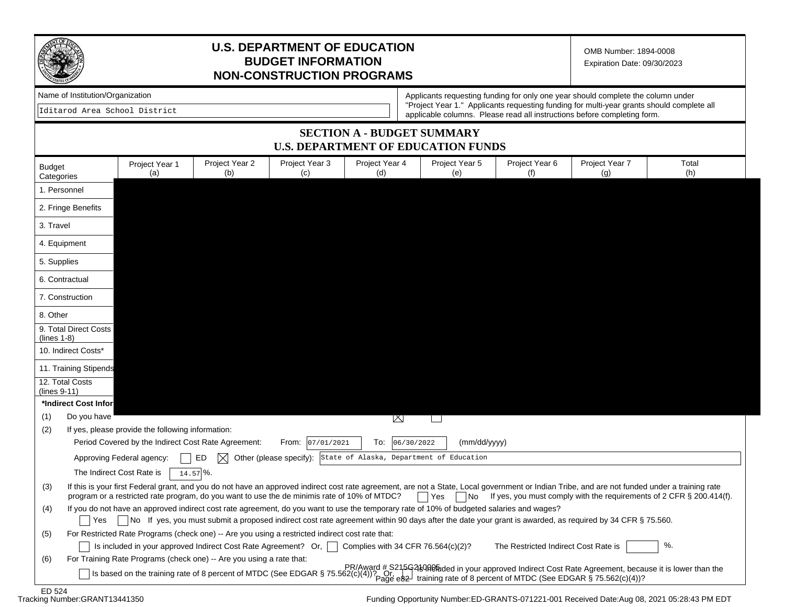

## **U.S. DEPARTMENT OF EDUCATION BUDGET INFORMATION NON-CONSTRUCTION PROGRAMS**

OMB Number: 1894-0008 Expiration Date: 09/30/2023

Iditarod Area School District

Name of Institution/Organization **Applicants requesting funding for only one year should complete the column under** "Project Year 1." Applicants requesting funding for multi-year grants should complete all applicable columns. Please read all instructions before completing form.

## **SECTION A - BUDGET SUMMARY U.S. DEPARTMENT OF EDUCATION FUNDS**

| <b>Budget</b><br>Categories       |                           | Project Year 1<br>(a)                             | Project Year 2<br>(b)                                                | Project Year 3<br>(c)                                                                                                                     | Project Year 4<br>(d)              | Project Year 5<br>(e) | Project Year 6<br>(f)                | Project Year 7<br>(g)                                                                                                                                                                          | Total<br>(h)                                                                                           |
|-----------------------------------|---------------------------|---------------------------------------------------|----------------------------------------------------------------------|-------------------------------------------------------------------------------------------------------------------------------------------|------------------------------------|-----------------------|--------------------------------------|------------------------------------------------------------------------------------------------------------------------------------------------------------------------------------------------|--------------------------------------------------------------------------------------------------------|
| 1. Personnel                      |                           |                                                   |                                                                      |                                                                                                                                           |                                    |                       |                                      |                                                                                                                                                                                                |                                                                                                        |
| 2. Fringe Benefits                |                           |                                                   |                                                                      |                                                                                                                                           |                                    |                       |                                      |                                                                                                                                                                                                |                                                                                                        |
| 3. Travel                         |                           |                                                   |                                                                      |                                                                                                                                           |                                    |                       |                                      |                                                                                                                                                                                                |                                                                                                        |
| 4. Equipment                      |                           |                                                   |                                                                      |                                                                                                                                           |                                    |                       |                                      |                                                                                                                                                                                                |                                                                                                        |
| 5. Supplies                       |                           |                                                   |                                                                      |                                                                                                                                           |                                    |                       |                                      |                                                                                                                                                                                                |                                                                                                        |
| 6. Contractual                    |                           |                                                   |                                                                      |                                                                                                                                           |                                    |                       |                                      |                                                                                                                                                                                                |                                                                                                        |
| 7. Construction                   |                           |                                                   |                                                                      |                                                                                                                                           |                                    |                       |                                      |                                                                                                                                                                                                |                                                                                                        |
| 8. Other                          |                           |                                                   |                                                                      |                                                                                                                                           |                                    |                       |                                      |                                                                                                                                                                                                |                                                                                                        |
| $(lines 1-8)$                     | 9. Total Direct Costs     |                                                   |                                                                      |                                                                                                                                           |                                    |                       |                                      |                                                                                                                                                                                                |                                                                                                        |
| 10. Indirect Costs*               |                           |                                                   |                                                                      |                                                                                                                                           |                                    |                       |                                      |                                                                                                                                                                                                |                                                                                                        |
|                                   | 11. Training Stipends     |                                                   |                                                                      |                                                                                                                                           |                                    |                       |                                      |                                                                                                                                                                                                |                                                                                                        |
| 12. Total Costs<br>$(lines 9-11)$ |                           |                                                   |                                                                      |                                                                                                                                           |                                    |                       |                                      |                                                                                                                                                                                                |                                                                                                        |
|                                   | *Indirect Cost Infor      |                                                   |                                                                      |                                                                                                                                           |                                    |                       |                                      |                                                                                                                                                                                                |                                                                                                        |
| (1)                               | Do you have               |                                                   |                                                                      |                                                                                                                                           | $\boxtimes$                        |                       |                                      |                                                                                                                                                                                                |                                                                                                        |
| (2)                               |                           | If yes, please provide the following information: |                                                                      |                                                                                                                                           |                                    |                       |                                      |                                                                                                                                                                                                |                                                                                                        |
|                                   |                           |                                                   | Period Covered by the Indirect Cost Rate Agreement:                  | 07/01/2021<br>From:                                                                                                                       | 06/30/2022<br>To:                  | (mm/dd/yyyy)          |                                      |                                                                                                                                                                                                |                                                                                                        |
|                                   | Approving Federal agency: |                                                   | ED<br>$\bowtie$                                                      | Other (please specify): State of Alaska, Department of Education                                                                          |                                    |                       |                                      |                                                                                                                                                                                                |                                                                                                        |
|                                   | The Indirect Cost Rate is |                                                   | $14.57\%$                                                            |                                                                                                                                           |                                    |                       |                                      |                                                                                                                                                                                                |                                                                                                        |
| (3)                               |                           |                                                   |                                                                      | program or a restricted rate program, do you want to use the de minimis rate of 10% of MTDC?                                              |                                    | ∣ Yes<br> No          |                                      | If this is your first Federal grant, and you do not have an approved indirect cost rate agreement, are not a State, Local government or Indian Tribe, and are not funded under a training rate | If yes, you must comply with the requirements of 2 CFR § 200.414(f).                                   |
| (4)                               | Yes                       |                                                   |                                                                      | If you do not have an approved indirect cost rate agreement, do you want to use the temporary rate of 10% of budgeted salaries and wages? |                                    |                       |                                      | No If yes, you must submit a proposed indirect cost rate agreement within 90 days after the date your grant is awarded, as required by 34 CFR § 75.560.                                        |                                                                                                        |
| (5)                               |                           |                                                   |                                                                      | For Restricted Rate Programs (check one) -- Are you using a restricted indirect cost rate that:                                           |                                    |                       |                                      |                                                                                                                                                                                                |                                                                                                        |
|                                   |                           |                                                   | Is included in your approved Indirect Cost Rate Agreement? Or,       |                                                                                                                                           | Complies with 34 CFR 76.564(c)(2)? |                       | The Restricted Indirect Cost Rate is |                                                                                                                                                                                                | %.                                                                                                     |
| (6)                               |                           |                                                   | For Training Rate Programs (check one) -- Are you using a rate that: |                                                                                                                                           |                                    |                       |                                      |                                                                                                                                                                                                |                                                                                                        |
|                                   |                           |                                                   |                                                                      |                                                                                                                                           |                                    |                       |                                      | Is based on the training rate of 8 percent of MTDC (See EDGAR § 75.562(c)(4))? Or Page e82 training rate of 8 percent of MTDC (See EDGAR § 75.562(c)(4))?                                      | PR/Award # S215G239ReMaled in your approved Indirect Cost Rate Agreement, because it is lower than the |
| FDRE94                            |                           |                                                   |                                                                      |                                                                                                                                           |                                    |                       |                                      |                                                                                                                                                                                                |                                                                                                        |

ED 524<br>Tracking Number:GRANT13441350

Funding Opportunity Number:ED-GRANTS-071221-001 Received Date:Aug 08, 2021 05:28:43 PM EDT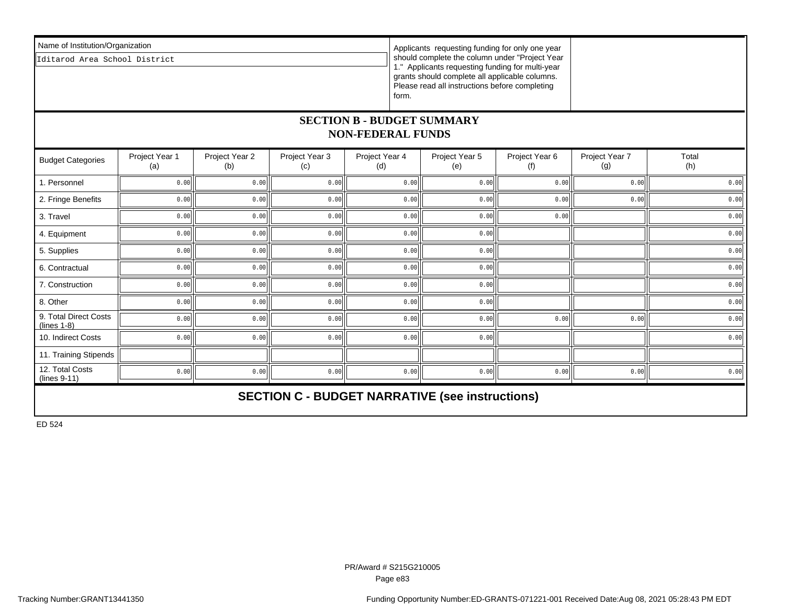| Name of Institution/Organization<br>Iditarod Area School District | Applicants requesting funding for only one year<br>should complete the column under "Project Year<br>1." Applicants requesting funding for multi-year<br>grants should complete all applicable columns.<br>Please read all instructions before completing<br>form. |  |  |  |  |  |  |
|-------------------------------------------------------------------|--------------------------------------------------------------------------------------------------------------------------------------------------------------------------------------------------------------------------------------------------------------------|--|--|--|--|--|--|
| <b>SECTION B - BUDGET SUMMARY</b><br><b>NON-FEDERAL FUNDS</b>     |                                                                                                                                                                                                                                                                    |  |  |  |  |  |  |

| <b>Budget Categories</b>                               | Project Year 1<br>(a) | Project Year 2<br>(b) | Project Year 3<br>(c) | Project Year 4<br>(d) | Project Year 5<br>(e) | Project Year 6<br>(f) | Project Year 7<br>(g) | Total<br>(h) |  |  |
|--------------------------------------------------------|-----------------------|-----------------------|-----------------------|-----------------------|-----------------------|-----------------------|-----------------------|--------------|--|--|
| 1. Personnel                                           | 0.00                  | 0.00                  | 0.00                  | 0.00                  | 0.00                  | 0.00                  | 0.00                  | 0.00         |  |  |
| 2. Fringe Benefits                                     | 0.00                  | 0.00                  | 0.00                  | 0.00                  | 0.00                  | 0.00                  | 0.00                  | 0.00         |  |  |
| 3. Travel                                              | 0.00                  | 0.00                  | 0.00                  | 0.00                  | 0.00                  | 0.00                  |                       | 0.00         |  |  |
| 4. Equipment                                           | 0.00                  | 0.00                  | 0.00                  | 0.00                  | 0.00                  |                       |                       | 0.00         |  |  |
| 5. Supplies                                            | 0.00                  | 0.00                  | 0.00                  | 0.00                  | 0.00                  |                       |                       | 0.00         |  |  |
| 6. Contractual                                         | 0.00                  | 0.00                  | 0.00                  | 0.00                  | 0.00                  |                       |                       | 0.00         |  |  |
| 7. Construction                                        | 0.00                  | 0.00                  | 0.00                  | 0.00                  | 0.00                  |                       |                       | 0.00         |  |  |
| 8. Other                                               | 0.00                  | 0.00                  | 0.00                  | 0.00                  | 0.00                  |                       |                       | 0.00         |  |  |
| 9. Total Direct Costs<br>$(lines 1-8)$                 | 0.00                  | 0.00                  | 0.00                  | 0.00                  | 0.00                  | 0.00                  | 0.00                  | 0.00         |  |  |
| 10. Indirect Costs                                     | 0.00                  | 0.00                  | 0.00                  | 0.00                  | 0.00                  |                       |                       | 0.00         |  |  |
| 11. Training Stipends                                  |                       |                       |                       |                       |                       |                       |                       |              |  |  |
| 12. Total Costs<br>(lines 9-11)                        | 0.00                  | 0.00                  | 0.00                  | 0.00                  | 0.00                  | 0.00                  | 0.00                  | 0.00         |  |  |
| <b>SECTION C - BUDGET NARRATIVE (see instructions)</b> |                       |                       |                       |                       |                       |                       |                       |              |  |  |

ED 524